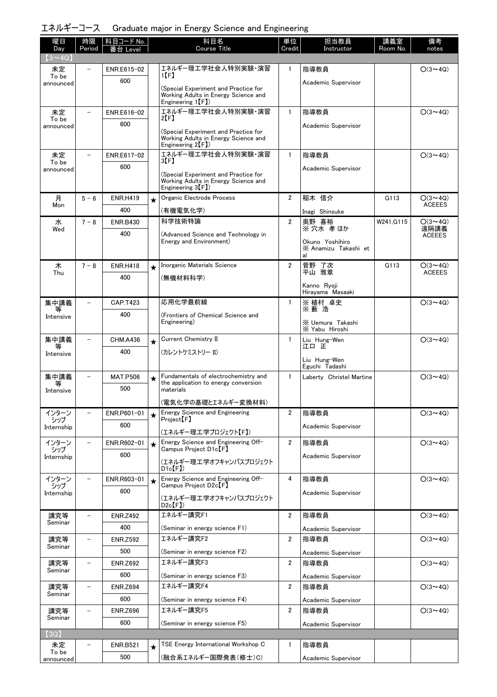|  | エネルギーコース Graduate major in Energy Science and Engineering |  |  |  |
|--|-----------------------------------------------------------|--|--|--|
|--|-----------------------------------------------------------|--|--|--|

| 曜日                 | 時限                       | コード No.<br>枓目          |         | 科目名                                                                          | 単位             | 担当教員                                       | 講義室       | 備考             |
|--------------------|--------------------------|------------------------|---------|------------------------------------------------------------------------------|----------------|--------------------------------------------|-----------|----------------|
| Day                | Period                   | _evel                  |         | Course Title                                                                 | Credit         | Instructor                                 | Room No.  | notes          |
| $(3 \sim 4Q)$      |                          | ENR.E615-02            |         | エネルギー理工学社会人特別実験・演習                                                           | $\mathbf{1}$   | 指導教員                                       |           | $O(3 \sim 4Q)$ |
| 未定<br>To be        |                          | 600                    |         | 1 (F)                                                                        |                |                                            |           |                |
| announced          |                          |                        |         | (Special Experiment and Practice for                                         |                | Academic Supervisor                        |           |                |
|                    |                          |                        |         | Working Adults in Energy Science and<br>Engineering $1(F)$                   |                |                                            |           |                |
| 未定                 | $\overline{\phantom{a}}$ | ENR.E616-02            |         | エネルギー理工学社会人特別実験・演習                                                           | $\mathbf{1}$   | 指導教員                                       |           | $O(3 \sim 4Q)$ |
| To be<br>announced |                          | 600                    |         | 2[F]                                                                         |                | Academic Supervisor                        |           |                |
|                    |                          |                        |         | (Special Experiment and Practice for<br>Working Adults in Energy Science and |                |                                            |           |                |
|                    |                          |                        |         | Engineering $2(F)$                                                           |                |                                            |           |                |
| 未定<br>To be        | $\overline{\phantom{0}}$ | ENR.E617-02            |         | エネルギー理工学社会人特別実験・演習<br>3【F】                                                   | $\mathbf{1}$   | 指導教員                                       |           | $O(3 \sim 4Q)$ |
| announced          |                          | 600                    |         | (Special Experiment and Practice for                                         |                | Academic Supervisor                        |           |                |
|                    |                          |                        |         | Working Adults in Energy Science and                                         |                |                                            |           |                |
| 月                  | $5 - 6$                  |                        |         | Engineering $3(F)$<br>Organic Electrode Process                              | $\overline{2}$ | 稲木 信介                                      | G113      | $O(3 \sim 4Q)$ |
| Mon                |                          | <b>ENR.H419</b><br>400 | $\star$ |                                                                              |                |                                            |           | <b>ACEEES</b>  |
| 水                  | $7 - 8$                  | <b>ENR.B430</b>        |         | (有機電気化学)<br>科学技術特論                                                           | $\overline{2}$ | Inagi Shinsuke<br>奥野 喜裕                    | W241.G115 | $O(3 \sim 4Q)$ |
| Wed                |                          | 400                    |         |                                                                              |                | ※ 穴水 孝 ほか                                  |           | 遠隔講義           |
|                    |                          |                        |         | (Advanced Science and Technology in<br>Energy and Environment)               |                | Okuno Yoshihiro                            |           | <b>ACEEES</b>  |
|                    |                          |                        |         |                                                                              |                | X Anamizu Takashi et<br>al                 |           |                |
| 木                  | $7 - 8$                  | <b>ENR.H418</b>        | $\star$ | Inorganic Materials Science                                                  | $\overline{2}$ | 菅野 了次                                      | G113      | $O(3 \sim 4Q)$ |
| Thu                |                          | 400                    |         | (無機材料科学)                                                                     |                | 平山 雅章                                      |           | <b>ACEEES</b>  |
|                    |                          |                        |         |                                                                              |                | Kanno Ryoji<br>Hirayama Masaaki            |           |                |
| 集中講義               |                          | <b>CAP.T423</b>        |         | 応用化学最前線                                                                      | $\mathbf{1}$   | ※ 植村 卓史                                    |           | $O(3 \sim 4Q)$ |
| Intensive          |                          | 400                    |         | (Frontiers of Chemical Science and                                           |                | ※藪浩                                        |           |                |
|                    |                          |                        |         | Engineering)                                                                 |                | X Uemura Takashi<br>X Yabu Hiroshi         |           |                |
| 集中講義               |                          | CHM.A436               | $\star$ | Current Chemistry II                                                         | $\mathbf{1}$   | Liu Hung-Wen                               |           | $O(3 \sim 4Q)$ |
| 等<br>Intensive     |                          | 400                    |         | (カレントケミストリー II)                                                              |                | 江口 正                                       |           |                |
|                    |                          |                        |         |                                                                              |                | Liu Hung-Wen                               |           |                |
| 集中講義               |                          | <b>MAT.P506</b>        |         | Fundamentals of electrochemistry and                                         | $\mathbf{1}$   | Eguchi Tadashi<br>Laberty Christel Martine |           | $O(3 \sim 4Q)$ |
|                    |                          | 500                    | $\star$ | the application to energy conversion<br>materials                            |                |                                            |           |                |
| Intensive          |                          |                        |         |                                                                              |                |                                            |           |                |
| インターン              |                          | ENR.P601-01            |         | (電気化学の基礎とエネルギー変換材料)<br><b>Energy Science and Engineering</b>                 | $\overline{2}$ | 指導教員                                       |           | $O(3 \sim 4Q)$ |
| シップ                |                          | 600                    | $\star$ | Project <sup>[F]</sup>                                                       |                |                                            |           |                |
| Internship         |                          |                        |         | (エネルギー理工学プロジェクト【F】)                                                          |                | Academic Supervisor                        |           |                |
| インターン<br>シップ       |                          | ENR.R602-01            | $\star$ | Energy Science and Engineering Off-<br>Campus Project D1c <sup>[F]</sup>     | $\overline{2}$ | 指導教員                                       |           | $O(3 \sim 4Q)$ |
| Internship         |                          | 600                    |         | (エネルギー理工学オフキャンパスプロジェクト                                                       |                | Academic Supervisor                        |           |                |
|                    |                          |                        |         | $D1c$ $[F]$                                                                  |                |                                            |           |                |
| インターン<br>シップ       |                          | ENR.R603-01            | $\star$ | Energy Science and Engineering Off-<br>Campus Project D2c【F】                 | 4              | 指導教員                                       |           | $O(3 \sim 4Q)$ |
| Internship         |                          | 600                    |         | (エネルギー理工学オフキャンパスプロジェクト                                                       |                | Academic Supervisor                        |           |                |
|                    |                          |                        |         | $D2c$ $(F)$                                                                  |                |                                            |           |                |
| 講究等<br>Seminar     | $\overline{\phantom{0}}$ | <b>ENR.Z492</b>        |         | エネルギー講究F1                                                                    | $\overline{2}$ | 指導教員                                       |           | $O(3 \sim 4Q)$ |
|                    |                          | 400                    |         | (Seminar in energy science F1)                                               |                | Academic Supervisor                        |           |                |
| 講究等<br>Seminar     | $\overline{\phantom{0}}$ | <b>ENR.Z592</b>        |         | エネルギー講究F2                                                                    | $\overline{2}$ | 指導教員                                       |           | $O(3 \sim 4Q)$ |
|                    |                          | 500                    |         | (Seminar in energy science F2)                                               |                | Academic Supervisor                        |           |                |
| 講究等                | $\overline{\phantom{0}}$ | <b>ENR.Z692</b>        |         | エネルギー講究F3                                                                    | $\overline{2}$ | 指導教員                                       |           | $O(3 \sim 4Q)$ |
| Seminar            |                          | 600                    |         | (Seminar in energy science F3)                                               |                | Academic Supervisor                        |           |                |
| 講究等<br>Seminar     |                          | <b>ENR.Z694</b>        |         | エネルギー講究F4                                                                    | $\overline{2}$ | 指導教員                                       |           | $O(3 \sim 4Q)$ |
|                    |                          | 600                    |         | (Seminar in energy science F4)                                               |                | Academic Supervisor                        |           |                |
| 講究等                |                          | <b>ENR.Z696</b>        |         | エネルギー講究F5                                                                    | 2              | 指導教員                                       |           | $O(3 \sim 4Q)$ |
| Seminar            |                          | 600                    |         | (Seminar in energy science F5)                                               |                | Academic Supervisor                        |           |                |
| (3Q)               |                          |                        |         |                                                                              |                |                                            |           |                |
| 未定<br>To be        |                          | <b>ENR.B521</b>        | $\star$ | TSE Energy International Workshop C                                          | 1              | 指導教員                                       |           |                |
| announced          |                          | 500                    |         | (融合系エネルギー国際発表(修士)C)                                                          |                | Academic Supervisor                        |           |                |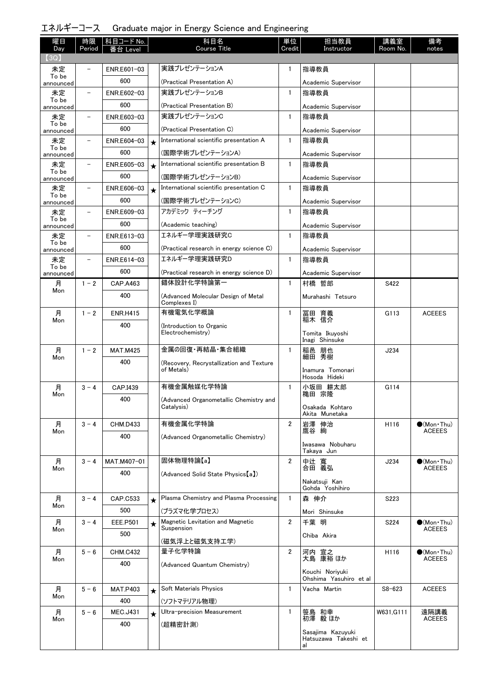| エネルギーコース Graduate major in Energy Science and Engineering |  |  |  |  |
|-----------------------------------------------------------|--|--|--|--|
|-----------------------------------------------------------|--|--|--|--|

| 曜日<br>Day          | 時限<br>Period             | 科目コード No.<br>番台 Level |         | 科目名<br>Course Title                                    | 単位<br>Credit   | 担当教員<br>Instructor                        | 講義室<br>Room No. | 備考<br>notes                          |
|--------------------|--------------------------|-----------------------|---------|--------------------------------------------------------|----------------|-------------------------------------------|-----------------|--------------------------------------|
| 【3Q】               |                          |                       |         |                                                        |                |                                           |                 |                                      |
| 未定                 |                          | ENR.E601-03           |         | 実践プレゼンテーションA                                           | 1              | 指導教員                                      |                 |                                      |
| To be<br>announced |                          | 600                   |         | (Practical Presentation A)                             |                | Academic Supervisor                       |                 |                                      |
| 未定                 |                          | ENR.E602-03           |         | 実践プレゼンテーションB                                           | $\mathbf{1}$   | 指導教員                                      |                 |                                      |
| To be<br>announced |                          | 600                   |         | (Practical Presentation B)                             |                | Academic Supervisor                       |                 |                                      |
| 未定                 | $\qquad \qquad -$        | ENR.E603-03           |         | 実践プレゼンテーションC                                           | $\mathbf{1}$   | 指導教員                                      |                 |                                      |
| To be<br>announced |                          | 600                   |         | (Practical Presentation C)                             |                | Academic Supervisor                       |                 |                                      |
| 未定                 | $\overline{\phantom{a}}$ | ENR.E604-03           | $\star$ | International scientific presentation A                | $\mathbf{1}$   | 指導教員                                      |                 |                                      |
| To be<br>announced |                          | 600                   |         | (国際学術プレゼンテーションA)                                       |                | Academic Supervisor                       |                 |                                      |
| 未定<br>To be        | $\qquad \qquad -$        | ENR.E605-03           | $\star$ | International scientific presentation B                | $\mathbf{1}$   | 指導教員                                      |                 |                                      |
| announced          |                          | 600                   |         | (国際学術ブレゼンテーションB)                                       |                | Academic Supervisor                       |                 |                                      |
| 未定<br>To be        |                          | ENR.E606-03           | $\star$ | International scientific presentation C                | 1              | 指導教員                                      |                 |                                      |
| announced          |                          | 600                   |         | (国際学術プレゼンテーションC)                                       |                | Academic Supervisor                       |                 |                                      |
| 未定<br>To be        |                          | ENR.E609-03           |         | アカデミック ティーチング                                          | $\mathbf{1}$   | 指導教員                                      |                 |                                      |
| announced          |                          | 600                   |         | (Academic teaching)                                    |                | Academic Supervisor                       |                 |                                      |
| 未定<br>To be        | $\qquad \qquad -$        | ENR.E613-03           |         | エネルギー学理実践研究C                                           | $\mathbf{1}$   | 指導教員                                      |                 |                                      |
| announced          |                          | 600                   |         | (Practical research in energy science C)               |                | Academic Supervisor                       |                 |                                      |
| 未定<br>To be        | $\overline{\phantom{m}}$ | ENR.E614-03           |         | エネルギー学理実践研究D                                           | $\mathbf{1}$   | 指導教員                                      |                 |                                      |
| announced          |                          | 600                   |         | (Practical research in energy science D)               |                | Academic Supervisor                       |                 |                                      |
| 月<br>Mon           | $1 - 2$                  | CAP.A463              |         | 錯体設計化学特論第一                                             | $\mathbf{1}$   | 村橋 哲郎                                     | S422            |                                      |
|                    |                          | 400                   |         | (Advanced Molecular Design of Metal<br>Complexes I)    |                | Murahashi Tetsuro                         |                 |                                      |
| 月                  | $1 - 2$                  | <b>ENR.H415</b>       |         | 有機電気化学概論                                               | $\mathbf{1}$   | 冨田 育義<br>稲木 信介                            | G113            | <b>ACEEES</b>                        |
| Mon                |                          | 400                   |         | (Introduction to Organic<br>Electrochemistry)          |                | Tomita Ikuyoshi                           |                 |                                      |
|                    | $1 - 2$                  | <b>MAT.M425</b>       |         | 金属の回復・再結晶・集合組織                                         | $\mathbf{1}$   | Inagi Shinsuke                            | J234            |                                      |
| 月<br>Mon           |                          | 400                   |         |                                                        |                | 稲邑 朋也<br>細田 秀樹                            |                 |                                      |
|                    |                          |                       |         | (Recovery, Recrystallization and Texture<br>of Metals) |                | Inamura Tomonari<br>Hosoda Hideki         |                 |                                      |
| 月                  | $3 - 4$                  | CAP.I439              |         | 有機金属触媒化学特論                                             | $\mathbf{1}$   | 小坂田 耕太郎                                   | G114            |                                      |
| Mon                |                          | 400                   |         | (Advanced Organometallic Chemistry and                 |                | 穐田 宗隆                                     |                 |                                      |
|                    |                          |                       |         | Catalysis)                                             |                | Osakada Kohtaro<br>Akita Munetaka         |                 |                                      |
| 月                  | $3 - 4$                  | <b>CHM.D433</b>       |         | 有機金属化学特論                                               | $\overline{2}$ | 岩澤 伸治                                     | H116            | $\bullet$ (Mon Thu)                  |
| Mon                |                          | 400                   |         | (Advanced Organometallic Chemistry)                    |                | 鷹谷 絢                                      |                 | <b>ACEEES</b>                        |
|                    |                          |                       |         |                                                        |                | Iwasawa Nobuharu<br>Takaya Jun            |                 |                                      |
| 月                  | $3 - 4$                  | MAT.M407-01           |         | 固体物理特論【a】                                              | $\overline{2}$ | 中辻 寬<br>合田 義弘                             | J234            | $(Mon\cdot Thu)$                     |
| Mon                |                          | 400                   |         | (Advanced Solid State Physics [a])                     |                |                                           |                 | <b>ACEEES</b>                        |
|                    |                          |                       |         |                                                        |                | Nakatsuji Kan<br>Gohda Yoshihiro          |                 |                                      |
| 月                  | $3 - 4$                  | CAP.C533              | $\star$ | Plasma Chemistry and Plasma Processing                 | $\mathbf{1}$   | 森 伸介                                      | S223            |                                      |
| Mon                |                          | 500                   |         | (プラズマ化学プロセス)                                           |                | Mori Shinsuke                             |                 |                                      |
| 月                  | $3 - 4$                  | EEE.P501              | $\star$ | Magnetic Levitation and Magnetic                       | $\overline{2}$ | 千葉 明                                      | S224            | $\bullet$ (Mon Thu)                  |
| Mon                |                          | 500                   |         | Suspension                                             |                | Chiba Akira                               |                 | <b>ACEEES</b>                        |
|                    | $5 - 6$                  |                       |         | (磁気浮上と磁気支持工学)<br>量子化学特論                                | 2              |                                           |                 |                                      |
| 月<br>Mon           |                          | <b>CHM.C432</b>       |         |                                                        |                | 河内 宣之<br>大島 康裕 ほか                         | H116            | $\bullet$ (Mon Thu)<br><b>ACEEES</b> |
|                    |                          | 400                   |         | (Advanced Quantum Chemistry)                           |                | Kouchi Noriyuki<br>Ohshima Yasuhiro et al |                 |                                      |
| 月                  | $5 - 6$                  | <b>MAT.P403</b>       | $\star$ | Soft Materials Physics                                 | $\mathbf{1}$   | Vacha Martin                              | $S8 - 623$      | <b>ACEEES</b>                        |
| Mon                |                          | 400                   |         | (ソフトマテリアル物理)                                           |                |                                           |                 |                                      |
| 月                  | $5 - 6$                  | <b>MEC.J431</b>       | $\star$ | Ultra-precision Measurement                            | $\mathbf{1}$   | 笹島 和幸                                     | W631, G111      | 遠隔講義                                 |
| Mon                |                          | 400                   |         | (超精密計測)                                                |                | 初澤 毅 ほか                                   |                 | <b>ACEEES</b>                        |
|                    |                          |                       |         |                                                        |                | Sasajima Kazuyuki<br>Hatsuzawa Takeshi et |                 |                                      |
|                    |                          |                       |         |                                                        |                | al                                        |                 |                                      |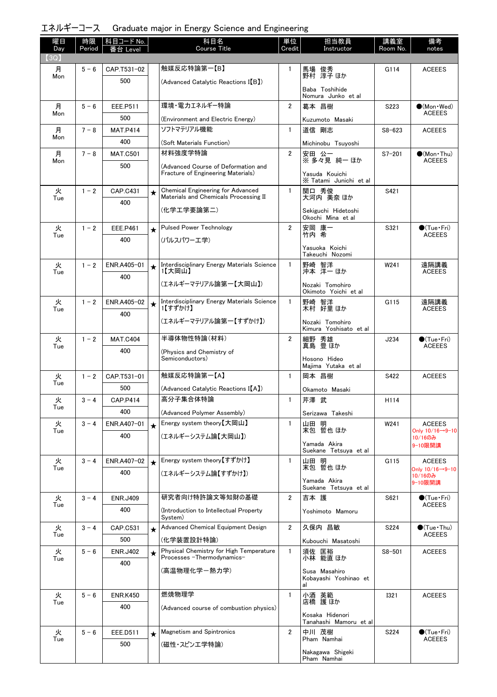|  | エネルギーコース Graduate major in Energy Science and Engineering |  |  |  |
|--|-----------------------------------------------------------|--|--|--|
|--|-----------------------------------------------------------|--|--|--|

| 曜日          | 時限      | │科目コード No.      |         | 科目名                                                                               | 単位             | 担当教員                                      | 講義室         | 備考                                      |
|-------------|---------|-----------------|---------|-----------------------------------------------------------------------------------|----------------|-------------------------------------------|-------------|-----------------------------------------|
| Day<br>(3Q) | Period  | 番台 Level        |         | <b>Course Title</b>                                                               | Credit         | Instructor                                | Room No.    | notes                                   |
| 月           | $5 - 6$ | CAP.T531-02     |         | 触媒反応特論第一【B】                                                                       | 1              | 馬場 俊秀<br>野村 淳子ほか                          | G114        | <b>ACEEES</b>                           |
| Mon         |         | 500             |         | (Advanced Catalytic Reactions I(B)                                                |                |                                           |             |                                         |
|             |         |                 |         |                                                                                   |                | Baba Toshihide<br>Nomura Junko et al      |             |                                         |
| 月           | $5 - 6$ | EEE.P511        |         | 環境・電力エネルギー特論                                                                      | 2              | 葛本 昌樹                                     | S223        | $\bigcirc$ (Mon · Wed)                  |
| Mon         |         | 500             |         | (Environment and Electric Energy)                                                 |                | Kuzumoto Masaki                           |             | <b>ACEEES</b>                           |
| 月           | $7 - 8$ | <b>MAT.P414</b> |         | ソフトマテリアル機能                                                                        | $\mathbf{1}$   | 道信 剛志                                     | $S8 - 623$  | <b>ACEEES</b>                           |
| Mon         |         | 400             |         | (Soft Materials Function)                                                         |                | Michinobu Tsuyoshi                        |             |                                         |
| 月           | $7 - 8$ | <b>MAT.C501</b> |         | 材料強度学特論                                                                           | $\overline{2}$ | 安田 公一<br>※ 多々見 純一 ほか                      | $S7 - 201$  | $\bullet$ (Mon · Thu)                   |
| Mon         |         | 500             |         | (Advanced Course of Deformation and                                               |                |                                           |             | ACEEES                                  |
|             |         |                 |         | Fracture of Engineering Materials)                                                |                | Yasuda Kouichi<br>X Tatami Junichi et al  |             |                                         |
| 火           | $1 - 2$ | <b>CAP.C431</b> | $\star$ | <b>Chemical Engineering for Advanced</b><br>Materials and Chemicals Processing II | $\mathbf{1}$   | 関口 秀俊<br>大河内 美奈 ほか                        | S421        |                                         |
| Tue         |         | 400             |         |                                                                                   |                |                                           |             |                                         |
|             |         |                 |         | (化学エ学要論第二)                                                                        |                | Sekiguchi Hidetoshi<br>Okochi Mina et al  |             |                                         |
| 火           | $1 - 2$ | EEE.P461        | $\star$ | <b>Pulsed Power Technology</b>                                                    | $\overline{2}$ | 安岡 康一<br>竹内 希                             | S321        | $\bullet$ (Tue•Fri)                     |
| Tue         |         | 400             |         | (パルスパワーエ学)                                                                        |                |                                           |             | <b>ACEEES</b>                           |
|             |         |                 |         |                                                                                   |                | Yasuoka Koichi<br>Takeuchi Nozomi         |             |                                         |
| 火           | $1 - 2$ | ENR.A405-01     | ★       | Interdisciplinary Energy Materials Science<br>1【大岡山】                              | $\mathbf{1}$   | 野崎 智洋<br>沖本 洋一ほか                          | W241        | 遠隔講義                                    |
| Tue         |         | 400             |         |                                                                                   |                |                                           |             | <b>ACEEES</b>                           |
|             |         |                 |         | (エネルギーマテリアル論第一【大岡山】)                                                              |                | Nozaki Tomohiro<br>Okimoto Yoichi et al   |             |                                         |
| 火           | $1 - 2$ | ENR.A405-02     |         | Interdisciplinary Energy Materials Science                                        | $\mathbf{1}$   | 野崎 智洋                                     | G115        | 遠隔講義                                    |
| Tue         |         | 400             |         | 1【すずかけ】                                                                           |                | 木村 好里 ほか                                  |             | <b>ACEEES</b>                           |
|             |         |                 |         | (エネルギーマテリアル論第一【すずかけ】)                                                             |                | Nozaki Tomohiro<br>Kimura Yoshisato et al |             |                                         |
| 火           | $1 - 2$ | <b>MAT.C404</b> |         | 半導体物性特論(材料)                                                                       | $\overline{2}$ | 細野 秀雄<br>真島 豊ほか                           | J234        | $\bigcirc$ (Tue · Fri)                  |
| Tue         |         | 400             |         | (Physics and Chemistry of                                                         |                |                                           |             | <b>ACEEES</b>                           |
|             |         |                 |         | Semiconductors)                                                                   |                | Hosono Hideo<br>Majima Yutaka et al       |             |                                         |
| 火           | $1 - 2$ | CAP.T531-01     |         | 触媒反応特論第一【A】                                                                       | $\mathbf{1}$   | 岡本 昌樹                                     | S422        | <b>ACEEES</b>                           |
| Tue         |         | 500             |         | (Advanced Catalytic Reactions I[A])                                               |                | Okamoto Masaki                            |             |                                         |
| 火           | $3 - 4$ | <b>CAP.P414</b> |         | 高分子集合体特論                                                                          | $\mathbf{1}$   | 芹澤 武                                      | H114        |                                         |
| I ue        |         | 400             |         | (Advanced Polymer Assembly)                                                       |                | Serizawa Takeshi                          |             |                                         |
| 火<br>Tue    | $3 - 4$ | ENR.A407-01     | $\star$ | Energy system theory【大岡山】                                                         | 1              | 山田 明<br>末包 哲也 ほか                          | W241        | <b>ACEEES</b><br>Only 10/16→9-10        |
|             |         | 400             |         | (エネルギーシステム論【大岡山】)                                                                 |                |                                           |             | 10/16のみ                                 |
|             |         |                 |         |                                                                                   |                | Yamada Akira<br>Suekane Tetsuya et al     |             | 9-10限開講                                 |
| 火<br>Tue    | $3 - 4$ | ENR.A407-02     |         | Energy system theory【すずかけ】                                                        | $\mathbf{1}$   | 山田 明<br>末包 哲也 ほか                          | G115        | <b>ACEEES</b>                           |
|             |         | 400             |         | (エネルギーシステム論【すずかけ】)                                                                |                |                                           |             | Only 10/16→9-10<br>10/16のみ              |
|             |         |                 |         |                                                                                   |                | Yamada Akira<br>Suekane Tetsuya et al     |             | 9-10限開講                                 |
| 火<br>Tue    | $3 - 4$ | <b>ENR.J409</b> |         | 研究者向け特許論文等知財の基礎                                                                   | $\overline{2}$ | 吉本 護                                      | S621        | $\bigcirc$ (Tue · Fri)<br><b>ACEEES</b> |
|             |         | 400             |         | (Introduction to Intellectual Property<br>System)                                 |                | Yoshimoto Mamoru                          |             |                                         |
| 火           | $3 - 4$ | CAP.C531        | $\star$ | Advanced Chemical Equipment Design                                                | $\overline{2}$ | 久保内 昌敏                                    | S224        | $\bullet$ (Tue · Thu)                   |
| Tue         |         | 500             |         | (化学装置設計特論)                                                                        |                | Kubouchi Masatoshi                        |             | <b>ACEEES</b>                           |
| 火           | $5 - 6$ | <b>ENR.J402</b> | $\star$ | Physical Chemistry for High Temperature                                           | 1              | 須佐 匡裕                                     | $S8 - 501$  | <b>ACEEES</b>                           |
| Tue         |         | 400             |         | Processes - Thermodynamics-                                                       |                | バ林 能直 ほか                                  |             |                                         |
|             |         |                 |         | (高温物理化学-熱カ学)                                                                      |                | Susa Masahiro<br>Kobayashi Yoshinao et    |             |                                         |
| 火           | $5 - 6$ | <b>ENR.K450</b> |         | 燃焼物理学                                                                             | $\mathbf{1}$   | al                                        | <b>I321</b> | <b>ACEEES</b>                           |
| Tue         |         | 400             |         | (Advanced course of combustion physics)                                           |                | 小酒 英範<br>店橋 護ほか                           |             |                                         |
|             |         |                 |         |                                                                                   |                | Kosaka Hidenori<br>Tanahashi Mamoru et al |             |                                         |
| 火           | $5 - 6$ | EEE.D511        | $\star$ | Magnetism and Spintronics                                                         | $\overline{2}$ | 中川 茂樹                                     | S224        | $\bigcirc$ (Tue · Fri)                  |
| Tue         |         | 500             |         | (磁性・スピンエ学特論)                                                                      |                | Pham Namhai                               |             | <b>ACEEES</b>                           |
|             |         |                 |         |                                                                                   |                | Nakagawa Shigeki<br>Pham Namhai           |             |                                         |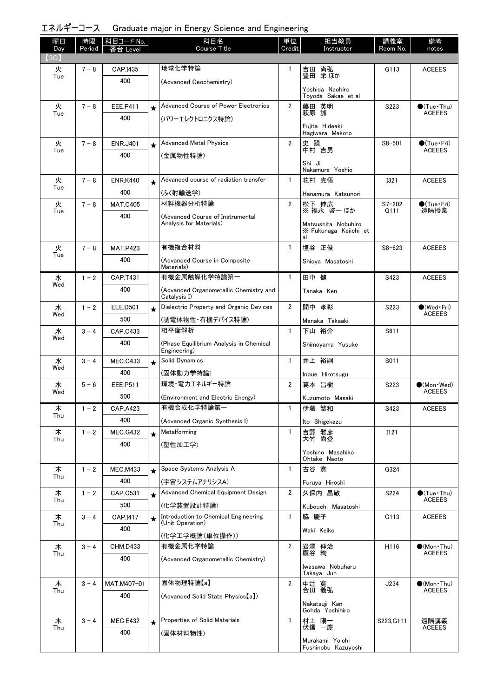| エネルギーコース Graduate major in Energy Science and Engineering |  |  |  |  |
|-----------------------------------------------------------|--|--|--|--|
|-----------------------------------------------------------|--|--|--|--|

| 曜日<br>Day | 時限<br>Period | │科目コード No.<br>番台 Level |         | 科目名<br><b>Course Title</b>                                  | 単位<br>Credit   | 担当教員<br>Instructor                                 | 講義室<br>Room No.    | 備考<br>notes                                  |
|-----------|--------------|------------------------|---------|-------------------------------------------------------------|----------------|----------------------------------------------------|--------------------|----------------------------------------------|
| (3Q)      | $7 - 8$      | CAP.I435               |         | 地球化学特論                                                      | 1              |                                                    | G113               |                                              |
| 火<br>Tue  |              | 400                    |         | (Advanced Geochemistry)                                     |                | 吉田 尚弘<br>豊田 栄ほか                                    |                    | <b>ACEEES</b>                                |
|           |              |                        |         |                                                             |                | Yoshida Naohiro<br>Toyoda Sakae et al              |                    |                                              |
| 火         | $7 - 8$      | <b>EEE.P411</b>        | $\star$ | Advanced Course of Power Electronics                        | $\overline{2}$ | 藤田 英明<br>萩原 誠                                      | S223               | $\bullet$ (Tue · Thu)                        |
| Tue       |              | 400                    |         | (パワーエレクトロニクス特論)                                             |                | Fujita Hideaki<br>Hagiwara Makoto                  |                    | <b>ACEEES</b>                                |
| 火         | $7 - 8$      | <b>ENR.J401</b>        | $\star$ | <b>Advanced Metal Physics</b>                               | $\overline{2}$ | 史 蹟                                                | $S8 - 501$         | $\bigcirc$ (Tue·Fri)                         |
| Tue       |              | 400                    |         | (金属物性特論)                                                    |                | 中村言男                                               |                    | <b>ACEEES</b>                                |
|           |              |                        |         |                                                             |                | Shi Ji<br>Nakamura Yoshio                          |                    |                                              |
| 火         | $7 - 8$      | <b>ENR.K440</b>        | $\star$ | Advanced course of radiation transfer                       | $\mathbf{1}$   | 花村 克悟                                              | <b>I321</b>        | <b>ACEEES</b>                                |
| Tue       |              | 400                    |         | (ふく射輸送学)                                                    |                | Hanamura Katsunori                                 |                    |                                              |
| 火         | $7 - 8$      | <b>MAT.C405</b>        |         | 材料機器分析特論                                                    | $\overline{2}$ | 松下 伸広<br>※ 福永 啓一 ほか                                | $S7 - 202$<br>G111 | $\bullet$ (Tue · Fri)<br>遠隔授業                |
| Tue       |              | 400                    |         | (Advanced Course of Instrumental<br>Analysis for Materials) |                | Matsushita Nobuhiro<br>X Fukunaga Keiichi et<br>al |                    |                                              |
| 火         | $7 - 8$      | <b>MAT.P423</b>        |         | 有機複合材料                                                      | $\mathbf{1}$   | 塩谷 正俊                                              | $S8 - 623$         | <b>ACEEES</b>                                |
| Tue       |              | 400                    |         | (Advanced Course in Composite<br>Materials)                 |                | Shioya Masatoshi                                   |                    |                                              |
| 水         | $1 - 2$      | <b>CAP.T431</b>        |         | 有機金属触媒化学特論第一                                                | $\mathbf{1}$   | 田中 健                                               | S423               | <b>ACEEES</b>                                |
| Wed       |              | 400                    |         | (Advanced Organometallic Chemistry and<br>Catalysis I)      |                | Tanaka Ken                                         |                    |                                              |
| 水<br>Wed  | $1 - 2$      | <b>EEE.D501</b>        | $\star$ | Dielectric Property and Organic Devices                     | $\overline{2}$ | 間中 孝彰                                              | S223               | $\bullet$ (Wed $\cdot$ Fri)<br><b>ACEEES</b> |
|           |              | 500                    |         | (誘電体物性・有機デバイス特論)                                            |                | Manaka Takaaki                                     |                    |                                              |
| 水<br>Wed  | $3 - 4$      | CAP.C433               |         | 相平衡解析                                                       | $\mathbf{1}$   | 下山 裕介                                              | S611               |                                              |
|           |              | 400                    |         | (Phase Equilibrium Analysis in Chemical<br>Engineering)     |                | Shimoyama Yusuke                                   |                    |                                              |
| 水<br>Wed  | $3 - 4$      | <b>MEC.C433</b>        | $\star$ | Solid Dynamics                                              | $\mathbf{1}$   | 井上 裕嗣                                              | S011               |                                              |
|           |              | 400                    |         | (固体動力学特論)                                                   |                | Inoue Hirotsugu                                    |                    |                                              |
| 水<br>Wed  | $5 - 6$      | <b>EEE.P511</b>        |         | 環境・電力エネルギー特論                                                | $\overline{2}$ | 葛本 昌樹                                              | S223               | $\bullet$ (Mon · Wed)<br><b>ACEEES</b>       |
|           |              | 500                    |         | (Environment and Electric Energy)                           |                | Kuzumoto Masaki                                    |                    |                                              |
| 木<br>Thu  | $1 - 2$      | CAP.A423               |         | 有機合成化学特論第一                                                  | 1              | 伊藤 繁和                                              | S423               | <b>ACEEES</b>                                |
|           |              | 400                    |         | (Advanced Organic Synthesis I)                              |                | Ito Shigekazu                                      |                    |                                              |
| 木<br>Thu  | $1 - 2$      | <b>MEC.G432</b>        | $\star$ | Metalforming                                                | $\mathbf{1}$   | 吉野 雅彦<br>大竹 尚登                                     | I121               |                                              |
|           |              | 400                    |         | (塑性加工学)                                                     |                | Yoshino Masahiko                                   |                    |                                              |
|           |              |                        |         | Space Systems Analysis A                                    | $\mathbf{1}$   | Ohtake Naoto                                       |                    |                                              |
| 木<br>Thu  | $1 - 2$      | <b>MEC.M433</b><br>400 | $\star$ |                                                             |                | 古谷 寛                                               | G324               |                                              |
| 木         | $1 - 2$      | CAP.C531               |         | (宇宙システムアナリシスA)<br>Advanced Chemical Equipment Design        | $\overline{2}$ | Furuya Hiroshi<br>久保内 昌敏                           | S224               | $\bullet$ (Tue · Thu)                        |
| Thu       |              | 500                    | $\star$ | (化学装置設計特論)                                                  |                |                                                    |                    | <b>ACEEES</b>                                |
| 木         | $3 - 4$      | CAP.I417               | $\star$ | Introduction to Chemical Engineering                        | $\mathbf{1}$   | Kubouchi Masatoshi<br>脇 慶子                         | G113               | <b>ACEEES</b>                                |
| Thu       |              | 400                    |         | (Unit Operation)                                            |                | Waki Keiko                                         |                    |                                              |
|           |              |                        |         | (化学工学概論(単位操作))                                              |                |                                                    |                    |                                              |
| 木<br>Thu  | $3 - 4$      | <b>CHM.D433</b>        |         | 有機金属化学特論                                                    | $\overline{2}$ | 岩澤 伸治<br>鷹谷 絢                                      | H116               | $\bullet$ (Mon Thu)<br><b>ACEEES</b>         |
|           |              | 400                    |         | (Advanced Organometallic Chemistry)                         |                | Iwasawa Nobuharu<br>Takaya Jun                     |                    |                                              |
| 木         | $3 - 4$      | MAT.M407-01            |         | 固体物理特論【a】                                                   | $\overline{2}$ | 中辻 寬                                               | J234               | $\bullet$ (Mon•Thu)                          |
| Thu       |              | 400                    |         | (Advanced Solid State Physics [a])                          |                | 合田 義弘                                              |                    | <b>ACEEES</b>                                |
|           |              |                        |         |                                                             |                | Nakatsuji Kan<br>Gohda Yoshihiro                   |                    |                                              |
| 木<br>Thu  | $3 - 4$      | <b>MEC.E432</b>        | $\star$ | Properties of Solid Materials                               | $\mathbf{1}$   | 村上 陽一<br>伏信 一慶                                     | S223, G111         | 遠隔講義<br><b>ACEEES</b>                        |
|           |              | 400                    |         | (固体材料物性)                                                    |                | Murakami Yoichi                                    |                    |                                              |
|           |              |                        |         |                                                             |                | Fushinobu Kazuyoshi                                |                    |                                              |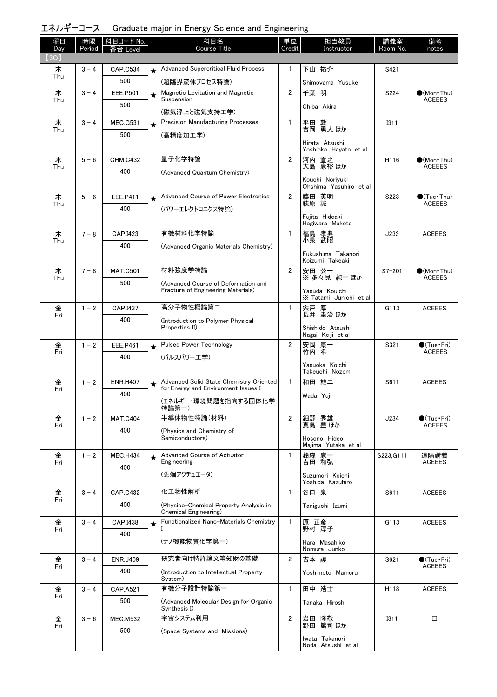|  | エネルギーコース Graduate major in Energy Science and Engineering |  |  |  |
|--|-----------------------------------------------------------|--|--|--|
|--|-----------------------------------------------------------|--|--|--|

| 曜日<br>Day | 時限<br>Period | │科目コード No.<br>番台 Level |         | 科目名<br><b>Course Title</b>                                                | 単位<br>Credit   | 担当教員<br>Instructor                    | 講義室<br>Room No. | 備考<br>notes                                  |
|-----------|--------------|------------------------|---------|---------------------------------------------------------------------------|----------------|---------------------------------------|-----------------|----------------------------------------------|
| (3Q)      |              |                        |         |                                                                           |                |                                       |                 |                                              |
| 木<br>Thu  | $3 - 4$      | <b>CAP.C534</b>        | $\star$ | <b>Advanced Supercritical Fluid Process</b>                               | $\mathbf{1}$   | 下山 裕介                                 | S421            |                                              |
|           |              | 500                    |         | (超臨界流体プロセス特論)                                                             |                | Shimoyama Yusuke                      |                 |                                              |
| 木<br>Thu  | $3 - 4$      | EEE.P501               | $\star$ | Magnetic Levitation and Magnetic<br>Suspension                            | $\overline{2}$ | 千葉 明                                  | S224            | $\bullet$ (Mon Thu)<br><b>ACEEES</b>         |
|           |              | 500                    |         | (磁気浮上と磁気支持エ学)                                                             |                | Chiba Akira                           |                 |                                              |
| 木<br>Thu  | $3 - 4$      | <b>MEC.G531</b>        | $\star$ | <b>Precision Manufacturing Processes</b>                                  | $\mathbf{1}$   | 平田 敦<br>吉岡 勇人 ほか                      | <b>I311</b>     |                                              |
|           |              | 500                    |         | (高精度加工学)                                                                  |                | Hirata Atsushi                        |                 |                                              |
|           |              |                        |         |                                                                           |                | Yoshioka Hayato et al                 |                 |                                              |
| 木<br>Thu  | $5 - 6$      | <b>CHM.C432</b>        |         | 量子化学特論                                                                    | $\overline{2}$ | 河内 宣之<br>大島 康裕 ほか                     | H116            | $\bullet$ (Mon•Thu)<br><b>ACEEES</b>         |
|           |              | 400                    |         | (Advanced Quantum Chemistry)                                              |                | Kouchi Noriyuki                       |                 |                                              |
|           |              |                        |         |                                                                           |                | Ohshima Yasuhiro et al                |                 |                                              |
| 木<br>Thu  | $5 - 6$      | EEE.P411               | $\star$ | Advanced Course of Power Electronics                                      | $\overline{2}$ | 藤田 英明<br>萩原誠                          | S223            | $\bigcirc$ (Tue · Thu)<br><b>ACEEES</b>      |
|           |              | 400                    |         | (パワーエレクトロニクス特論)                                                           |                | Fujita Hideaki                        |                 |                                              |
|           |              |                        |         |                                                                           |                | Hagiwara Makoto                       |                 |                                              |
| 木<br>Thu  | $7 - 8$      | CAP.I423               |         | 有機材料化学特論                                                                  | $\mathbf{1}$   | 福島 孝典<br>小泉 武昭                        | J233            | <b>ACEEES</b>                                |
|           |              | 400                    |         | (Advanced Organic Materials Chemistry)                                    |                | Fukushima Takanori                    |                 |                                              |
|           |              |                        |         | 材料強度学特論                                                                   | $\overline{2}$ | Koizumi Takeaki                       |                 |                                              |
| 木<br>Thu  | $7 - 8$      | <b>MAT.C501</b><br>500 |         |                                                                           |                | 安田 公一<br>※多々見 純一 ほか                   | $S7 - 201$      | $(Mon\cdot Thu)$<br><b>ACEEES</b>            |
|           |              |                        |         | (Advanced Course of Deformation and<br>Fracture of Engineering Materials) |                | Yasuda Kouichi                        |                 |                                              |
| 金         | $1 - 2$      | CAP.I437               |         | 高分子物性概論第二                                                                 | $\mathbf{1}$   | X Tatami Junichi et al<br>宍戸 厚        | G113            | <b>ACEEES</b>                                |
| Fri       |              | 400                    |         | (Introduction to Polymer Physical                                         |                | 長井 圭治 ほか                              |                 |                                              |
|           |              |                        |         | Properties II)                                                            |                | Shishido Atsushi<br>Nagai Keiji et al |                 |                                              |
| 金         | $1 - 2$      | EEE.P461               | $\star$ | <b>Pulsed Power Technology</b>                                            | $\overline{2}$ |                                       | S321            | $\bullet$ (Tue•Fri)                          |
| Fri       |              | 400                    |         | (パルスパワーエ学)                                                                |                | 安岡 康一<br>竹内 希                         |                 | <b>ACEEES</b>                                |
|           |              |                        |         |                                                                           |                | Yasuoka Koichi<br>Takeuchi Nozomi     |                 |                                              |
| 金         | $1 - 2$      | <b>ENR.H407</b>        | $\star$ | Advanced Solid State Chemistry Oriented                                   | $\mathbf{1}$   | 和田 雄二                                 | S611            | <b>ACEEES</b>                                |
| Fri       |              | 400                    |         | for Energy and Environment Issues I                                       |                | Wada Yuji                             |                 |                                              |
|           |              |                        |         | (エネルギー・環境問題を指向する固体化学<br>特論第一)                                             |                |                                       |                 |                                              |
| 金<br>Fri  | $1 - 2$      | <b>MAT.C404</b>        |         | 半導体物性特論(材料)                                                               | $\overline{2}$ | 細野 秀雄<br>真島 豊ほか                       | J234            | $\bullet$ (Tue•Fri)<br><b>ACEEES</b>         |
|           |              | 400                    |         | (Physics and Chemistry of<br>Semiconductors)                              |                |                                       |                 |                                              |
|           |              |                        |         |                                                                           |                | Hosono Hideo<br>Majima Yutaka et al   |                 |                                              |
| 金<br>Fri  | $1 - 2$      | <b>MEC.H434</b>        | $\star$ | Advanced Course of Actuator<br>Engineering                                | $\mathbf{1}$   | 鈴森 康一<br>吉田 和弘                        | S223, G111      | 遠隔講義<br><b>ACEEES</b>                        |
|           |              | 400                    |         | (先端アクチュエータ)                                                               |                | Suzumori Koichi                       |                 |                                              |
|           |              |                        |         |                                                                           |                | Yoshida Kazuhiro                      |                 |                                              |
| 金<br>Fri  | $3 - 4$      | <b>CAP.C432</b>        |         | 化工物性解析                                                                    | $\mathbf{1}$   | 谷口 泉                                  | S611            | <b>ACEEES</b>                                |
|           |              | 400                    |         | (Physico-Chemical Property Analysis in<br>Chemical Engineering)           |                | Taniguchi Izumi                       |                 |                                              |
| 金         | $3 - 4$      | CAP.I438               | $\star$ | Functionalized Nano-Materials Chemistry                                   | $\mathbf{1}$   | 原 正彦<br>野村 淳子                         | G113            | <b>ACEEES</b>                                |
| Fri       |              | 400                    |         | (ナノ機能物質化学第一)                                                              |                |                                       |                 |                                              |
|           |              |                        |         |                                                                           |                | Hara Masahiko<br>Nomura Junko         |                 |                                              |
| 金<br>Fri  | $3 - 4$      | <b>ENR.J409</b>        |         | 研究者向け特許論文等知財の基礎                                                           | $\overline{2}$ | 吉本 護                                  | S621            | $\bullet$ (Tue $\cdot$ Fri)<br><b>ACEEES</b> |
|           |              | 400                    |         | (Introduction to Intellectual Property)<br>System)                        |                | Yoshimoto Mamoru                      |                 |                                              |
| 金         | $3 - 4$      | <b>CAP.A521</b>        |         | 有機分子設計特論第一                                                                | $\mathbf{1}$   | 田中 浩士                                 | H118            | <b>ACEEES</b>                                |
| Fri       |              | 500                    |         | (Advanced Molecular Design for Organic                                    |                | Tanaka Hiroshi                        |                 |                                              |
|           | $3 - 6$      | <b>MEC.M532</b>        |         | Synthesis I)<br>宇宙システム利用                                                  | $\overline{2}$ | 岩田 隆敬                                 | <b>I311</b>     | □                                            |
| 金<br>Fri  |              | 500                    |         | (Space Systems and Missions)                                              |                | 野田 篤司 ほか                              |                 |                                              |
|           |              |                        |         |                                                                           |                | Iwata Takanori                        |                 |                                              |
|           |              |                        |         |                                                                           |                | Noda Atsushi et al                    |                 |                                              |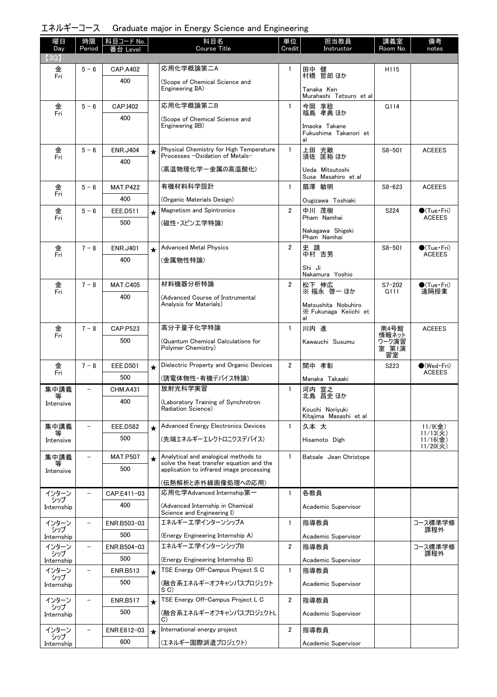| エネルギーコース Graduate major in Energy Science and Engineering |  |  |  |  |
|-----------------------------------------------------------|--|--|--|--|
|-----------------------------------------------------------|--|--|--|--|

| 曜日<br>Day         | 時限<br>Period             | │科目コード No.<br>番台 Level |         | 科目名<br><b>Course Title</b>                                                       | 単位<br>Credit   | 担当教員<br>Instructor                                       | 講義室<br>Room No.               | 備考<br>notes                                           |
|-------------------|--------------------------|------------------------|---------|----------------------------------------------------------------------------------|----------------|----------------------------------------------------------|-------------------------------|-------------------------------------------------------|
| (3Q)              |                          |                        |         |                                                                                  |                |                                                          |                               |                                                       |
| 金<br>Fri          | $5 - 6$                  | <b>CAP.A402</b>        |         | 応用化学概論第二A                                                                        | 1              | 田中 健<br>村橋 哲郎 ほか                                         | H115                          |                                                       |
|                   |                          | 400                    |         | (Scope of Chemical Science and<br>Engineering IIA)                               |                | Tanaka Ken<br>Murahashi Tetsuro et al                    |                               |                                                       |
| 金                 | $5 - 6$                  | CAP.I402               |         | 応用化学概論第二B                                                                        | $\mathbf{1}$   | 今岡 享稔                                                    | G114                          |                                                       |
| Fri               |                          | 400                    |         | (Scope of Chemical Science and<br>Engineering IIB)                               |                | 福島 孝典 ほか<br>Imaoka Takane<br>Fukushima Takanori et<br>al |                               |                                                       |
| 金                 | $5 - 6$                  | <b>ENR.J404</b>        | ★       | Physical Chemistry for High Temperature                                          | $\mathbf{1}$   | 上田 光敏                                                    | $S8 - 501$                    | <b>ACEEES</b>                                         |
| Fri               |                          | 400                    |         | Processes -Oxidation of Metals-                                                  |                | 須佐 匡裕 ほか                                                 |                               |                                                       |
|                   |                          |                        |         | (高温物理化学-金属の高温酸化)                                                                 |                | Ueda Mitsutoshi<br>Susa Masahiro et al                   |                               |                                                       |
| 金                 | $5 - 6$                  | <b>MAT.P422</b>        |         | 有機材料科学設計                                                                         | $\mathbf{1}$   | 扇澤 敏明                                                    | $S8 - 623$                    | <b>ACEEES</b>                                         |
| Fri               |                          | 400                    |         | (Organic Materials Design)                                                       |                | Ougizawa Toshiaki                                        |                               |                                                       |
| 金<br>Fri          | $5 - 6$                  | EEE.D511               | $\star$ | <b>Magnetism and Spintronics</b>                                                 | $\overline{2}$ | 中川 茂樹<br>Pham Namhai                                     | S224                          | $\bigcirc$ (Tue · Fri)<br><b>ACEEES</b>               |
|                   |                          | 500                    |         | (磁性・スピンエ学特論)                                                                     |                | Nakagawa Shigeki<br>Pham Namhai                          |                               |                                                       |
| 金<br>Fri          | $7 - 8$                  | <b>ENR.J401</b>        | $\star$ | <b>Advanced Metal Physics</b>                                                    | $\overline{2}$ | 史 蹟<br>中村 吉男                                             | $S8 - 501$                    | $\bigcirc$ (Tue · Fri)                                |
|                   |                          | 400                    |         | (金属物性特論)                                                                         |                |                                                          |                               | <b>ACEEES</b>                                         |
|                   |                          |                        |         |                                                                                  |                | Shi Ji<br>Nakamura Yoshio                                |                               |                                                       |
| 金<br>Fri          | $7 - 8$                  | <b>MAT.C405</b>        |         | 材料機器分析特論                                                                         | $\overline{2}$ | 松下 伸広<br>※ 福永 啓一 ほか                                      | $S7 - 202$<br>G111            | $\bullet$ (Tue•Fri)<br>遠隔授業                           |
|                   |                          | 400                    |         | (Advanced Course of Instrumental<br>Analysis for Materials)                      |                | Matsushita Nobuhiro<br>X Fukunaga Keiichi et<br>al       |                               |                                                       |
| 金                 | $7 - 8$                  | <b>CAP.P523</b>        |         | 高分子量子化学特論                                                                        | $\mathbf{1}$   | 川内 進                                                     | 南4号館                          | <b>ACEEES</b>                                         |
| Fri               |                          | 500                    |         | (Quantum Chemical Calculations for<br>Polymer Chemistry)                         |                | Kawauchi Susumu                                          | 情報ネット<br>ワーク演習<br>室 第1演<br>習室 |                                                       |
| 金                 | $7 - 8$                  | <b>EEE.D501</b>        | $\star$ | Dielectric Property and Organic Devices                                          | $\overline{2}$ | 間中 孝彰                                                    | S223                          | $\bullet$ (Wed Fri)                                   |
| Fri               |                          | 500                    |         | (誘電体物性・有機デバイス特論)                                                                 |                | Manaka Takaaki                                           |                               | <b>ACEEES</b>                                         |
| 集中講義<br>等         | $\overline{\phantom{0}}$ | <b>CHM.A431</b>        |         | 放射光科学実習                                                                          | $\mathbf{1}$   | 河内 宣之<br>北島 昌史 ほか                                        |                               |                                                       |
| Intensive         |                          | 400                    |         | (Laboratory Training of Synchrotron<br>Radiation Science)                        |                | Kouchi Noriyuki<br>Kitajima Masashi et al                |                               |                                                       |
| 集中講義              |                          | <b>EEE.D582</b>        | $\star$ | Advanced Energy Electronics Devices                                              | $\mathbf{1}$   | 久本 大                                                     |                               | $11/9$ (金)                                            |
| ₩<br>Intensive    |                          | 500                    |         | (先端エネルギーエレクトロニクスデバイス)                                                            |                | Hisamoto Digh                                            |                               | $11/13({\cal X})$<br>$11/16$ (金)<br>$11/20({\cal X})$ |
| 集中講義<br>等         |                          | <b>MAT.P507</b>        | $\star$ | Analytical and analogical methods to<br>solve the heat transfer equation and the | $\mathbf{1}$   | Batsale Jean Christope                                   |                               |                                                       |
| Intensive         |                          | 500                    |         | application to infrared image processing                                         |                |                                                          |                               |                                                       |
|                   |                          |                        |         | (伝熱解析と赤外線画像処理への応用)                                                               |                |                                                          |                               |                                                       |
| インターン<br>シップ      |                          | CAP.E411-03            |         | 応用化学Advanced Internship第一                                                        | 1              | 各教員                                                      |                               |                                                       |
| Internship        |                          | 400                    |         | (Advanced Internship in Chemical<br>Science and Engineering I)                   |                | Academic Supervisor                                      |                               |                                                       |
| インターン             | $\qquad \qquad -$        | ENR.B503-03            |         | エネルギーエ学インターンシップA                                                                 | $\mathbf{1}$   | 指導教員                                                     |                               | コース標準学修<br>課程外                                        |
| シップ<br>Internship |                          | 500                    |         | (Energy Engineering Internship A)                                                |                | Academic Supervisor                                      |                               |                                                       |
| インターン<br>シップ      |                          | ENR.B504-03            |         | エネルギーエ学インターンシップB                                                                 | $\overline{2}$ | 指導教員                                                     |                               | コース標準学修<br>課程外                                        |
| Internship        |                          | 500                    |         | (Energy Engineering Internship B)                                                |                | Academic Supervisor                                      |                               |                                                       |
| インターン<br>シップ      |                          | <b>ENR.B513</b>        | $\star$ | TSE Energy Off-Campus Project S C                                                | $\mathbf{1}$   | 指導教員                                                     |                               |                                                       |
| Internship        |                          | 500                    |         | (融合系エネルギーオフキャンパスプロジェクト<br>S C)                                                   |                | Academic Supervisor                                      |                               |                                                       |
| インターン             |                          | <b>ENR.B517</b>        | $\star$ | TSE Energy Off-Campus Project L C                                                | $\overline{2}$ | 指導教員                                                     |                               |                                                       |
| シップ<br>Internship |                          | 500                    |         | (融合系エネルギーオフキャンパスプロジェクトL<br>C)                                                    |                | Academic Supervisor                                      |                               |                                                       |
| インターン             |                          | ENR.E612-03            | $\star$ | International energy project                                                     | $\overline{2}$ | 指導教員                                                     |                               |                                                       |
| シップ<br>Internship |                          | 600                    |         | (エネルギー国際派遣プロジェクト)                                                                |                | Academic Supervisor                                      |                               |                                                       |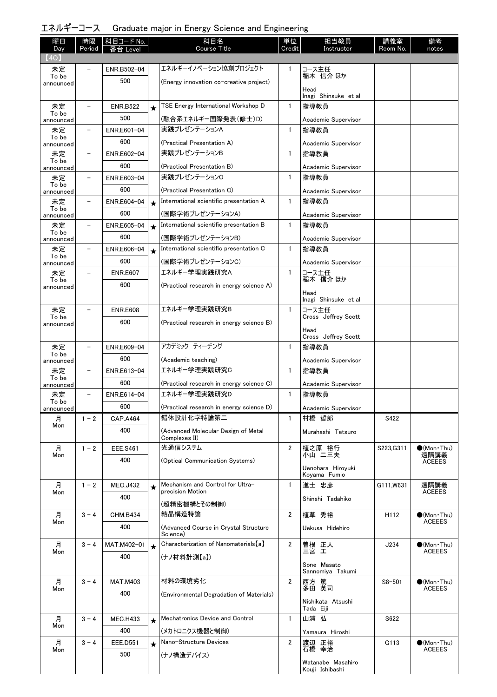| エネルギーコース Graduate major in Energy Science and Engineering |  |  |  |  |
|-----------------------------------------------------------|--|--|--|--|
|-----------------------------------------------------------|--|--|--|--|

| 曜日                 | 時限                       | 科目コード No.       |         | 科目名                                                      | 単位             | 担当教員                                 | 講義室        | 備考                                   |
|--------------------|--------------------------|-----------------|---------|----------------------------------------------------------|----------------|--------------------------------------|------------|--------------------------------------|
| Day<br>(4Q)        | Period                   | Level           |         | <b>Course Title</b>                                      | Credit         | Instructor                           | Room No.   | notes                                |
| 未定                 |                          | ENR.B502-04     |         | エネルギーイノベーション協創プロジェクト                                     | 1              | コース主任                                |            |                                      |
| To be<br>announced |                          | 500             |         | (Energy innovation co-creative project)                  |                | 稲木 信介 ほか                             |            |                                      |
|                    |                          |                 |         |                                                          |                | Head<br>Inagi Shinsuke et al         |            |                                      |
| 未定                 | $\overline{\phantom{m}}$ | <b>ENR.B522</b> | $\star$ | TSE Energy International Workshop D                      | $\mathbf{1}$   | 指導教員                                 |            |                                      |
| To be<br>announced |                          | 500             |         | (融合系エネルギー国際発表(修士)D)                                      |                | Academic Supervisor                  |            |                                      |
| 未定                 | -                        | ENR.E601-04     |         | 実践プレゼンテーションA                                             | $\mathbf{1}$   | 指導教員                                 |            |                                      |
| To be<br>announced |                          | 600             |         | (Practical Presentation A)                               |                | Academic Supervisor                  |            |                                      |
| 未定                 |                          | ENR.E602-04     |         | 実践プレゼンテーションB                                             | $\mathbf{1}$   | 指導教員                                 |            |                                      |
| To be<br>announced |                          | 600             |         | (Practical Presentation B)                               |                | Academic Supervisor                  |            |                                      |
| 未定                 |                          | ENR.E603-04     |         | 実践プレゼンテーションC                                             | $\mathbf{1}$   | 指導教員                                 |            |                                      |
| To be<br>announced |                          | 600             |         | (Practical Presentation C)                               |                | Academic Supervisor                  |            |                                      |
| 未定                 | $\overline{\phantom{0}}$ | ENR.E604-04     | $\star$ | International scientific presentation A                  | $\mathbf{1}$   | 指導教員                                 |            |                                      |
| To be<br>announced |                          | 600             |         | (国際学術プレゼンテーションA)                                         |                | Academic Supervisor                  |            |                                      |
| 未定                 | $\qquad \qquad -$        | ENR.E605-04     | $\star$ | International scientific presentation B                  | $\mathbf{1}$   | 指導教員                                 |            |                                      |
| To be              |                          | 600             |         | (国際学術プレゼンテーションB)                                         |                | Academic Supervisor                  |            |                                      |
| announced<br>未定    | $\overline{\phantom{0}}$ | ENR.E606-04     | $\star$ | International scientific presentation C                  | $\mathbf{1}$   | 指導教員                                 |            |                                      |
| To be              |                          | 600             |         | (国際学術プレゼンテーションC)                                         |                | Academic Supervisor                  |            |                                      |
| announced<br>未定    |                          | <b>ENR.E607</b> |         | エネルギー学理実践研究A                                             | $\mathbf{1}$   | コース主任                                |            |                                      |
| To be              |                          | 600             |         | (Practical research in energy science A)                 |                | 稲木 信介 ほか                             |            |                                      |
| announced          |                          |                 |         |                                                          |                | Head                                 |            |                                      |
| 未定                 |                          | <b>ENR.E608</b> |         | エネルギー学理実践研究B                                             | $\mathbf{1}$   | Inagi Shinsuke et al<br>コース主任        |            |                                      |
| To be              |                          | 600             |         |                                                          |                | Cross Jeffrey Scott                  |            |                                      |
| announced          |                          |                 |         | (Practical research in energy science B)                 |                | Head                                 |            |                                      |
|                    |                          |                 |         |                                                          |                | Cross Jeffrey Scott                  |            |                                      |
| 未定<br>To be        |                          | ENR.E609-04     |         | アカデミック ティーチング                                            | $\mathbf{1}$   | 指導教員                                 |            |                                      |
| announced          |                          | 600             |         | (Academic teaching)                                      |                | Academic Supervisor                  |            |                                      |
| 未定<br>To be        | $\qquad \qquad -$        | ENR.E613-04     |         | エネルギー学理実践研究C                                             | $\mathbf{1}$   | 指導教員                                 |            |                                      |
| announced          |                          | 600             |         | (Practical research in energy science C)<br>エネルギー学理実践研究D |                | Academic Supervisor                  |            |                                      |
| 未定<br>To be        | $\overline{\phantom{0}}$ | ENR.E614-04     |         |                                                          | $\mathbf{1}$   | 指導教員                                 |            |                                      |
| announced          |                          | 600             |         | (Practical research in energy science D)<br>錯体設計化学特論第二   | $\mathbf{1}$   | Academic Supervisor                  |            |                                      |
| 月<br>Mon           | $1 - 2$                  | <b>CAP.A464</b> |         |                                                          |                | 村橋 哲郎                                | S422       |                                      |
|                    |                          | 400             |         | (Advanced Molecular Design of Metal<br>Complexes II)     |                | Murahashi Tetsuro                    |            |                                      |
| 月                  | $1 - 2$                  | <b>EEE.S461</b> |         | 光通信システム                                                  | 2              | 植之原 裕行<br>小山 二三夫                     | S223, G311 | $\bullet$ (Mon Thu)                  |
| Mon                |                          | 400             |         | (Optical Communication Systems)                          |                |                                      |            | 遠隔講義<br><b>ACEEES</b>                |
|                    |                          |                 |         |                                                          |                | Uenohara Hirovuki<br>Koyama Fumio    |            |                                      |
| 月                  | $1 - 2$                  | <b>MEC.J432</b> | $\star$ | Mechanism and Control for Ultra-                         | $\mathbf{1}$   | 進士 忠彦                                | G111.W631  | 遠隔講義                                 |
| Mon                |                          | 400             |         | precision Motion                                         |                | Shinshi Tadahiko                     |            | <b>ACEEES</b>                        |
|                    |                          |                 |         | (超精密機構とその制御)                                             |                |                                      |            |                                      |
| 月<br>Mon           | $3 - 4$                  | <b>CHM.B434</b> |         | 結晶構造特論                                                   | 2              | 植草 秀裕                                | H112       | $\bullet$ (Mon Thu)<br><b>ACEEES</b> |
|                    |                          | 400             |         | (Advanced Course in Crystal Structure<br>Science)        |                | Uekusa Hidehiro                      |            |                                      |
| 月                  | $3 - 4$                  | MAT.M402-01     | $\star$ | Characterization of Nanomaterials [a]                    | $\overline{2}$ | 曽根 正人                                | J234       | $\bullet$ (Mon Thu)                  |
| Mon                |                          | 400             |         | (ナノ材料計測【a】)                                              |                | 三宮 工                                 |            | <b>ACEEES</b>                        |
|                    |                          |                 |         |                                                          |                | Sone Masato<br>Sannomiya Takumi      |            |                                      |
| 月                  | $3 - 4$                  | <b>MAT.M403</b> |         | 材料の環境劣化                                                  | $\overline{2}$ | 西方 篤                                 | $S8 - 501$ | $\bullet$ (Mon Thu)                  |
| Mon                |                          | 400             |         | (Environmental Degradation of Materials)                 |                | 多田 英司                                |            | <b>ACEEES</b>                        |
|                    |                          |                 |         |                                                          |                | Nishikata Atsushi                    |            |                                      |
| 月                  | $3 - 4$                  | <b>MEC.H433</b> | $\star$ | Mechatronics Device and Control                          | $\mathbf{1}$   | Tada Eiji<br>山浦 弘                    | S622       |                                      |
| Mon                |                          | 400             |         | (メカトロニクス機器と制御)                                           |                | Yamaura Hiroshi                      |            |                                      |
| 月                  | $3 - 4$                  | <b>EEE.D551</b> | $\star$ | Nano-Structure Devices                                   | 2              | 渡辺 正裕                                | G113       | $\bullet$ (Mon Thu)                  |
| Mon                |                          | 500             |         | (ナノ構造デバイス)                                               |                | 石橋 幸治                                |            | <b>ACEEES</b>                        |
|                    |                          |                 |         |                                                          |                | Watanabe Masahiro<br>Kouji Ishibashi |            |                                      |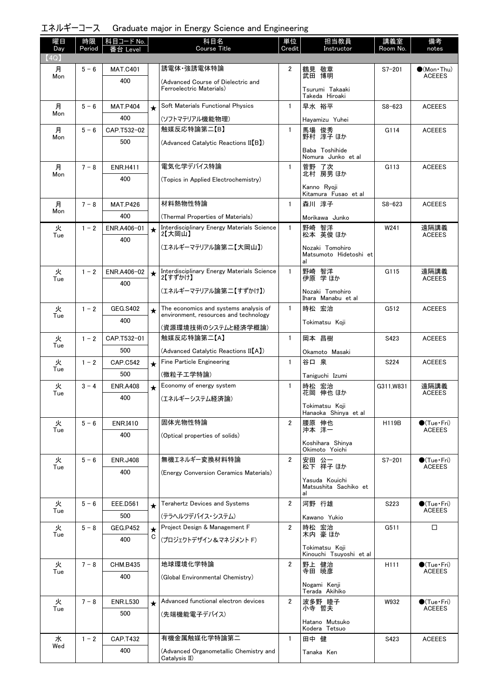|  | エネルギーコース Graduate major in Energy Science and Engineering |  |  |  |
|--|-----------------------------------------------------------|--|--|--|
|--|-----------------------------------------------------------|--|--|--|

| 曜日<br>Day | 時限<br>Period | │科目コード No.<br>番台 Level |              | 科目名<br><b>Course Title</b>                                        | 単位<br>Credit   | 担当教員<br>Instructor                              | 講義室<br>Room No.  | 備考<br>notes                            |
|-----------|--------------|------------------------|--------------|-------------------------------------------------------------------|----------------|-------------------------------------------------|------------------|----------------------------------------|
| (4Q)      |              |                        |              |                                                                   |                |                                                 |                  |                                        |
| 月<br>Mon  | $5 - 6$      | <b>MAT.C401</b>        |              | 誘電体 強誘電体特論                                                        | $\overline{2}$ | 鶴見 敬章<br>武田 博明                                  | $S7 - 201$       | $\bullet$ (Mon · Thu)<br><b>ACEEES</b> |
|           |              | 400                    |              | (Advanced Course of Dielectric and<br>Ferroelectric Materials)    |                | Tsurumi Takaaki<br>Takeda Hiroaki               |                  |                                        |
| 月         | $5 - 6$      | <b>MAT.P404</b>        | $\star$      | Soft Materials Functional Physics                                 | $\mathbf{1}$   | 早水 裕平                                           | $S8 - 623$       | <b>ACEEES</b>                          |
| Mon       |              | 400                    |              | (ソフトマテリアル機能物理)                                                    |                | Hayamizu Yuhei                                  |                  |                                        |
| 月         | $5 - 6$      | CAP.T532-02            |              | 触媒反応特論第二【B】                                                       | $\mathbf{1}$   | 馬場<br>俊秀<br>野村 淳子 ほか                            | G114             | <b>ACEEES</b>                          |
| Mon       |              | 500                    |              | (Advanced Catalytic Reactions II(B))                              |                | Baba Toshihide<br>Nomura Junko et al            |                  |                                        |
| 月         | $7 - 8$      | <b>ENR.H411</b>        |              | 電気化学デバイス特論                                                        | $\mathbf{1}$   |                                                 | G113             | <b>ACEEES</b>                          |
| Mon       |              | 400                    |              | (Topics in Applied Electrochemistry)                              |                | 菅野 了次<br>北村 房男ほか                                |                  |                                        |
|           |              |                        |              |                                                                   |                | Kanno Ryoji<br>Kitamura Fusao et al             |                  |                                        |
| 月<br>Mon  | $7 - 8$      | <b>MAT.P426</b>        |              | 材料熱物性特論                                                           | $\mathbf{1}$   | 森川 淳子                                           | $S8 - 623$       | <b>ACEEES</b>                          |
|           |              | 400                    |              | (Thermal Properties of Materials)                                 |                | Morikawa Junko                                  |                  |                                        |
| 火<br>Tue  | $1 - 2$      | ENR.A406-01<br>400     | $\star$      | Interdisciplinary Energy Materials Science<br>2【大岡山】              | $\mathbf{1}$   | 野崎 智洋<br>松本 英俊ほか                                | W241             | 遠隔講義<br><b>ACEEES</b>                  |
|           |              |                        |              | (エネルギーマテリアル論第二【大岡山】)                                              |                | Nozaki Tomohiro<br>Matsumoto Hidetoshi et<br>al |                  |                                        |
| 火<br>Tue  | $1 - 2$      | ENR.A406-02<br>400     | $\star$      | Interdisciplinary Energy Materials Science<br>2【すずかけ】             | $\mathbf{1}$   | 野崎 智洋<br>伊原 学 ほか                                | G115             | 遠隔講義<br><b>ACEEES</b>                  |
|           |              |                        |              | (エネルギーマテリアル論第二【すずかけ】)                                             |                | Nozaki Tomohiro<br>Ihara Manabu et al           |                  |                                        |
| 火         | $1 - 2$      | <b>GEG.S402</b>        | $\star$      | The economics and systems analysis of                             | $\mathbf{1}$   | 時松 宏治                                           | G512             | <b>ACEEES</b>                          |
| Tue       |              | 400                    |              | environment, resources and technology                             |                | Tokimatsu Koji                                  |                  |                                        |
|           |              |                        |              | (資源環境技術のシステムと経済学概論)<br>触媒反応特論第二【A】                                | $\mathbf{1}$   |                                                 |                  |                                        |
| 火<br>Tue  | $1 - 2$      | CAP.T532-01<br>500     |              |                                                                   |                | 岡本 昌樹                                           | S423             | <b>ACEEES</b>                          |
| 火         | $1 - 2$      | <b>CAP.C542</b>        |              | (Advanced Catalytic Reactions II(A))<br>Fine Particle Engineering | $\mathbf{1}$   | Okamoto Masaki<br>谷口 泉                          | S224             | <b>ACEEES</b>                          |
| Tue       |              | 500                    | $\star$      | (微粒子工学特論)                                                         |                | Taniguchi Izumi                                 |                  |                                        |
| 火         | $3 - 4$      | <b>ENR.A408</b>        | $\star$      | Economy of energy system                                          | $\mathbf{1}$   | 時松 宏治                                           | G311, W831       | 遠隔講義                                   |
| Tue       |              | 400                    |              | (エネルギーシステム経済論)                                                    |                | 花岡 伸也 ほか                                        |                  | <b>ACEEES</b>                          |
|           |              |                        |              |                                                                   |                | Tokimatsu Koji<br>Hanaoka Shinya et al          |                  |                                        |
| 火         | $5 - 6$      | <b>ENR.I410</b>        |              | 固体光物性特論                                                           | $\overline{2}$ | 腰原 伸也                                           | H119B            | $\bullet$ (Tue · Fri)                  |
| Tue       |              | 400                    |              | (Optical properties of solids)                                    |                | 沖本 洋一                                           |                  | <b>ACEEES</b>                          |
|           |              |                        |              |                                                                   |                | Koshihara Shinya<br>Okimoto Yoichi              |                  |                                        |
| 火         | $5 - 6$      | <b>ENR.J408</b>        |              | 無機エネルギー変換材料特論                                                     | $\overline{2}$ | 安田 公一<br>松下 祥子 ほか                               | $S7 - 201$       | $\bigcirc$ (Tue · Fri)                 |
| Tue       |              | 400                    |              | (Energy Conversion Ceramics Materials)                            |                |                                                 |                  | <b>ACEEES</b>                          |
|           |              |                        |              |                                                                   |                | Yasuda Kouichi<br>Matsushita Sachiko et         |                  |                                        |
| 火         | $5 - 6$      | <b>EEE.D561</b>        |              | <b>Terahertz Devices and Systems</b>                              | $\overline{2}$ | al<br>河野 行雄                                     | S223             | $\bullet$ (Tue•Fri)                    |
| Tue       |              | 500                    | $\star$      | (テラヘルツデバイス・システム)                                                  |                |                                                 |                  | <b>ACEEES</b>                          |
| 火         | $5 - 8$      | <b>GEG.P452</b>        |              | Project Design & Management F                                     | $\overline{2}$ | Kawano Yukio<br>時松 宏治                           | G511             | □                                      |
| Tue       |              | 400                    | $\star$<br>C | (プロジェクトデザイン&マネジメント F)                                             |                | 木内 豪 ほか                                         |                  |                                        |
|           |              |                        |              |                                                                   |                | Tokimatsu Koji<br>Kinouchi Tsuyoshi et al       |                  |                                        |
| 火         | $7 - 8$      | <b>CHM.B435</b>        |              | 地球環境化学特論                                                          | $\overline{2}$ | 野上 健治<br>寺田 暁彦                                  | H <sub>111</sub> | $\bullet$ (Tue · Fri)<br><b>ACEEES</b> |
| Tue       |              | 400                    |              | (Global Environmental Chemistry)                                  |                | Nogami Kenji                                    |                  |                                        |
| 火         | $7 - 8$      | <b>ENR.L530</b>        |              | Advanced functional electron devices                              | $\overline{2}$ | Terada Akihiko<br>波多野 睦子                        | W932             | $\bullet$ (Tue · Fri)                  |
| Tue       |              | 500                    | $\star$      | (先端機能電子デバイス)                                                      |                | 小寺 哲夫                                           |                  | <b>ACEEES</b>                          |
|           |              |                        |              |                                                                   |                | Hatano Mutsuko<br>Kodera Tetsuo                 |                  |                                        |
| 水         | $1 - 2$      | <b>CAP.T432</b>        |              | 有機金属触媒化学特論第二                                                      | $\mathbf{1}$   | 田中 健                                            | S423             | <b>ACEEES</b>                          |
| Wed       |              | 400                    |              | (Advanced Organometallic Chemistry and<br>Catalysis II)           |                | Tanaka Ken                                      |                  |                                        |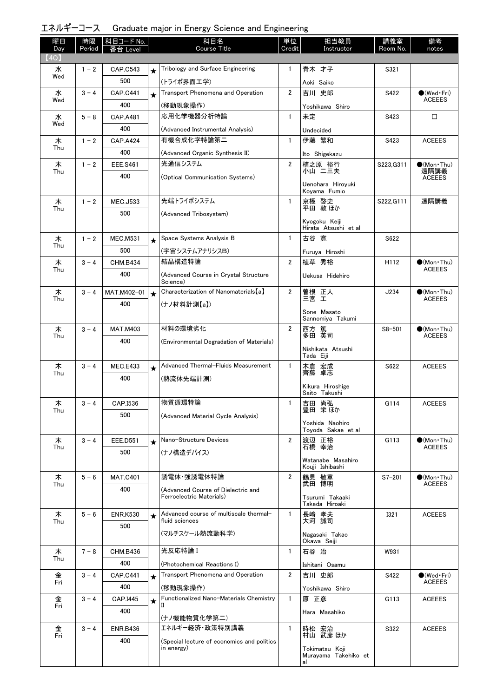| エネルギーコース Graduate major in Energy Science and Engineering |  |  |  |  |
|-----------------------------------------------------------|--|--|--|--|
|-----------------------------------------------------------|--|--|--|--|

| 曜日<br>Day | 時限<br>Period | 科目コード No.<br>番台 Level |         | 科目名<br><b>Course Title</b>                               | 単位<br>Credit   | 担当教員<br>Instructor                    | 講義室<br>Room No. | 備考<br>notes                 |
|-----------|--------------|-----------------------|---------|----------------------------------------------------------|----------------|---------------------------------------|-----------------|-----------------------------|
| (4Q)      |              |                       |         |                                                          |                |                                       |                 |                             |
| 水         | $1 - 2$      | <b>CAP.C543</b>       | $\star$ | Tribology and Surface Engineering                        | $\mathbf{1}$   | 青木 才子                                 | S321            |                             |
| Wed       |              | 500                   |         | (トライボ界面工学)                                               |                | Aoki Saiko                            |                 |                             |
| 水         | $3 - 4$      | <b>CAP.C441</b>       | $\star$ | Transport Phenomena and Operation                        | $\overline{2}$ | 吉川 史郎                                 | S422            | $\bigcirc$ (Wed Fri)        |
| Wed       |              | 400                   |         | (移動現象操作)                                                 |                | Yoshikawa Shiro                       |                 | <b>ACEEES</b>               |
| 水         | $5 - 8$      | CAP.A481              |         | 応用化学機器分析特論                                               | $\mathbf{1}$   | 未定                                    | S423            | $\Box$                      |
| Wed       |              | 400                   |         | (Advanced Instrumental Analysis)                         |                | Undecided                             |                 |                             |
| 木         | $1 - 2$      | <b>CAP.A424</b>       |         | 有機合成化学特論第二                                               | $\mathbf{1}$   | 伊藤 繁和                                 | S423            | <b>ACEEES</b>               |
| Thu       |              | 400                   |         | (Advanced Organic Synthesis II)                          |                | Ito Shigekazu                         |                 |                             |
| 木<br>Thu  | $1 - 2$      | <b>EEE.S461</b>       |         | 光通信システム                                                  | $\overline{2}$ | 植之原 裕行<br>小山 二三夫                      | S223, G311      | $(Mon\cdot Thu)$<br>遠隔講義    |
|           |              | 400                   |         | (Optical Communication Systems)                          |                |                                       |                 | <b>ACEEES</b>               |
|           |              |                       |         |                                                          |                | Uenohara Hiroyuki<br>Koyama Fumio     |                 |                             |
| 木         | $1 - 2$      | <b>MEC.J533</b>       |         | 先端トライボシステム                                               | $\mathbf{1}$   | 京極 啓史                                 | S222, G111      | 遠隔講義                        |
| Thu       |              | 500                   |         | (Advanced Tribosystem)                                   |                | 平田 敦ほか                                |                 |                             |
|           |              |                       |         |                                                          |                | Kvogoku Keiii<br>Hirata Atsushi et al |                 |                             |
| 木         | $1 - 2$      | <b>MEC.M531</b>       | $\star$ | Space Systems Analysis B                                 | $\mathbf{1}$   | 古谷 寛                                  | S622            |                             |
| Thu       |              | 500                   |         | (宇宙システムアナリシスB)                                           |                | Furuya Hiroshi                        |                 |                             |
| 木         | $3 - 4$      | <b>CHM.B434</b>       |         | 結晶構造特論                                                   | $\overline{2}$ | 植草 秀裕                                 | H112            | $\bullet$ (Mon•Thu)         |
| Thu       |              | 400                   |         | (Advanced Course in Crystal Structure                    |                | Uekusa Hidehiro                       |                 | <b>ACEEES</b>               |
| 木         | $3 - 4$      | MAT.M402-01           | $\star$ | Science)<br>Characterization of Nanomaterials [a]        | $\overline{2}$ |                                       | J234            | $\bullet$ (Mon•Thu)         |
| Thu       |              | 400                   |         | (ナノ材料計測【a】)                                              |                | 曽根 正人<br>三宮 工                         |                 | <b>ACEEES</b>               |
|           |              |                       |         |                                                          |                | Sone Masato<br>Sannomiya Takumi       |                 |                             |
| 木         | $3 - 4$      | <b>MAT.M403</b>       |         | 材料の環境劣化                                                  | $\overline{2}$ |                                       | $S8 - 501$      | $\bullet$ (Mon•Thu)         |
| Thu       |              | 400                   |         | (Environmental Degradation of Materials)                 |                | 西方 篤<br>多田 英司                         |                 | <b>ACEEES</b>               |
|           |              |                       |         |                                                          |                | Nishikata Atsushi<br>Tada Eiji        |                 |                             |
| 木         | $3 - 4$      | <b>MEC.E433</b>       | $\star$ | Advanced Thermal-Fluids Measurement                      | $\mathbf{1}$   | 宏成<br>木倉                              | S622            | <b>ACEEES</b>               |
| Thu       |              | 400                   |         | (熱流体先端計測)                                                |                | 齊藤 卓志                                 |                 |                             |
|           |              |                       |         |                                                          |                | Kikura Hiroshige<br>Saito Takushi     |                 |                             |
| 木         | $3 - 4$      | CAP.I536              |         | 物質循環特論                                                   | 1              | 吉田 尚弘                                 | G114            | <b>ACEEES</b>               |
| Thu       |              | 500                   |         | (Advanced Material Cycle Analysis)                       |                | 豊田 栄ほか                                |                 |                             |
|           |              |                       |         |                                                          |                | Yoshida Naohiro<br>Toyoda Sakae et al |                 |                             |
| 木         | $3 - 4$      | <b>EEE.D551</b>       | $\star$ | Nano-Structure Devices                                   | $\overline{2}$ | 渡辺 正裕                                 | G113            | $\bullet$ (Mon•Thu)         |
| Thu       |              | 500                   |         | (ナノ構造デバイス)                                               |                | 石橋 幸治                                 |                 | <b>ACEEES</b>               |
|           |              |                       |         |                                                          |                | Watanabe Masahiro<br>Kouji Ishibashi  |                 |                             |
| 木         | $5 - 6$      | <b>MAT.C401</b>       |         | 誘電体·強誘電体特論                                               | $\overline{2}$ | 鶴見 敬章                                 | $S7 - 201$      | $(Mon\cdot Thu)$            |
| Thu       |              | 400                   |         | (Advanced Course of Dielectric and                       |                | 武田 博明                                 |                 | <b>ACEEES</b>               |
|           |              |                       |         | Ferroelectric Materials)                                 |                | Tsurumi Takaaki<br>Takeda Hiroaki     |                 |                             |
| 木         | $5 - 6$      | <b>ENR.K530</b>       | $\star$ | Advanced course of multiscale thermal-                   | $\mathbf{1}$   | 長崎 孝夫                                 | 1321            | <b>ACEEES</b>               |
| Thu       |              | 500                   |         | fluid sciences                                           |                | 大河 誠司                                 |                 |                             |
|           |              |                       |         | (マルチスケール熱流動科学)                                           |                | Nagasaki Takao                        |                 |                             |
| 木         | $7 - 8$      | CHM.B436              |         | 光反応特論 I                                                  | $\mathbf{1}$   | Okawa Seiji<br>石谷 治                   | W931            |                             |
| Thu       |              | 400                   |         | (Photochemical Reactions I)                              |                | Ishitani Osamu                        |                 |                             |
| 金         | $3 - 4$      | <b>CAP.C441</b>       |         | Transport Phenomena and Operation                        | $\overline{2}$ | 吉川 史郎                                 | S422            | $\bullet$ (Wed $\cdot$ Fri) |
| Fri       |              | 400                   |         | (移動現象操作)                                                 |                | Yoshikawa Shiro                       |                 | <b>ACEEES</b>               |
| 金         | $3 - 4$      | CAP.I445              | $\star$ | Functionalized Nano-Materials Chemistry                  | $\mathbf{1}$   | 原 正彦                                  | G113            | <b>ACEEES</b>               |
| Fri       |              | 400                   |         | П                                                        |                | Hara Masahiko                         |                 |                             |
|           |              |                       |         | (ナノ機能物質化学第二)                                             |                |                                       |                 |                             |
| 金<br>Fri  | $3 - 4$      | <b>ENR.B436</b>       |         | エネルギー経済・政策特別講義                                           | $\mathbf{1}$   | 時松 宏治<br>村山 武彦 ほか                     | S322            | <b>ACEEES</b>               |
|           |              | 400                   |         | (Special lecture of economics and politics<br>in energy) |                | Tokimatsu Koji                        |                 |                             |
|           |              |                       |         |                                                          |                | Murayama Takehiko et<br>al            |                 |                             |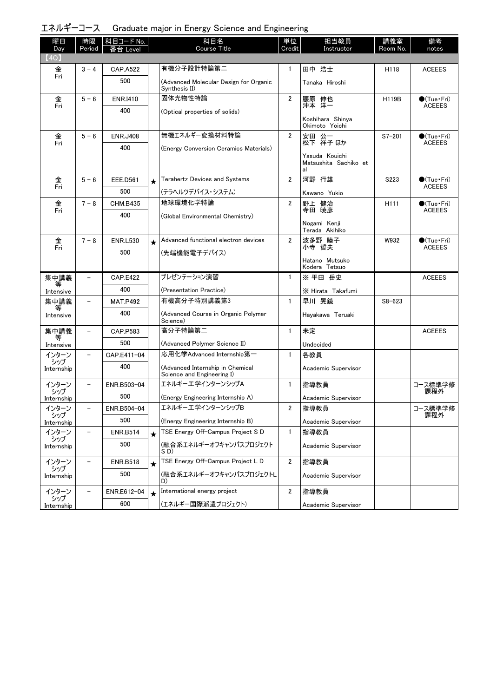| エネルギーコース Graduate major in Energy Science and Engineering |  |  |  |  |
|-----------------------------------------------------------|--|--|--|--|
|-----------------------------------------------------------|--|--|--|--|

| 曜日<br>Day         | 時限<br>Period             | 科目コード No.       |         | 科目名<br><b>Course Title</b>                                     | 単位<br>Credit   | 担当教員<br>Instructor                 | 講義室<br>Room No.  | 備考<br>notes                             |
|-------------------|--------------------------|-----------------|---------|----------------------------------------------------------------|----------------|------------------------------------|------------------|-----------------------------------------|
| (4Q)              |                          | Level           |         |                                                                |                |                                    |                  |                                         |
| 金                 | $3 - 4$                  | <b>CAP.A522</b> |         | 有機分子設計特論第二                                                     | 1              | 田中 浩士                              | H118             | <b>ACEEES</b>                           |
| Fri               |                          | 500             |         | (Advanced Molecular Design for Organic<br>Synthesis II)        |                | Tanaka Hiroshi                     |                  |                                         |
| 金                 | $5 - 6$                  | <b>ENR.I410</b> |         | 固体光物性特論                                                        | $\overline{2}$ | 腰原 伸也<br>沖本 洋一                     | <b>H119B</b>     | $\bullet$ (Tue · Fri)                   |
| Fri               |                          | 400             |         | (Optical properties of solids)                                 |                |                                    |                  | <b>ACEEES</b>                           |
|                   |                          |                 |         |                                                                |                | Koshihara Shinya<br>Okimoto Yoichi |                  |                                         |
| 金<br>Fri          | $5 - 6$                  | <b>ENR.J408</b> |         | 無機エネルギー変換材料特論                                                  | $\overline{2}$ | 安田 公一<br>松下 祥子ほか                   | $S7 - 201$       | $\bigcirc$ (Tue · Fri)<br><b>ACEEES</b> |
|                   |                          | 400             |         | (Energy Conversion Ceramics Materials)                         |                | Yasuda Kouichi                     |                  |                                         |
|                   |                          |                 |         |                                                                |                | Matsushita Sachiko et<br>al        |                  |                                         |
| 金<br>Fri          | $5 - 6$                  | <b>EEE.D561</b> | $\star$ | <b>Terahertz Devices and Systems</b>                           | $\overline{2}$ | 河野 行雄                              | S223             | $\bullet$ (Tue · Fri)<br><b>ACEEES</b>  |
|                   |                          | 500             |         | (テラヘルツデバイス・システム)                                               |                | Kawano Yukio                       |                  |                                         |
| 金<br>Fri          | $7 - 8$                  | <b>CHM.B435</b> |         | 地球環境化学特論                                                       | $\overline{2}$ | 野上 健治<br>寺田 暁彦                     | H <sub>111</sub> | $\bullet$ (Tue•Fri)<br><b>ACEEES</b>    |
|                   |                          | 400             |         | (Global Environmental Chemistry)                               |                | Nogami Kenji                       |                  |                                         |
|                   |                          |                 |         |                                                                |                | Terada Akihiko                     |                  |                                         |
| 金<br>Fri          | $7 - 8$                  | <b>ENR.L530</b> | $\star$ | Advanced functional electron devices                           | $\overline{2}$ | 波多野 睦子<br>小寺 哲夫                    | W932             | $\bigcirc$ (Tue · Fri)<br><b>ACEEES</b> |
|                   |                          | 500             |         | (先端機能電子デバイス)                                                   |                | Hatano Mutsuko                     |                  |                                         |
|                   |                          |                 |         |                                                                |                | Kodera Tetsuo                      |                  |                                         |
| 集中講義              |                          | <b>CAP.E422</b> |         | プレゼンテーション演習                                                    | $\mathbf{1}$   | ※ 平田 岳史                            |                  | <b>ACEEES</b>                           |
| Intensive         |                          | 400             |         | (Presentation Practice)                                        |                | X Hirata Takafumi                  |                  |                                         |
| 集中講義<br>等         | $\overline{\phantom{0}}$ | <b>MAT.P492</b> |         | 有機高分子特別講義第3                                                    | $\mathbf{1}$   | 早川 晃鏡                              | $S8 - 623$       |                                         |
| Intensive         |                          | 400             |         | (Advanced Course in Organic Polymer<br>Science)                |                | Hayakawa Teruaki                   |                  |                                         |
| 集中講義<br>等         | $\overline{\phantom{0}}$ | CAP.P583        |         | 高分子特論第二                                                        | $\mathbf{1}$   | 未定                                 |                  | <b>ACEEES</b>                           |
| Intensive         |                          | 500             |         | (Advanced Polymer Science II)                                  |                | Undecided                          |                  |                                         |
| インターン<br>シップ      | $\overline{\phantom{0}}$ | CAP.E411-04     |         | 応用化学Advanced Internship第一                                      | $\mathbf{1}$   | 各教員                                |                  |                                         |
| Internship        |                          | 400             |         | (Advanced Internship in Chemical<br>Science and Engineering I) |                | Academic Supervisor                |                  |                                         |
| インターン<br>シップ      | $\overline{\phantom{0}}$ | ENR.B503-04     |         | エネルギーエ学インターンシップA                                               | $\mathbf{1}$   | 指導教員                               |                  | コース標準学修<br>課程外                          |
| Internship        |                          | 500             |         | (Energy Engineering Internship A)                              |                | Academic Supervisor                |                  |                                         |
| インターン<br>シップ      | $\overline{\phantom{0}}$ | ENR.B504-04     |         | エネルギーエ学インターンシップB                                               | 2              | 指導教員                               |                  | コース標準学修<br>課程外                          |
| Internship        |                          | 500             |         | (Energy Engineering Internship B)                              |                | Academic Supervisor                |                  |                                         |
| インターン<br>シップ      |                          | <b>ENR.B514</b> | $\star$ | TSE Energy Off-Campus Project S D                              | $\mathbf{1}$   | 指導教員                               |                  |                                         |
| Internship        |                          | 500             |         | (融合系エネルギーオフキャンパスプロジェクト<br>SD)                                  |                | Academic Supervisor                |                  |                                         |
| インターン             | $\overline{\phantom{0}}$ | <b>ENR.B518</b> | $\star$ | TSE Energy Off-Campus Project L D                              | $\overline{2}$ | 指導教員                               |                  |                                         |
| シップ<br>Internship |                          | 500             |         | (融合系エネルギーオフキャンパスプロジェクトL<br>D)                                  |                | Academic Supervisor                |                  |                                         |
| インターン             |                          | ENR.E612-04     | $\star$ | International energy project                                   | $\overline{2}$ | 指導教員                               |                  |                                         |
| シップ<br>Internship |                          | 600             |         | (エネルギー国際派遣プロジェクト)                                              |                | Academic Supervisor                |                  |                                         |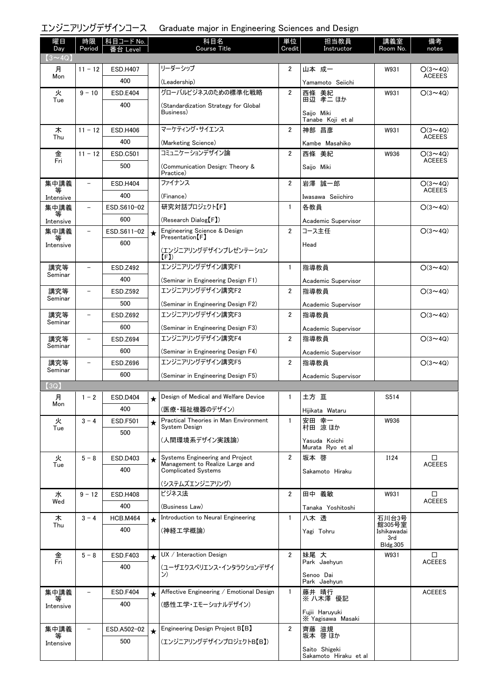### エンジニアリングデザインコース Graduate major in Engineering Sciences and Design

| 曜日<br>Day      | 時限<br>Period             | 科目コード No.<br>番台 Level |            | 科目名<br><b>Course Title</b>                                    | 単位<br>Credit   | 担当教員<br>Instructor                     | 講義室<br>Room No.         | 備考<br>notes                     |
|----------------|--------------------------|-----------------------|------------|---------------------------------------------------------------|----------------|----------------------------------------|-------------------------|---------------------------------|
| $(3 \sim 4Q)$  |                          |                       |            |                                                               |                |                                        |                         |                                 |
| 月<br>Mon       | $11 - 12$                | <b>ESD.H407</b>       |            | リーダーシップ                                                       | 2              | 山本 成一                                  | W931                    | $O(3 \sim 4Q)$<br><b>ACEEES</b> |
|                |                          | 400                   |            | (Leadership)                                                  |                | Yamamoto Seiichi                       |                         |                                 |
| 火<br>Tue       | $9 - 10$                 | <b>ESD.E404</b>       |            | グローバルビジネスのための標準化戦略                                            | $\overline{2}$ | 西條 美紀<br>田辺 孝二 ほか                      | W931                    | $O(3 \sim 4Q)$                  |
|                |                          | 400                   |            | (Standardization Strategy for Global<br>Business)             |                | Saijo Miki                             |                         |                                 |
|                |                          |                       |            | マーケティング・サイエンス                                                 | $\overline{2}$ | Tanabe Koji et al<br>神部 昌彦             |                         |                                 |
| 木<br>Thu       | $11 - 12$                | <b>ESD.H406</b>       |            |                                                               |                |                                        | W931                    | $O(3 \sim 4Q)$<br><b>ACEEES</b> |
|                |                          | 400                   |            | (Marketing Science)<br>コミュニケーションデザイン論                         |                | Kambe Masahiko                         |                         |                                 |
| 金<br>Fri       | $11 - 12$                | <b>ESD.C501</b>       |            |                                                               | $\overline{2}$ | 西條 美紀                                  | W936                    | $O(3 \sim 4Q)$<br><b>ACEEES</b> |
|                |                          | 500                   |            | (Communication Design: Theory &<br>Practice)                  |                | Saijo Miki                             |                         |                                 |
| 集中講義<br>等      | $\overline{\phantom{0}}$ | <b>ESD.H404</b>       |            | ファイナンス                                                        | 2              | 岩澤 誠一郎                                 |                         | $O(3 \sim 4Q)$<br><b>ACEEES</b> |
| Intensive      |                          | 400                   |            | (Finance)                                                     |                | Iwasawa Seiichiro                      |                         |                                 |
| 集中講義           | $\overline{\phantom{0}}$ | ESD.S610-02           |            | 研究対話プロジェクト【F】                                                 | $\mathbf{1}$   | 各教員                                    |                         | $O(3 \sim 4Q)$                  |
| Intensive      |                          | 600                   |            | (Research Dialog【F】)                                          |                | Academic Supervisor                    |                         |                                 |
| 集中講義<br>等      | $\overline{\phantom{0}}$ | ESD.S611-02           | $\star$    | Engineering Science & Design<br>Presentation [F]              | $\overline{2}$ | コース主任                                  |                         | $O(3 \sim 4Q)$                  |
| Intensive      |                          | 600                   |            | (エンジニアリングデザインプレゼンテーション                                        |                | Head                                   |                         |                                 |
| 講究等            |                          | <b>ESD.Z492</b>       |            | (F)<br>エンジニアリングデザイン講究F1                                       | 1              | 指導教員                                   |                         | $O(3 \sim 4Q)$                  |
| Seminar        |                          | 400                   |            |                                                               |                |                                        |                         |                                 |
| 講究等            |                          | ESD.Z592              |            | (Seminar in Engineering Design F1)<br>エンジニアリングデザイン講究F2        | $\overline{2}$ | Academic Supervisor<br>指導教員            |                         | $O(3 \sim 4Q)$                  |
| Seminar        |                          | 500                   |            |                                                               |                |                                        |                         |                                 |
| 講究等            | $\overline{\phantom{0}}$ | ESD.Z692              |            | (Seminar in Engineering Design F2)<br>エンジニアリングデザイン講究F3        | $\overline{2}$ | Academic Supervisor<br>指導教員            |                         | $O(3 \sim 4Q)$                  |
| Seminar        |                          |                       |            |                                                               |                |                                        |                         |                                 |
|                |                          | 600                   |            | (Seminar in Engineering Design F3)<br>エンジニアリングデザイン講究F4        | 2              | Academic Supervisor                    |                         |                                 |
| 講究等<br>Seminar | $\overline{\phantom{0}}$ | ESD.Z694              |            |                                                               |                | 指導教員                                   |                         | $O(3 \sim 4Q)$                  |
|                |                          | 600                   |            | (Seminar in Engineering Design F4)                            |                | Academic Supervisor                    |                         |                                 |
| 講究等<br>Seminar |                          | ESD.Z696              |            | エンジニアリングデザイン講究F5                                              | $\overline{2}$ | 指導教員                                   |                         | $O(3 \sim 4Q)$                  |
| (3Q)           |                          | 600                   |            | (Seminar in Engineering Design F5)                            |                | Academic Supervisor                    |                         |                                 |
| 月              | $1 - 2$                  | <b>ESD.D404</b>       |            | Design of Medical and Welfare Device                          | 1              | 土方 亘                                   | S514                    |                                 |
| Mon            |                          | 400                   | $\bigstar$ |                                                               |                |                                        |                         |                                 |
|                | $3 - 4$                  | <b>ESD.F501</b>       |            | (医療・福祉機器のデザイン)<br>Practical Theories in Man Environment       | 1              | Hijikata Wataru                        | W936                    |                                 |
| 火<br>Tue       |                          |                       | $\star$    | System Design                                                 |                | 安田 幸一<br>村田 涼ほか                        |                         |                                 |
|                |                          | 500                   |            | (人間環境系デザイン実践論)                                                |                | Yasuda Koichi<br>Murata Ryo et al      |                         |                                 |
| 火              | $5 - 8$                  | ESD.D403              | $\star$    | Systems Engineering and Project                               | $\overline{2}$ | 坂本 啓                                   | <b>I124</b>             | □                               |
| Tue            |                          | 400                   |            | Management to Realize Large and<br><b>Complicated Systems</b> |                | Sakamoto Hiraku                        |                         | <b>ACEEES</b>                   |
|                |                          |                       |            | (システムズエンジニアリング)                                               |                |                                        |                         |                                 |
| 水              | $9 - 12$                 | <b>ESD.H408</b>       |            | ビジネス法                                                         | $\overline{2}$ | 田中 義敏                                  | W931                    | □                               |
| Wed            |                          | 400                   |            | (Business Law)                                                |                | Tanaka Yoshitoshi                      |                         | <b>ACEEES</b>                   |
| 木              | $3 - 4$                  | <b>HCB.M464</b>       | $\star$    | Introduction to Neural Engineering                            | $\mathbf{1}$   | 八木 透                                   | 石川台3号                   |                                 |
| Thu            |                          | 400                   |            | (神経工学概論)                                                      |                | Yagi Tohru                             | 館305号室<br>Ishikawadai   |                                 |
|                |                          |                       |            |                                                               |                |                                        | 3rd                     |                                 |
| 金              | $5 - 8$                  | <b>ESD.F403</b>       |            | UX / Interaction Design                                       | $\overline{2}$ | 妹尾 大                                   | <b>Bldg.305</b><br>W931 | □                               |
| Fri            |                          | 400                   | $\star$    |                                                               |                | Park Jaehyun                           |                         | <b>ACEEES</b>                   |
|                |                          |                       |            | (ユーザエクスペリエンス・インタラクションデザイ<br>ン)                                |                | Senoo Dai<br>Park Jaehyun              |                         |                                 |
| 集中講義           | $\overline{\phantom{0}}$ | <b>ESD.F404</b>       | $\star$    | Affective Engineering / Emotional Design                      | $\mathbf{1}$   | 藤井 晴行                                  |                         | <b>ACEEES</b>                   |
| 等<br>Intensive |                          | 400                   |            | (感性エ学・エモーショナルデザイン)                                            |                | ※ 八木澤 優記                               |                         |                                 |
|                |                          |                       |            |                                                               |                | Fujii Haruyuki<br>X Yagisawa Masaki    |                         |                                 |
| 集中講義           |                          | ESD.A502-02           | $\star$    | Engineering Design Project B <sup>[B]</sup>                   | $\overline{2}$ | 齊藤 滋規                                  |                         |                                 |
| Intensive      |                          | 500                   |            | (エンジニアリングデザインプロジェクトB【B】)                                      |                | 坂本 啓 ほか                                |                         |                                 |
|                |                          |                       |            |                                                               |                | Saito Shigeki<br>Sakamoto Hiraku et al |                         |                                 |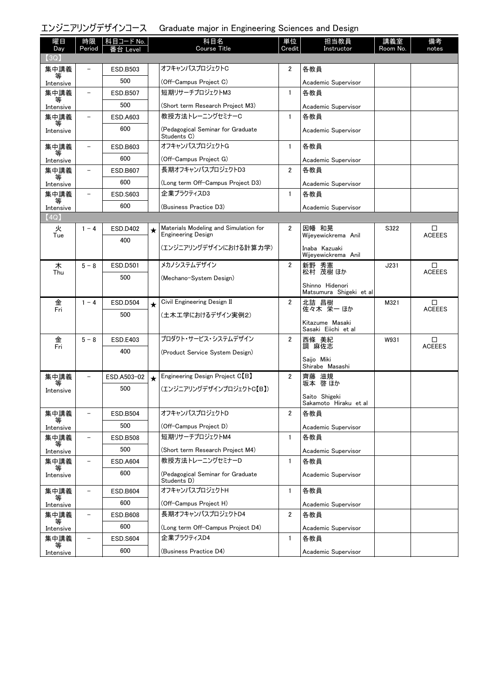### エンジニアリングデザインコース Graduate major in Engineering Sciences and Design

| 曜日<br>Day      | 時限<br>Period             | │科目コード No.<br>番台 Level |         | 科目名<br><b>Course Title</b>                       | 単位<br>Credit   | 担当教員<br>Instructor                         | 講義室<br>Room No. | 備考<br>notes        |
|----------------|--------------------------|------------------------|---------|--------------------------------------------------|----------------|--------------------------------------------|-----------------|--------------------|
| 3Q)            |                          |                        |         |                                                  |                |                                            |                 |                    |
| 集中講義           |                          | ESD.B503               |         | オフキャンパスプロジェクトC                                   | 2              | 各教員                                        |                 |                    |
| 等              |                          | 500                    |         | (Off-Campus Project C)                           |                |                                            |                 |                    |
| Intensive      |                          |                        |         | 短期リサーチプロジェクトM3                                   |                | Academic Supervisor                        |                 |                    |
| 集中講義<br>等      |                          | <b>ESD.B507</b>        |         |                                                  | $\mathbf{1}$   | 各教員                                        |                 |                    |
| Intensive      |                          | 500                    |         | (Short term Research Project M3)                 |                | Academic Supervisor                        |                 |                    |
| 集中講義<br>等      |                          | ESD.A603               |         | 教授方法トレーニングセミナーC                                  | $\mathbf{1}$   | 各教員                                        |                 |                    |
| Intensive      |                          | 600                    |         | (Pedagogical Seminar for Graduate<br>Students C) |                | Academic Supervisor                        |                 |                    |
| 集中講義           |                          | ESD.B603               |         | オフキャンパスプロジェクトG                                   | $\mathbf{1}$   | 各教員                                        |                 |                    |
| 等<br>Intensive |                          | 600                    |         | (Off-Campus Project G)                           |                | Academic Supervisor                        |                 |                    |
| 集中講義           |                          | <b>ESD.B607</b>        |         | 長期オフキャンパスプロジェクトD3                                | $\overline{2}$ | 各教員                                        |                 |                    |
| Intensive      |                          | 600                    |         | (Long term Off-Campus Project D3)                |                | Academic Supervisor                        |                 |                    |
| 集中講義           | $\overline{\phantom{0}}$ | ESD.S603               |         | 企業プラクティスD3                                       | $\mathbf{1}$   | 各教員                                        |                 |                    |
| 等<br>Intensive |                          | 600                    |         | (Business Practice D3)                           |                | Academic Supervisor                        |                 |                    |
| (4Q)           |                          |                        |         |                                                  |                |                                            |                 |                    |
| 火              | $1 - 4$                  | <b>ESD.D402</b>        | ★       | Materials Modeling and Simulation for            | 2              | 因幡 和晃                                      | S322            | □                  |
| Tue            |                          | 400                    |         | <b>Engineering Design</b>                        |                | Wijeyewickrema Anil                        |                 | <b>ACEEES</b>      |
|                |                          |                        |         | (エンジニアリングデザインにおける計算力学)                           |                | Inaba Kazuaki<br>Wijeyewickrema Anil       |                 |                    |
| 木              | $5 - 8$                  | <b>ESD.D501</b>        |         | メカノシステムデザイン                                      | $\overline{2}$ | 新野 秀憲                                      | J231            | $\Box$             |
| Thu            |                          | 500                    |         | (Mechano-System Design)                          |                | 松村 茂樹 ほか                                   |                 | <b>ACEEES</b>      |
|                |                          |                        |         |                                                  |                | Shinno Hidenori<br>Matsumura Shigeki et al |                 |                    |
| 金              | $1 - 4$                  | <b>ESD.D504</b>        |         | Civil Engineering Design II                      | $\overline{2}$ | 北詰 昌樹                                      | M321            | □                  |
| Fri            |                          |                        | $\star$ |                                                  |                | 佐々木 栄一ほか                                   |                 | <b>ACEEES</b>      |
|                |                          | 500                    |         | (土木工学におけるデザイン実例2)                                |                | Kitazume Masaki                            |                 |                    |
|                |                          |                        |         |                                                  |                | Sasaki Eiichi et al                        |                 |                    |
| 金<br>Fri       | $5 - 8$                  | ESD.E403               |         | プロダクト・サービス・システムデザイン                              | $\overline{2}$ | 西條 美紀<br>調 麻佐志                             | W931            | □<br><b>ACEEES</b> |
|                |                          | 400                    |         | (Product Service System Design)                  |                |                                            |                 |                    |
|                |                          |                        |         |                                                  |                | Saijo Miki<br>Shirabe Masashi              |                 |                    |
| 集中講義           |                          | ESD.A503-02            | $\star$ | Engineering Design Project C <sup>[B]</sup>      | 2              | 齊藤 滋規<br>坂本 啓ほか                            |                 |                    |
| Intensive      |                          | 500                    |         | (エンジニアリングデザインプロジェクトC【B】)                         |                |                                            |                 |                    |
|                |                          |                        |         |                                                  |                | Saito Shigeki<br>Sakamoto Hiraku et al     |                 |                    |
| 集中講義           |                          | <b>ESD.B504</b>        |         | オフキャンパスプロジェクトD                                   | 2              | 各教員                                        |                 |                    |
| Intensive      |                          | 500                    |         | (Off-Campus Project D)                           |                | Academic Supervisor                        |                 |                    |
| 集中講義           |                          | <b>ESD.B508</b>        |         | 短期リサーチプロジェクトM4                                   | $\mathbf{1}$   | 各教員                                        |                 |                    |
| 等<br>Intensive |                          | 500                    |         | (Short term Research Project M4)                 |                | Academic Supervisor                        |                 |                    |
| 集中講義           |                          | <b>ESD.A604</b>        |         | 教授方法トレーニングセミナーD                                  | $\mathbf{1}$   | 各教員                                        |                 |                    |
| 等<br>Intensive |                          | 600                    |         | (Pedagogical Seminar for Graduate                |                | Academic Supervisor                        |                 |                    |
|                |                          |                        |         | Students D)                                      |                |                                            |                 |                    |
| 集中講義<br>等      |                          | <b>ESD.B604</b>        |         | オフキャンパスプロジェクトH                                   | $\mathbf{1}$   | 各教員                                        |                 |                    |
| Intensive      |                          | 600                    |         | (Off-Campus Project H)                           |                | Academic Supervisor                        |                 |                    |
| 集中講義           |                          | <b>ESD.B608</b>        |         | 長期オフキャンパスプロジェクトD4                                | $\overline{2}$ | 各教員                                        |                 |                    |
| 等<br>Intensive |                          | 600                    |         | (Long term Off-Campus Project D4)                |                | Academic Supervisor                        |                 |                    |
| 集中講義           |                          | <b>ESD.S604</b>        |         | 企業プラクティスD4                                       | $\mathbf{1}$   | 各教員                                        |                 |                    |
| 等              |                          | 600                    |         | (Business Practice D4)                           |                | Academic Supervisor                        |                 |                    |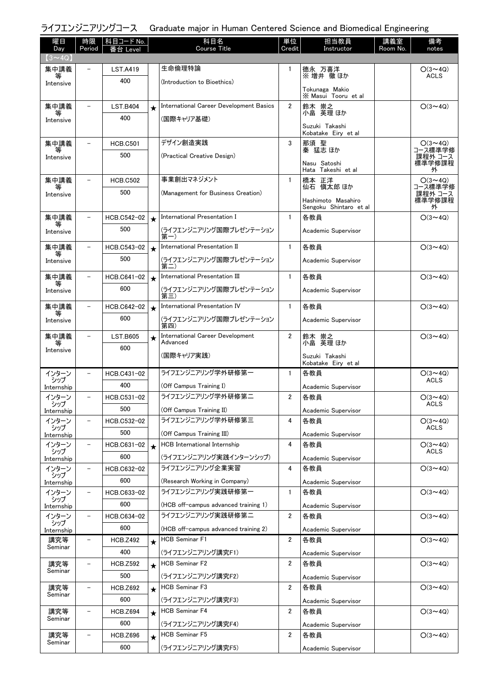| 曜日<br>Day           | 時限<br>Period             | 科目コード No.<br>番台 Level |         | 科目名<br><b>Course Title</b>                                    | 単位<br>Credit   | 担当教員<br>Instructor                    | 講義室<br>Room No. | 備考<br>notes                   |
|---------------------|--------------------------|-----------------------|---------|---------------------------------------------------------------|----------------|---------------------------------------|-----------------|-------------------------------|
| $(3 \sim 4Q)$       |                          |                       |         |                                                               |                |                                       |                 |                               |
| 集中講義                |                          | LST.A419              |         | 生命倫理特論                                                        | 1              | 德永 万喜洋<br>※ 増井 徹 ほか                   |                 | $O(3 \sim 4Q)$<br><b>ACLS</b> |
| 等<br>Intensive      |                          | 400                   |         | (Introduction to Bioethics)                                   |                | Tokunaga Makio                        |                 |                               |
|                     |                          |                       |         |                                                               |                | X Masui Tooru et al                   |                 |                               |
| 集中講義<br>等           | $\equiv$                 | <b>LST.B404</b>       | $\star$ | International Career Development Basics                       | $\overline{2}$ | 鈴木 崇之<br>小畠 英理 ほか                     |                 | $O(3 \sim 4Q)$                |
| Intensive           |                          | 400                   |         | (国際キャリア基礎)                                                    |                | Suzuki Takashi                        |                 |                               |
|                     |                          |                       |         |                                                               |                | Kobatake Eiry et al                   |                 |                               |
| 集中講義<br>等           |                          | <b>HCB.C501</b>       |         | デザイン創造実践                                                      | 3              | 那須 聖<br>秦 猛志 ほか                       |                 | $O(3 \sim 4Q)$<br>コース標準学修     |
| Intensive           |                          | 500                   |         | (Practical Creative Design)                                   |                | Nasu Satoshi                          |                 | 課程外 コース<br>標準学修課程             |
|                     |                          |                       |         |                                                               |                | Hata Takeshi et al                    |                 | 外                             |
| 集中講義<br>等           | $\overline{\phantom{0}}$ | <b>HCB.C502</b>       |         | 事業創出マネジメント                                                    | 1              | 橋本 正洋<br>仙石 慎太郎 ほか                    |                 | $O(3 \sim 4Q)$<br>コース標準学修     |
| Intensive           |                          | 500                   |         | (Management for Business Creation)                            |                | Hashimoto Masahiro                    |                 | 課程外 コース<br>標準学修課程             |
|                     |                          |                       |         | International Presentation I                                  | $\mathbf{1}$   | Sengoku Shintaro et al                |                 | 外                             |
| 集中講義                |                          | HCB.C542-02<br>500    | $\star$ |                                                               |                | 各教員                                   |                 | $O(3 \sim 4Q)$                |
| Intensive           |                          |                       |         | (ライフエンジニアリング国際プレゼンテーション<br>第一)                                |                | Academic Supervisor                   |                 |                               |
| 集中講義                |                          | HCB.C543-02           | $\star$ | International Presentation II                                 | $\mathbf{1}$   | 各教員                                   |                 | $O(3 \sim 4Q)$                |
| Intensive           |                          | 500                   |         | (ライフエンジニアリング国際プレゼンテーション<br>第二)                                |                | Academic Supervisor                   |                 |                               |
| 集中講義                |                          | HCB.C641-02           | $\star$ | International Presentation III                                | $\mathbf{1}$   | 各教員                                   |                 | $O(3 \sim 4Q)$                |
| Intensive           |                          | 600                   |         | (ライフエンジニアリング国際プレゼンテーション<br>第三)                                |                | Academic Supervisor                   |                 |                               |
| 集中講義                |                          | HCB.C642-02           | $\star$ | International Presentation IV                                 | $\mathbf{1}$   | 各教員                                   |                 | $O(3 \sim 4Q)$                |
| Intensive           |                          | 600                   |         | (ライフエンジニアリング国際プレゼンテーション                                       |                | Academic Supervisor                   |                 |                               |
| 集中講義                |                          | <b>LST.B605</b>       |         | 第四)<br>International Career Development                       | $\overline{2}$ | 鈴木 崇之                                 |                 | $O(3 \sim 4Q)$                |
| Intensive           |                          | 600                   | $\star$ | Advanced                                                      |                | 小畠 英理 ほか                              |                 |                               |
|                     |                          |                       |         | (国際キャリア実践)                                                    |                | Suzuki Takashi<br>Kobatake Eiry et al |                 |                               |
| インターン               | $\qquad \qquad -$        | HCB.C431-02           |         | ライフエンジニアリング学外研修第一                                             | $\mathbf{1}$   | 各教員                                   |                 | $O(3 \sim 4Q)$                |
| シップ<br>Internship   |                          | 400                   |         | (Off Campus Training I)                                       |                | Academic Supervisor                   |                 | <b>ACLS</b>                   |
| インターン               | $\overline{\phantom{0}}$ | HCB.C531-02           |         | ライフエンジニアリング学外研修第二                                             | $\overline{2}$ | 各教員                                   |                 | $O(3 \sim 4Q)$                |
| シップ<br>Internship   |                          | 500                   |         | (Off Campus Training II)                                      |                | Academic Supervisor                   |                 | <b>ACLS</b>                   |
| インターン<br>シップ        |                          | HCB.C532-02           |         | ライフエンジニアリング学外研修第三                                             | 4              | 各教員                                   |                 | $O(3 \sim 4Q)$<br><b>ACLS</b> |
| Internship          |                          | 500                   |         | (Off Campus Training III)                                     |                | Academic Supervisor                   |                 |                               |
| インターン<br>シップ        | $\qquad \qquad -$        | HCB.C631-02           | $\star$ | <b>HCB</b> International Internship                           | 4              | 各教員                                   |                 | $O(3 \sim 4Q)$<br>ACLS        |
| Internship          |                          | 600                   |         | (ライフエンジニアリング実践インターンシップ)                                       |                | Academic Supervisor                   |                 |                               |
| インターン<br>シップ        | $\overline{\phantom{m}}$ | HCB.C632-02           |         | ライフエンジニアリング企業実習                                               | 4              | 各教員                                   |                 | $O(3 \sim 4Q)$                |
| Internship          |                          | 600                   |         | (Research Working in Company)<br>ライフエンジニアリング実践研修第一            |                | Academic Supervisor                   |                 |                               |
| インターン<br>シップ        | $\overline{\phantom{a}}$ | HCB.C633-02<br>600    |         |                                                               | 1              | 各教員                                   |                 | $O(3 \sim 4Q)$                |
| Internship<br>インターン | $\qquad \qquad -$        | HCB.C634-02           |         | (HCB off-campus advanced training 1)<br>ライフエンジニアリング実践研修第二     | $\overline{2}$ | Academic Supervisor<br>各教員            |                 | $O(3 \sim 4Q)$                |
| シップ                 |                          | 600                   |         |                                                               |                |                                       |                 |                               |
| Internship<br>講究等   |                          | <b>HCB.Z492</b>       |         | (HCB off-campus advanced training 2)<br><b>HCB Seminar F1</b> | $\overline{2}$ | Academic Supervisor<br>各教員            |                 | $O(3 \sim 4Q)$                |
| Seminar             |                          | 400                   | $\star$ | (ライフエンジニアリング講究F1)                                             |                | Academic Supervisor                   |                 |                               |
| 講究等                 |                          | <b>HCB.Z592</b>       | $\star$ | <b>HCB Seminar F2</b>                                         | 2              | 各教員                                   |                 | $O(3 \sim 4Q)$                |
| Seminar             |                          | 500                   |         | (ライフエンジニアリング講究F2)                                             |                | Academic Supervisor                   |                 |                               |
| 講究等                 | $\overline{\phantom{m}}$ | <b>HCB.Z692</b>       | $\star$ | <b>HCB Seminar F3</b>                                         | 2              | 各教員                                   |                 | $O(3 \sim 4Q)$                |
| Seminar             |                          | 600                   |         | (ライフエンジニアリング講究F3)                                             |                | Academic Supervisor                   |                 |                               |
| 講究等                 |                          | <b>HCB.Z694</b>       | $\star$ | <b>HCB Seminar F4</b>                                         | $\overline{2}$ | 各教員                                   |                 | $O(3 \sim 4Q)$                |
| Seminar             |                          | 600                   |         | (ライフエンジニアリング講究F4)                                             |                | Academic Supervisor                   |                 |                               |
| 講究等                 |                          | <b>HCB.Z696</b>       | $\star$ | <b>HCB Seminar F5</b>                                         | $\overline{2}$ | 各教員                                   |                 | $O(3 \sim 4Q)$                |
| Seminar             |                          | 600                   |         | (ライフエンジニアリング講究F5)                                             |                | Academic Supervisor                   |                 |                               |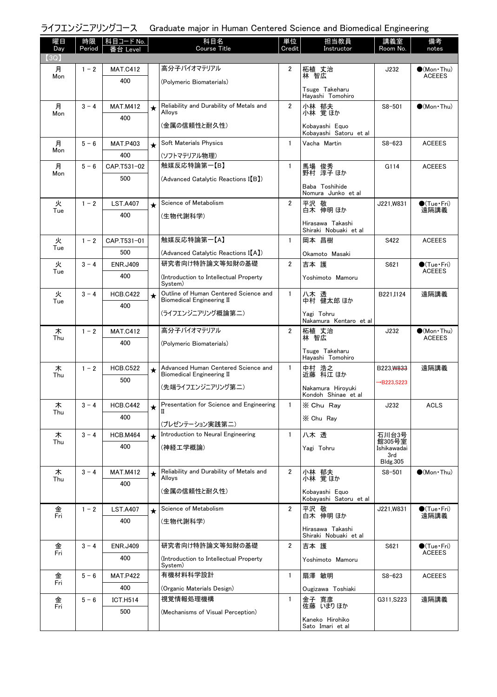| 曜日<br>Day | 時限<br>Period | - 科目コード No.<br>昏台 Level |            | 科目名<br><b>Course Title</b>                                                | 単位<br>Credit   | 担当教員<br>Instructor                        | 講義室<br>Room No.         | 備考<br>notes                                  |
|-----------|--------------|-------------------------|------------|---------------------------------------------------------------------------|----------------|-------------------------------------------|-------------------------|----------------------------------------------|
| (3Q)      |              |                         |            |                                                                           |                |                                           |                         |                                              |
| 月<br>Mon  | $1 - 2$      | <b>MAT.C412</b>         |            | 高分子バイオマテリアル                                                               | $\overline{2}$ | 柘植 丈治<br>林 智広                             | J232                    | $(Mon\cdot Thu)$<br><b>ACEEES</b>            |
|           |              | 400                     |            | (Polymeric Biomaterials)                                                  |                | Tsuge Takeharu                            |                         |                                              |
|           |              |                         |            |                                                                           |                | Havashi Tomohiro                          |                         |                                              |
| 月<br>Mon  | $3 - 4$      | <b>MAT.M412</b>         | $\star$    | Reliability and Durability of Metals and<br>Alloys                        | $\overline{2}$ | 小林 郁夫<br>小林 覚ほか                           | $S8 - 501$              | $\bullet$ (Mon Thu)                          |
|           |              | 400                     |            | (金属の信頼性と耐久性)                                                              |                | Kobayashi Equo<br>Kobayashi Satoru et al  |                         |                                              |
| 月<br>Mon  | $5 - 6$      | <b>MAT.P403</b>         | $\star$    | Soft Materials Physics                                                    | $\mathbf{1}$   | Vacha Martin                              | $S8 - 623$              | <b>ACEEES</b>                                |
|           |              | 400                     |            | (ソフトマテリアル物理)                                                              |                |                                           |                         |                                              |
| 月<br>Mon  | $5 - 6$      | CAP.T531-02             |            | 触媒反応特論第一【B】                                                               | $\mathbf{1}$   | 馬場 俊秀<br>野村 淳子 ほか                         | G114                    | <b>ACEEES</b>                                |
|           |              | 500                     |            | (Advanced Catalytic Reactions I(B))                                       |                | Baba Toshihide<br>Nomura Junko et al      |                         |                                              |
| 火         | $1 - 2$      | <b>LST.A407</b>         | $\star$    | Science of Metabolism                                                     | $\overline{2}$ | 平沢 敬                                      | J221,W831               | $\bullet$ (Tue•Fri)                          |
| Tue       |              | 400                     |            | (生物代謝科学)                                                                  |                | 白木 伸明 ほか                                  |                         | 遠隔講義                                         |
|           |              |                         |            |                                                                           |                | Hirasawa Takashi<br>Shiraki Nobuaki et al |                         |                                              |
| 火<br>Tue  | $1 - 2$      | CAP.T531-01             |            | 触媒反応特論第一【A】                                                               | $\mathbf{1}$   | 岡本 昌樹                                     | S422                    | <b>ACEEES</b>                                |
|           |              | 500                     |            | (Advanced Catalytic Reactions I(A))                                       |                | Okamoto Masaki                            |                         |                                              |
| 火<br>Tue  | $3 - 4$      | <b>ENR.J409</b>         |            | 研究者向け特許論文等知財の基礎                                                           | $\overline{2}$ | 吉本 護                                      | S621                    | $\bullet$ (Tue•Fri)<br><b>ACEEES</b>         |
|           |              | 400                     |            | (Introduction to Intellectual Property<br>System)                         |                | Yoshimoto Mamoru                          |                         |                                              |
| 火<br>Tue  | $3 - 4$      | <b>HCB.C422</b>         | $\star$    | Outline of Human Centered Science and<br><b>Biomedical Engineering II</b> | $\mathbf{1}$   | 八木 透<br>中村 健太郎 ほか                         | B221, I124              | 遠隔講義                                         |
|           |              | 400                     |            | (ライフエンジニアリング概論第二)                                                         |                | Yagi Tohru                                |                         |                                              |
|           |              |                         |            |                                                                           |                | Nakamura Kentaro et al                    |                         |                                              |
| 木<br>Thu  | $1 - 2$      | <b>MAT.C412</b>         |            | 高分子バイオマテリアル                                                               | $\overline{2}$ | 柘植 丈治<br>林 智広                             | J232                    | $\bullet$ (Mon · Thu)<br><b>ACEEES</b>       |
|           |              | 400                     |            | (Polymeric Biomaterials)                                                  |                | Tsuge Takeharu<br>Hayashi Tomohiro        |                         |                                              |
| 木         | $1 - 2$      | <b>HCB.C522</b>         | $\star$    | Advanced Human Centered Science and<br><b>Biomedical Engineering II</b>   | $\mathbf{1}$   | 中村 浩之<br>近藤 科江ほか                          | B223, W833              | 遠隔講義                                         |
| Thu       |              | 500                     |            | (先端ライフエンジニアリング第二)                                                         |                |                                           | $\rightarrow$ B223.S223 |                                              |
|           |              |                         |            |                                                                           |                | Nakamura Hirovuki<br>Kondoh Shinae et al  |                         |                                              |
| 木<br>Thu  | $3 - 4$      | <b>HCB.C442</b>         | *          | Presentation for Science and Engineering<br>П                             |                | X Chu Ray                                 | J232                    | <b>ACLS</b>                                  |
|           |              | 400                     |            | (プレゼンテーション実践第二)                                                           |                | X Chu Rav                                 |                         |                                              |
| 木         | $3 - 4$      | <b>HCB.M464</b>         | $\star$    | Introduction to Neural Engineering                                        | $\mathbf{1}$   | 八木透                                       | 石川台3号<br>館305号室         |                                              |
| Thu       |              | 400                     |            | (神経工学概論)                                                                  |                | Yagi Tohru                                | Ishikawadai<br>3rd      |                                              |
|           |              |                         |            |                                                                           |                |                                           | <b>Bldg.305</b>         |                                              |
| 木<br>Thu  | $3 - 4$      | <b>MAT.M412</b>         | $\bigstar$ | Reliability and Durability of Metals and<br>Alloys                        | $\overline{2}$ | 小林 郁夫<br>小林 覚ほか                           | $S8 - 501$              | $\bullet$ (Mon Thu)                          |
|           |              | 400                     |            | (金属の信頼性と耐久性)                                                              |                | Kobayashi Equo<br>Kobayashi Satoru et al  |                         |                                              |
| 金         | $1 - 2$      | <b>LST.A407</b>         | $\star$    | Science of Metabolism                                                     | $\overline{2}$ | 平沢 敬                                      | J221,W831               | $\bullet$ (Tue · Fri)                        |
| Fri       |              | 400                     |            | (生物代謝科学)                                                                  |                | 白木 伸明 ほか                                  |                         | 遠隔講義                                         |
|           |              |                         |            |                                                                           |                | Hirasawa Takashi<br>Shiraki Nobuaki et al |                         |                                              |
| 金<br>Fri  | $3 - 4$      | <b>ENR.J409</b>         |            | 研究者向け特許論文等知財の基礎                                                           | $\overline{2}$ | 吉本 護                                      | S621                    | $\bullet$ (Tue $\cdot$ Fri)<br><b>ACEEES</b> |
|           |              | 400                     |            | (Introduction to Intellectual Property<br>System)                         |                | Yoshimoto Mamoru                          |                         |                                              |
| 金         | $5 - 6$      | <b>MAT.P422</b>         |            | 有機材料科学設計                                                                  | $\mathbf{1}$   | 扇澤 敏明                                     | $S8 - 623$              | <b>ACEEES</b>                                |
| Fri       |              | 400                     |            | (Organic Materials Design)                                                |                | Ougizawa Toshiaki                         |                         |                                              |
| 金<br>Fri  | $5 - 6$      | <b>ICT.H514</b>         |            | 視覚情報処理機構                                                                  | $\mathbf{1}$   | 金子 寛彦<br>佐藤 いまりほか                         | G311, S223              | 遠隔講義                                         |
|           |              | 500                     |            | (Mechanisms of Visual Perception)                                         |                | Kaneko Hirohiko                           |                         |                                              |
|           |              |                         |            |                                                                           |                | Sato Imari et al                          |                         |                                              |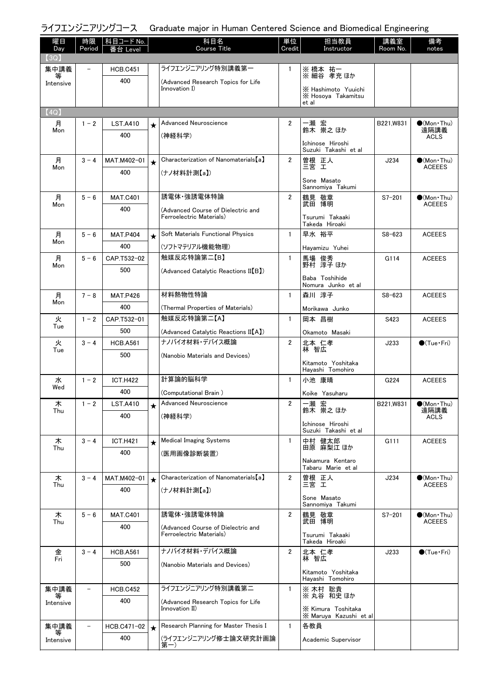| 曜日<br>Day      | 時限<br>Period | 科目コード No.<br>Level     |         | 科目名<br><b>Course Title</b>                          | 単位<br>Credit   | 担当教員<br>Instructor                           | 講義室<br>Room No. | 備考<br>notes                 |
|----------------|--------------|------------------------|---------|-----------------------------------------------------|----------------|----------------------------------------------|-----------------|-----------------------------|
| (3Q)           |              |                        |         |                                                     |                |                                              |                 |                             |
| 集中講義           |              | <b>HCB.C451</b>        |         | ライフエンジニアリング特別講義第一                                   | 1              | ※ 橋本 祐一<br>※ 細谷 孝充 ほか                        |                 |                             |
| Intensive      |              | 400                    |         | (Advanced Research Topics for Life<br>Innovation I) |                |                                              |                 |                             |
|                |              |                        |         |                                                     |                | X Hashimoto Yuuichi<br>X Hosoya Takamitsu    |                 |                             |
| (4Q)           |              |                        |         |                                                     |                | et al                                        |                 |                             |
| 月              | $1 - 2$      | <b>LST.A410</b>        | $\star$ | Advanced Neuroscience                               | 2              | 一瀬 宏                                         | B221,W831       | $\bullet$ (Mon•Thu)         |
| Mon            |              | 400                    |         | (神経科学)                                              |                | 鈴木 崇之ほか                                      |                 | 遠隔講義<br>ACLS                |
|                |              |                        |         |                                                     |                | Ichinose Hiroshi<br>Suzuki Takashi et al     |                 |                             |
| 月              | $3 - 4$      | MAT.M402-01            | $\star$ | Characterization of Nanomaterials [a]               | $\overline{2}$ | 曽根 正人                                        | J234            | $\bullet$ (Mon•Thu)         |
| Mon            |              | 400                    |         | (ナノ材料計測【a】)                                         |                | 三宮 工                                         |                 | <b>ACEEES</b>               |
|                |              |                        |         |                                                     |                | Sone Masato<br>Sannomiya Takumi              |                 |                             |
| 月              | $5 - 6$      | <b>MAT.C401</b>        |         | 誘電体 強誘電体特論                                          | $\overline{2}$ | 鶴見 敬章                                        | $S7 - 201$      | $\bullet$ (Mon Thu)         |
| Mon            |              | 400                    |         | (Advanced Course of Dielectric and                  |                | 武田 博明                                        |                 | <b>ACEEES</b>               |
|                |              |                        |         | Ferroelectric Materials)                            |                | Tsurumi Takaaki<br>Takeda Hiroaki            |                 |                             |
| 月              | $5 - 6$      | <b>MAT.P404</b>        | $\star$ | Soft Materials Functional Physics                   | 1              | 早水 裕平                                        | $S8 - 623$      | <b>ACEEES</b>               |
| Mon            |              | 400                    |         | (ソフトマテリアル機能物理)                                      |                | Hayamizu Yuhei                               |                 |                             |
| 月              | $5 - 6$      | CAP.T532-02            |         | 触媒反応特論第二【B】                                         | $\mathbf{1}$   | 馬場 俊秀                                        | G114            | <b>ACEEES</b>               |
| Mon            |              | 500                    |         | (Advanced Catalytic Reactions II[B])                |                | 野村 淳子 ほか                                     |                 |                             |
|                |              |                        |         |                                                     |                | Baba Toshihide<br>Nomura Junko et al         |                 |                             |
| 月<br>Mon       | $7 - 8$      | <b>MAT.P426</b>        |         | 材料熱物性特論                                             | $\mathbf{1}$   | 森川 淳子                                        | $S8 - 623$      | <b>ACEEES</b>               |
|                |              | 400                    |         | (Thermal Properties of Materials)                   |                | Morikawa Junko                               |                 |                             |
| 火<br>Tue       | $1 - 2$      | CAP.T532-01            |         | 触媒反応特論第二【A】                                         | $\mathbf{1}$   | 岡本 昌樹                                        | S423            | <b>ACEEES</b>               |
|                |              | 500                    |         | (Advanced Catalytic Reactions II[A])                |                | Okamoto Masaki                               |                 |                             |
| 火<br>Tue       | $3 - 4$      | <b>HCB.A561</b>        |         | ナノバイオ材料・デバイス概論                                      | $\overline{2}$ | 北本 仁孝<br>林 智広                                | J233            | $\bullet$ (Tue•Fri)         |
|                |              | 500                    |         | (Nanobio Materials and Devices)                     |                | Kitamoto Yoshitaka                           |                 |                             |
|                |              |                        |         |                                                     |                | Hayashi Tomohiro                             |                 |                             |
| 水<br>Wed       | $1 - 2$      | <b>ICT.H422</b>        |         | 計算論的脳科学                                             | $\mathbf{1}$   | 小池 康晴                                        | G224            | <b>ACEEES</b>               |
|                |              | 400                    |         | (Computational Brain)<br>Advanced Neuroscience      |                | Koike Yasuharu<br>一瀬 宏                       | B221.W831       |                             |
| 木<br>Thu       | $1 - 2$      | <b>LST.A410</b><br>400 |         |                                                     | 2              | 鈴木 崇之ほか                                      |                 | $\bullet$ (Mon•Thu)<br>遠隔講義 |
|                |              |                        |         | (神経科学)                                              |                | Ichinose Hiroshi                             |                 | ACLS                        |
| 木              | $3 - 4$      | <b>ICT.H421</b>        |         | <b>Medical Imaging Systems</b>                      | $\mathbf{1}$   | Suzuki Takashi et al<br>中村 健太郎               | G111            | <b>ACEEES</b>               |
| Thu            |              | 400                    | $\star$ | (医用画像診断装置)                                          |                | 田原 麻梨江 ほか                                    |                 |                             |
|                |              |                        |         |                                                     |                | Nakamura Kentaro                             |                 |                             |
| 木              | $3 - 4$      | MAT.M402-01            | $\star$ | Characterization of Nanomaterials [a]               | $\mathbf{2}$   | Tabaru Marie et al<br>曽根 正人                  | J234            | $\bigcirc$ (Mon·Thu)        |
| Thu            |              | 400                    |         | (ナノ材料計測【a】)                                         |                | 三宮 工                                         |                 | <b>ACEEES</b>               |
|                |              |                        |         |                                                     |                | Sone Masato<br>Sannomiya Takumi              |                 |                             |
| 木              | $5 - 6$      | <b>MAT.C401</b>        |         | 誘電体·強誘電体特論                                          | $\overline{2}$ | 鶴見 敬章                                        | $S7 - 201$      | $\bullet$ (Mon•Thu)         |
| Thu            |              | 400                    |         | (Advanced Course of Dielectric and                  |                | 武田 博明                                        |                 | <b>ACEEES</b>               |
|                |              |                        |         | Ferroelectric Materials)                            |                | Tsurumi Takaaki<br>Takeda Hiroaki            |                 |                             |
| 金              | $3 - 4$      | <b>HCB.A561</b>        |         | ナノバイオ材料・デバイス概論                                      | $\overline{2}$ | 北本 仁孝                                        | J233            | $\bigcirc$ (Tue · Fri)      |
| Fri            |              | 500                    |         | (Nanobio Materials and Devices)                     |                | 林 智広                                         |                 |                             |
|                |              |                        |         |                                                     |                | Kitamoto Yoshitaka<br>Hayashi Tomohiro       |                 |                             |
| 集中講義           |              | <b>HCB.C452</b>        |         | ライフエンジニアリング特別講義第二                                   | $\mathbf{1}$   | ※ 木村 聡貴                                      |                 |                             |
| 等<br>Intensive |              | 400                    |         | (Advanced Research Topics for Life                  |                | ※丸谷 和史 ほか                                    |                 |                             |
|                |              |                        |         | Innovation II)                                      |                | X Kimura Toshitaka<br>X Maruya Kazushi et al |                 |                             |
| 集中講義           |              | HCB.C471-02            | $\star$ | Research Planning for Master Thesis I               | $\mathbf{1}$   | 各教員                                          |                 |                             |
| Intensive      |              | 400                    |         | (ライフエンジニアリング修士論文研究計画論<br>第一)                        |                | Academic Supervisor                          |                 |                             |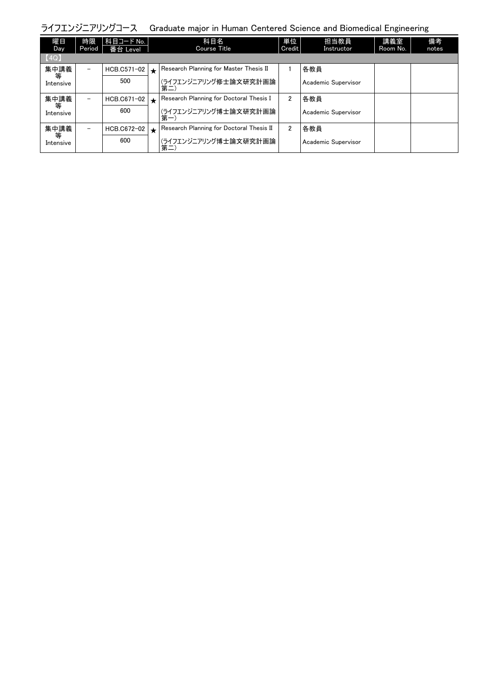| 曜日<br>Day      | 時限<br>Period             | 科目コード No.  <br>番台 Level |         | 科目名<br>Course Title                      | 単位<br>Credit   | 担当教員<br>Instructor  | 講義室<br>Room No. | 備考<br>notes |
|----------------|--------------------------|-------------------------|---------|------------------------------------------|----------------|---------------------|-----------------|-------------|
| [4Q]           |                          |                         |         |                                          |                |                     |                 |             |
| 集中講義           | $\overline{\phantom{0}}$ | HCB.C571-02             | $\star$ | Research Planning for Master Thesis II   |                | 各教員                 |                 |             |
| 等<br>Intensive |                          | 500                     |         | (ライフエンジニアリング修士論文研究計画論<br>第二)             |                | Academic Supervisor |                 |             |
| 集中講義<br>等      | $\overline{\phantom{m}}$ | HCB.C671-02             | $\star$ | Research Planning for Doctoral Thesis I  | 2              | 各教員                 |                 |             |
| Intensive      |                          | 600                     |         | (ライフエンジニアリング博士論文研究計画論<br>第一              |                | Academic Supervisor |                 |             |
| 集中講義           | $\overline{\phantom{a}}$ | HCB.C672-02             | $\star$ | Research Planning for Doctoral Thesis II | $\overline{2}$ | 各教員                 |                 |             |
| 等<br>Intensive |                          | 600                     |         | (ライフエンジニアリング博士論文研究計画論<br>第二              |                | Academic Supervisor |                 |             |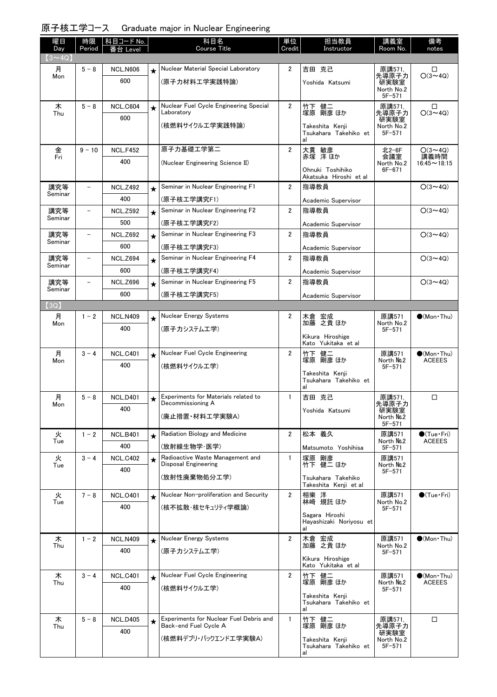|  | 原子核工学コース Graduate major in Nuclear Engineering |  |  |
|--|------------------------------------------------|--|--|
|--|------------------------------------------------|--|--|

| 曜日<br>Day     | 時限<br>Period             | 科目コード No.<br>番台 Level  |            | 科目名<br><b>Course Title</b>                                       | 単位<br>Credit   | 担当教員<br>Instructor                                         | 講義室<br>Room No.                                     | 備考<br>notes                |
|---------------|--------------------------|------------------------|------------|------------------------------------------------------------------|----------------|------------------------------------------------------------|-----------------------------------------------------|----------------------------|
| $(3 \sim 4Q)$ |                          |                        |            |                                                                  |                |                                                            |                                                     |                            |
| 月<br>Mon      | $5 - 8$                  | <b>NCL.N606</b><br>600 | $\star$    | Nuclear Material Special Laboratory<br>(原子力材料工学実践特論)             | $\overline{2}$ | 吉田 克己<br>Yoshida Katsumi                                   | 原講571,<br>先導原子力<br>研実験室<br>North No.2<br>$5F - 571$ | □<br>$O(3 \sim 4Q)$        |
| 木             | $5 - 8$                  | NCL.C604               | $\star$    | Nuclear Fuel Cycle Engineering Special                           | $\overline{2}$ | 竹下 健二                                                      | 原講571,                                              | □                          |
| Thu           |                          | 600                    |            | Laboratory<br>(核燃料サイクルエ学実践特論)                                    |                | 塚原 剛彦 ほか<br>Takeshita Kenji<br>Tsukahara Takehiko et<br>al | 先導原子力<br>研実験室<br>North No.2<br>$5F - 571$           | $O(3 \sim 4Q)$             |
| 金             | $9 - 10$                 | <b>NCL.F452</b>        |            | 原子力基礎工学第二                                                        | $\overline{2}$ | 大貫 敏彦                                                      | 北2-6F                                               | $O(3 \sim 4Q)$             |
| Fri           |                          | 400                    |            | (Nuclear Engineering Science II)                                 |                | 赤塚 洋ほか<br>Ohnuki Toshihiko<br>Akatsuka Hiroshi et al       | 会議室<br>North No.2<br>$6F - 671$                     | 講義時間<br>$16:45 \sim 18:15$ |
| 講究等           | $\overline{\phantom{0}}$ | <b>NCL.Z492</b>        | $\star$    | Seminar in Nuclear Engineering F1                                | $\overline{2}$ | 指導教員                                                       |                                                     | $O(3 \sim 4Q)$             |
| Seminar       |                          | 400                    |            | (原子核工学講究F1)                                                      |                | Academic Supervisor                                        |                                                     |                            |
| 講究等           | $\overline{\phantom{0}}$ | <b>NCL.Z592</b>        | $\star$    | Seminar in Nuclear Engineering F2                                | $\overline{2}$ | 指導教員                                                       |                                                     | $O(3 \sim 40)$             |
| Seminar       |                          | 500                    |            | (原子核工学講究F2)                                                      |                | Academic Supervisor                                        |                                                     |                            |
| 講究等           | $\overline{\phantom{0}}$ | <b>NCL.Z692</b>        | $\star$    | Seminar in Nuclear Engineering F3                                | 2              | 指導教員                                                       |                                                     | $O(3 \sim 4Q)$             |
| Seminar       |                          | 600                    |            | (原子核工学講究F3)                                                      |                | Academic Supervisor                                        |                                                     |                            |
| 講究等           | $\overline{\phantom{0}}$ | <b>NCL.Z694</b>        | $\star$    | Seminar in Nuclear Engineering F4                                | $\overline{2}$ | 指導教員                                                       |                                                     | $O(3 \sim 4Q)$             |
| Seminar       |                          | 600                    |            | (原子核工学講究F4)                                                      |                | Academic Supervisor                                        |                                                     |                            |
| 講究等           |                          | <b>NCL.Z696</b>        | $\star$    | Seminar in Nuclear Engineering F5                                | 2              | 指導教員                                                       |                                                     | $O(3 \sim 4Q)$             |
| Seminar       |                          | 600                    |            | (原子核工学講究F5)                                                      |                | Academic Supervisor                                        |                                                     |                            |
| (3Q)          |                          |                        |            |                                                                  |                |                                                            |                                                     |                            |
| 月             | $1 - 2$                  | <b>NCL.N409</b>        | $\star$    | Nuclear Energy Systems                                           | 2              | 木倉 宏成<br>加藤 之貴ほか                                           | 原講571                                               | $\bullet$ (Mon Thu)        |
| Mon           |                          | 400                    |            | (原子カシステムエ学)                                                      |                | Kikura Hiroshige<br>Kato Yukitaka et al                    | North No.2<br>$5F - 571$                            |                            |
| 月             | $3 - 4$                  | <b>NCL.C401</b>        | $\star$    | Nuclear Fuel Cycle Engineering                                   | $\overline{2}$ |                                                            | 原講571                                               | $\bullet$ (Mon Thu)        |
| Mon           |                          | 400                    |            | (核燃料サイクルエ学)                                                      |                | 竹下 健二<br>塚原 剛彦 ほか                                          | North No.2<br>$5F - 571$                            | <b>ACEEES</b>              |
|               |                          |                        |            |                                                                  |                | Takeshita Kenji<br>Tsukahara Takehiko et<br>al             |                                                     |                            |
| 月             | $5 - 8$                  | <b>NCL.D401</b>        | $\bigstar$ | Experiments for Materials related to<br>Decommissioning A        | $\mathbf{1}$   | 吉田 克己                                                      | 原講571.<br>先導原子力                                     | □                          |
| Mon           |                          | 400                    |            | (廃止措置·材料工学実験A)                                                   |                | Yoshida Katsumi                                            | 研実験室<br>North No.2<br>$5F - 571$                    |                            |
| 火             | $1 - 2$                  | <b>NCL.B401</b>        | $\star$    | Radiation Biology and Medicine                                   | $\overline{2}$ | 松本 義久                                                      | 原講571                                               | $\bigcirc$ (Tue · Fri)     |
| Tue           |                          | 400                    |            | (放射線生物学·医学)                                                      |                | Matsumoto Yoshihisa                                        | North No.2<br>$5F - 571$                            | <b>ACEEES</b>              |
| 火             | $3 - 4$                  | <b>NCL.C402</b>        | $\star$    | Radioactive Waste Management and<br>Disposal Engineering         | $\mathbf{1}$   | 塚原 剛彦<br>竹下 健二 ほか                                          | 原講571                                               |                            |
| Tue           |                          | 400                    |            |                                                                  |                |                                                            | North No.2<br>$5F - 571$                            |                            |
|               |                          |                        |            | (放射性廃棄物処分工学)                                                     |                | Tsukahara Takehiko<br>Takeshita Kenji et al                |                                                     |                            |
| 火             | $7 - 8$                  | <b>NCL.0401</b>        | $\star$    | Nuclear Non-proliferation and Security                           | $\overline{2}$ | 相樂 洋                                                       | 原講571                                               | $\bigcirc$ (Tue · Fri)     |
| Tue           |                          | 400                    |            | (核不拡散・核セキュリティ学概論)                                                |                | 林崎 規託 ほか                                                   | North No.2<br>$5F - 571$                            |                            |
|               |                          |                        |            |                                                                  |                | Sagara Hiroshi<br>Hayashizaki Noriyosu et                  |                                                     |                            |
| 木<br>Thu      | $1 - 2$                  | <b>NCL.N409</b>        | $\star$    | Nuclear Energy Systems                                           | $\overline{2}$ | 木倉 宏成<br>加藤 之貴ほか                                           | 原講571<br>North No.2                                 | $\bullet$ (Mon Thu)        |
|               |                          | 400                    |            | (原子カシステムエ学)                                                      |                |                                                            | $5F - 571$                                          |                            |
|               |                          |                        |            |                                                                  |                | Kikura Hiroshige<br>Kato Yukitaka et al                    |                                                     |                            |
| 木             | $3 - 4$                  | <b>NCL.C401</b>        | $\star$    | Nuclear Fuel Cycle Engineering                                   | $\overline{2}$ | 竹下 健二<br>塚原 剛彦 ほか                                          | 原講571                                               | $(Mon\cdot Thu)$           |
| Thu           |                          | 400                    |            | (核燃料サイクルエ学)                                                      |                |                                                            | North No.2<br>$5F - 571$                            | <b>ACEEES</b>              |
|               |                          |                        |            |                                                                  |                | Takeshita Kenji<br>Tsukahara Takehiko et<br>al             |                                                     |                            |
| 木<br>Thu      | $5 - 8$                  | <b>NCL.D405</b>        | ★          | Experiments for Nuclear Fuel Debris and<br>Back-end Fuel Cycle A | $\mathbf{1}$   | 竹下 健二<br>塚原 剛彦 ほか                                          | 原講571,<br>先導原子力                                     | $\Box$                     |
|               |                          | 400                    |            |                                                                  |                |                                                            | 研実験室                                                |                            |
|               |                          |                        |            | (核燃料デブリ・バックエンドエ学実験A)                                             |                | Takeshita Kenji<br>Tsukahara Takehiko et<br>al             | North No.2<br>$5F - 571$                            |                            |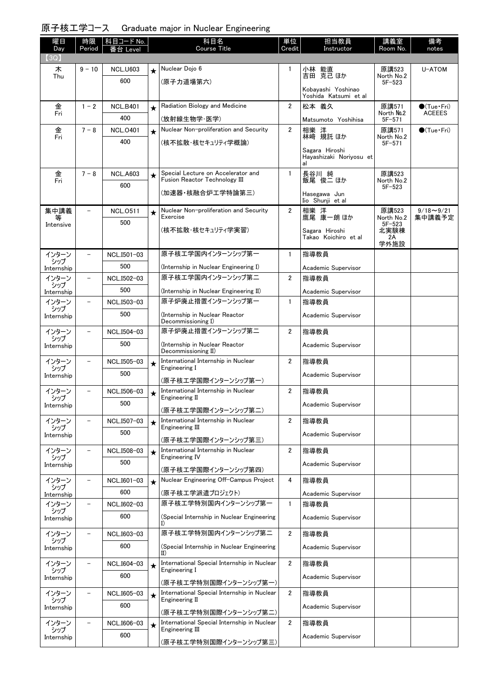### 原子核工学コース Graduate major in Nuclear Engineering

| 曜日<br>Day           | 時限<br>Period      | 科目コード No.          |         | 科目名<br>Course Title                                           | 単位<br>Credit   | 担当教員<br>Instructor                          | 講義室<br>Room No.          | 備考<br>notes                             |
|---------------------|-------------------|--------------------|---------|---------------------------------------------------------------|----------------|---------------------------------------------|--------------------------|-----------------------------------------|
| (3Q)                |                   | Leve               |         |                                                               |                |                                             |                          |                                         |
| 木                   | $9 - 10$          | <b>NCL.U603</b>    | $\star$ | Nuclear Dojo 6                                                | 1              | 小林 能直<br>吉田 克己 ほか                           | 原講523                    | U-ATOM                                  |
| Thu                 |                   | 600                |         | (原子力道場第六)                                                     |                |                                             | North No.2<br>$5F - 523$ |                                         |
|                     |                   |                    |         |                                                               |                | Kobayashi Yoshinao<br>Yoshida Katsumi et al |                          |                                         |
| 金                   | $1 - 2$           | <b>NCL.B401</b>    | $\star$ | Radiation Biology and Medicine                                | $\overline{2}$ | 松本 義久                                       | 原講571<br>North No.2      | $\bigcirc$ (Tue · Fri)<br><b>ACEEES</b> |
| Fri                 |                   | 400                |         | (放射線生物学·医学)                                                   |                | Matsumoto Yoshihisa                         | $5F - 571$               |                                         |
| 金<br>Fri            | $7 - 8$           | <b>NCL.0401</b>    | $\star$ | Nuclear Non-proliferation and Security                        | $\overline{2}$ | 相樂 洋<br>林﨑 規託 ほか                            | 原講571<br>North No.2      | $\bullet$ (Tue · Fri)                   |
|                     |                   | 400                |         | (核不拡散・核セキュリティ学概論)                                             |                | Sagara Hiroshi                              | $5F - 571$               |                                         |
|                     |                   |                    |         |                                                               |                | Hayashizaki Noriyosu et<br>al               |                          |                                         |
| 金                   | $7 - 8$           | <b>NCL.A603</b>    | $\star$ | Special Lecture on Accelerator and                            | $\mathbf{1}$   |                                             | 原講523                    |                                         |
| Fri                 |                   | 600                |         | Fusion Reactor Technology III                                 |                | 長谷川 純<br>飯尾 俊二 ほか                           | North No.2<br>$5F - 523$ |                                         |
|                     |                   |                    |         | (加速器・核融合炉工学特論第三)                                              |                | Hasegawa Jun<br>Iio Shunji et al            |                          |                                         |
| 集中講義                | $\qquad \qquad -$ | <b>NCL.0511</b>    | $\star$ | Nuclear Non-proliferation and Security                        | $\overline{2}$ | 相樂 洋                                        | 原講523                    | $9/18 - 9/21$                           |
| Intensive           |                   | 500                |         | Exercise                                                      |                | 鷹尾 康一朗 ほか                                   | North No.2<br>$5F - 523$ | 集中講義予定                                  |
|                     |                   |                    |         | (核不拡散・核セキュリティ学実習)                                             |                | Sagara Hiroshi<br>Takao Koichiro et al      | 北実験棟<br>2A               |                                         |
|                     |                   |                    |         | 原子核工学国内インターンシップ第一                                             |                |                                             | 学外施設                     |                                         |
| インターン<br>シップ        |                   | NCL.I501-03<br>500 |         |                                                               | $\mathbf{1}$   | 指導教員                                        |                          |                                         |
| Internship<br>インターン | $\overline{a}$    | NCL.I502-03        |         | (Internship in Nuclear Engineering I)<br>原子核工学国内インターンシップ第二    | $\overline{2}$ | Academic Supervisor<br>指導教員                 |                          |                                         |
| シップ                 |                   | 500                |         | (Internship in Nuclear Engineering II)                        |                | Academic Supervisor                         |                          |                                         |
| Internship<br>インターン |                   | NCL.I503-03        |         | 原子炉廃止措置インターンシップ第一                                             | $\mathbf{1}$   | 指導教員                                        |                          |                                         |
| シップ<br>Internship   |                   | 500                |         | (Internship in Nuclear Reactor                                |                | Academic Supervisor                         |                          |                                         |
|                     |                   |                    |         | Decommissioning I)                                            |                |                                             |                          |                                         |
| インターン<br>シップ        |                   | NCL.I504-03        |         | 原子炉廃止措置インターンシップ第二                                             | $\overline{2}$ | 指導教員                                        |                          |                                         |
| Internship          |                   | 500                |         | (Internship in Nuclear Reactor<br>Decommissioning II)         |                | Academic Supervisor                         |                          |                                         |
| インターン<br>シップ        |                   | NCL.I505-03        | $\star$ | International Internship in Nuclear<br>Engineering I          | $\overline{2}$ | 指導教員                                        |                          |                                         |
| Internship          |                   | 500                |         | (原子核工学国際インターンシップ第一)                                           |                | Academic Supervisor                         |                          |                                         |
| インターン               |                   | NCL.I506-03        | $\star$ | International Internship in Nuclear                           | $\overline{2}$ | 指導教員                                        |                          |                                         |
| シップ<br>Internship   |                   | 500                |         | Engineering II                                                |                | Academic Supervisor                         |                          |                                         |
|                     |                   |                    |         | (原子核工学国際インターンシップ第二)                                           |                |                                             |                          |                                         |
| インターン<br>シップ        |                   | NCL.I507-03<br>500 | $\star$ | International Internship in Nuclear<br>Engineering III        | 2              | 指導教員                                        |                          |                                         |
| Internship          |                   |                    |         | (原子核工学国際インターンシップ第三)                                           |                | Academic Supervisor                         |                          |                                         |
| インターン<br>シップ        |                   | NCL.I508-03        | $\star$ | International Internship in Nuclear<br>Engineering IV         | 2              | 指導教員                                        |                          |                                         |
| Internship          |                   | 500                |         | (原子核工学国際インターンシップ第四)                                           |                | Academic Supervisor                         |                          |                                         |
| インターン               |                   | NCL.I601-03        | $\star$ | Nuclear Engineering Off-Campus Project                        | 4              | 指導教員                                        |                          |                                         |
| シップ<br>Internship   |                   | 600                |         | (原子核工学派遣プロジェクト)                                               |                | Academic Supervisor                         |                          |                                         |
| インターン               | $\qquad \qquad -$ | NCL.I602-03        |         | 原子核工学特別国内インターンシップ第一                                           | $\mathbf{1}$   | 指導教員                                        |                          |                                         |
| シップ<br>Internship   |                   | 600                |         | (Special Internship in Nuclear Engineering                    |                | Academic Supervisor                         |                          |                                         |
| インターン               | $\qquad \qquad -$ | NCL.I603-03        |         | I)<br>原子核工学特別国内インターンシップ第二                                     | $\overline{2}$ | 指導教員                                        |                          |                                         |
| シップ<br>Internship   |                   | 600                |         | (Special Internship in Nuclear Engineering                    |                | Academic Supervisor                         |                          |                                         |
|                     |                   |                    |         | II)                                                           |                |                                             |                          |                                         |
| インターン<br>シップ        | $\qquad \qquad -$ | NCL.I604-03        | $\star$ | International Special Internship in Nuclear<br>Engineering I  | $\overline{2}$ | 指導教員                                        |                          |                                         |
| Internship          |                   | 600                |         | (原子核工学特別国際インターンシップ第一)                                         |                | Academic Supervisor                         |                          |                                         |
| インターン               | $\qquad \qquad -$ | NCL.I605-03        | $\star$ | International Special Internship in Nuclear<br>Engineering II | $\overline{2}$ | 指導教員                                        |                          |                                         |
| シップ<br>Internship   |                   | 600                |         | (原子核工学特別国際インターンシップ第二)                                         |                | Academic Supervisor                         |                          |                                         |
| インターン               |                   | NCL.I606-03        | $\star$ | International Special Internship in Nuclear                   | $\overline{2}$ | 指導教員                                        |                          |                                         |
| シップ<br>Internship   |                   | 600                |         | Engineering III                                               |                | Academic Supervisor                         |                          |                                         |
|                     |                   |                    |         | (原子核工学特別国際インターンシップ第三)                                         |                |                                             |                          |                                         |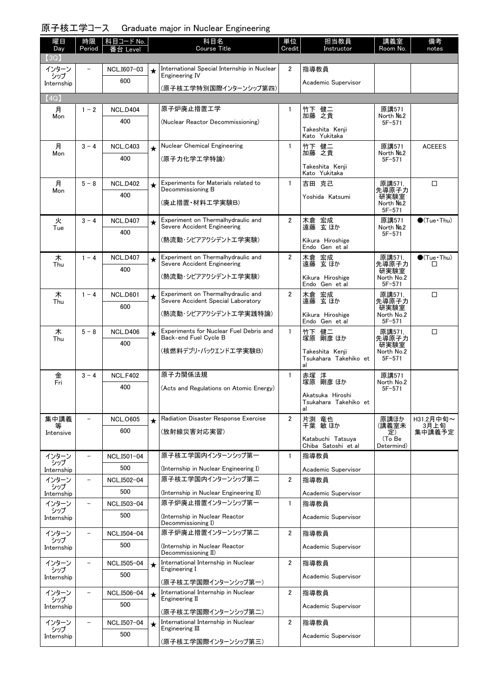### 原子核工学コース Graduate major in Nuclear Engineering

| 曜日<br>Day         | 時限<br>Period             | 科目コード No.<br>番台 Level  |            | 科目名<br><b>Course Title</b>                                        | 単位<br>Credit   | 担当教員<br>Instructor                        | 講義室<br>Room No.          | 備考<br>notes                |
|-------------------|--------------------------|------------------------|------------|-------------------------------------------------------------------|----------------|-------------------------------------------|--------------------------|----------------------------|
| (3Q)              |                          |                        |            |                                                                   |                |                                           |                          |                            |
| インターン<br>シップ      |                          | NCL.I607-03            | $\star$    | International Special Internship in Nuclear<br>Engineering IV     | $\overline{2}$ | 指導教員                                      |                          |                            |
| Internship        |                          | 600                    |            | (原子核工学特別国際インターンシップ第四)                                             |                | Academic Supervisor                       |                          |                            |
| (4Q)              |                          |                        |            |                                                                   |                |                                           |                          |                            |
| 月<br>Mon          | $1 - 2$                  | <b>NCL.D404</b>        |            | 原子炉廃止措置工学                                                         | $\mathbf{1}$   | 竹下 健二<br>加藤 之貴                            | 原講571<br>North No.2      |                            |
|                   |                          | 400                    |            | (Nuclear Reactor Decommissioning)                                 |                |                                           | $5F - 571$               |                            |
|                   |                          |                        |            |                                                                   |                | Takeshita Kenji<br>Kato Yukitaka          |                          |                            |
| 月<br>Mon          | $3 - 4$                  | <b>NCL.C403</b>        | $\star$    | Nuclear Chemical Engineering                                      | $\mathbf{1}$   | 竹下 健二<br>加藤 之貴                            | 原講571<br>North No.2      | <b>ACEEES</b>              |
|                   |                          | 400                    |            | (原子力化学工学特論)                                                       |                | Takeshita Kenji                           | $5F - 571$               |                            |
|                   |                          |                        |            |                                                                   |                | Kato Yukitaka                             |                          |                            |
| 月<br>Mon          | $5 - 8$                  | <b>NCL.D402</b>        | $\star$    | Experiments for Materials related to<br>Decommissioning B         | $\mathbf{1}$   | 吉田 克己                                     | 原講571,<br>先導原子力          | $\Box$                     |
|                   |                          | 400                    |            | (廃止措置・材料工学実験B)                                                    |                | Yoshida Katsumi                           | 研実験室<br>North No.2       |                            |
|                   |                          |                        |            |                                                                   |                |                                           | $5F - 571$               |                            |
| 火<br>Tue          | $3 - 4$                  | <b>NCL.D407</b>        | $\star$    | Experiment on Thermalhydraulic and<br>Severe Accident Engineering | $\overline{2}$ | 木倉 宏成<br>遠藤 玄ほか                           | 原講571<br>North No.2      | $\bigcirc$ (Tue · Thu)     |
|                   |                          | 400                    |            | (熱流動・シビアアクシデントエ学実験)                                               |                | Kikura Hiroshige                          | $5F - 571$               |                            |
|                   |                          |                        |            | Experiment on Thermalhydraulic and                                | $\overline{2}$ | Endo Gen et al                            |                          |                            |
| 木<br>Thu          | $1 - 4$                  | <b>NCL.D407</b><br>400 | $\star$    | Severe Accident Engineering                                       |                | 木倉 宏成<br>遠藤 玄ほか                           | 原講571,<br>先導原子力          | $\bullet$ (Tue · Thu)<br>□ |
|                   |                          |                        |            | (熱流動・シビアアクシデントエ学実験)                                               |                | Kikura Hiroshige                          | 研実験室<br>North No.2       |                            |
| 木                 | $1 - 4$                  | <b>NCL.D601</b>        |            | Experiment on Thermalhydraulic and                                | $\overline{2}$ | Endo Gen et al<br>木倉 宏成                   | $5F - 571$<br>原講571.     | $\Box$                     |
| Thu               |                          | 600                    | $\bigstar$ | Severe Accident Special Laboratory                                |                | 遠藤 玄ほか                                    | 先導原子力<br>研実験室            |                            |
|                   |                          |                        |            | (熱流動・シビアアクシデントエ学実践特論)                                             |                | Kikura Hiroshige<br>Endo Gen et al        | North No.2<br>$5F - 571$ |                            |
| 木<br>Thu          | $5 - 8$                  | <b>NCL.D406</b>        | $\bigstar$ | Experiments for Nuclear Fuel Debris and<br>Back-end Fuel Cycle B  | $\mathbf{1}$   | 竹下 健二<br>塚原 剛彦 ほか                         | 原講571.<br>先導原子力          | $\Box$                     |
|                   |                          | 400                    |            | (核燃料デブリ・バックエンドエ学実験B)                                              |                | Takeshita Kenji                           | 研実験室<br>North No.2       |                            |
|                   |                          |                        |            |                                                                   |                | Tsukahara Takehiko et<br>al               | $5F - 571$               |                            |
| 金                 | $3 - 4$                  | <b>NCL.F402</b>        |            | 原子力関係法規                                                           | $\mathbf{1}$   | 赤塚 洋<br>塚原 剛彦 ほか                          | 原講571                    |                            |
| Fri               |                          | 400                    |            | (Acts and Regulations on Atomic Energy)                           |                |                                           | North No.2<br>$5F - 571$ |                            |
|                   |                          |                        |            |                                                                   |                | Akatsuka Hiroshi<br>Tsukahara Takehiko et |                          |                            |
| 集中講義              | $\overline{a}$           | <b>NCL.0605</b>        |            | Radiation Disaster Response Exercise                              | $\overline{2}$ | al<br>片渕 竜也                               | 原講ほか                     | H31.2月中旬~                  |
| 等<br>Intensive    |                          | 600                    | $\star$    | (放射線災害対応実習)                                                       |                | 千葉 敏 ほか                                   | (講義室未<br>定)              | 3月上旬<br>集中講義予定             |
|                   |                          |                        |            |                                                                   |                | Katabuchi Tatsuya<br>Chiba Satoshi et al  | (To Be<br>Determind)     |                            |
| インターン             |                          | NCL.I501-04            |            | 原子核工学国内インターンシップ第一                                                 | $\mathbf{1}$   | 指導教員                                      |                          |                            |
| シップ<br>Internship |                          | 500                    |            | (Internship in Nuclear Engineering I)                             |                | Academic Supervisor                       |                          |                            |
| インターン             |                          | NCL.I502-04            |            | 原子核工学国内インターンシップ第二                                                 | $\overline{2}$ | 指導教員                                      |                          |                            |
| シップ<br>Internship |                          | 500                    |            | (Internship in Nuclear Engineering II)                            |                | Academic Supervisor                       |                          |                            |
| インターン<br>シップ      | $\overline{\phantom{0}}$ | NCL.I503-04            |            | 原子炉廃止措置インターンシップ第一                                                 | $\mathbf{1}$   | 指導教員                                      |                          |                            |
| Internship        |                          | 500                    |            | (Internship in Nuclear Reactor<br>Decommissioning I)              |                | Academic Supervisor                       |                          |                            |
| インターン             | $\overline{\phantom{0}}$ | NCL.I504-04            |            | 原子炉廃止措置インターンシップ第二                                                 | $\overline{2}$ | 指導教員                                      |                          |                            |
| シップ<br>Internship |                          | 500                    |            | (Internship in Nuclear Reactor                                    |                | Academic Supervisor                       |                          |                            |
| インターン             | $\overline{\phantom{0}}$ | NCL.I505-04            |            | Decommissioning II)<br>International Internship in Nuclear        | $\overline{2}$ | 指導教員                                      |                          |                            |
| シップ<br>Internship |                          | 500                    | $\star$    | Engineering I                                                     |                | Academic Supervisor                       |                          |                            |
|                   |                          |                        |            | (原子核工学国際インターンシップ第一)                                               |                |                                           |                          |                            |
|                   |                          |                        |            |                                                                   |                |                                           |                          |                            |
| インターン<br>シップ      | $\overline{a}$           | NCL.I506-04            | $\star$    | International Internship in Nuclear<br>Engineering II             | $\overline{2}$ | 指導教員                                      |                          |                            |
| Internship        |                          | 500                    |            | (原子核工学国際インターンシップ第二)                                               |                | Academic Supervisor                       |                          |                            |
| インターン<br>シップ      |                          | NCL.I507-04            | $\star$    | International Internship in Nuclear<br>Engineering III            | $\overline{2}$ | 指導教員                                      |                          |                            |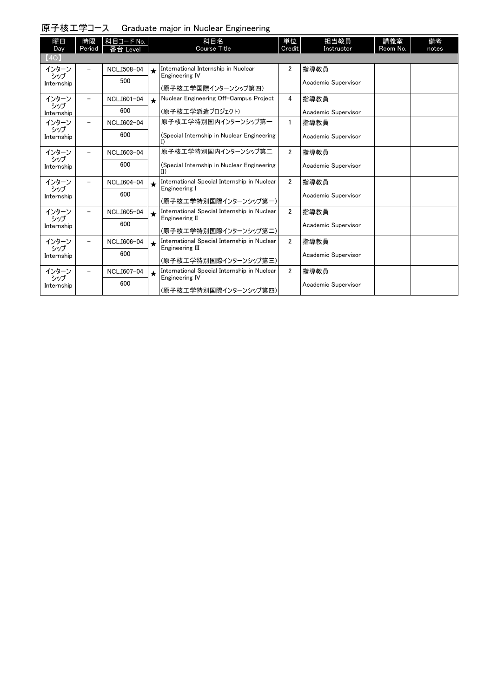|  | 原子核エ学コース |  |  |  | Graduate major in Nuclear Engineering |
|--|----------|--|--|--|---------------------------------------|
|--|----------|--|--|--|---------------------------------------|

| 曜日<br>Day         | 時限<br>Period             | 科目コード No.<br>番台 Level |         | 科目名<br><b>Course Title</b>                                     | 単位<br>Credit          | 担当教員<br>Instructor  | 講義室<br>Room No. | 備考<br>notes |
|-------------------|--------------------------|-----------------------|---------|----------------------------------------------------------------|-----------------------|---------------------|-----------------|-------------|
| (4Q)              |                          |                       |         |                                                                |                       |                     |                 |             |
| インターン             |                          | NCL.I508-04           | $\star$ | International Internship in Nuclear                            | $\mathbf{2}^{\prime}$ | 指導教員                |                 |             |
| シップ<br>Internship |                          | 500                   |         | <b>Engineering IV</b>                                          |                       | Academic Supervisor |                 |             |
|                   |                          |                       |         | (原子核工学国際インターンシップ第四)                                            |                       |                     |                 |             |
| インターン<br>シップ      | -                        | NCL.I601-04           | $\star$ | Nuclear Engineering Off-Campus Project                         | 4                     | 指導教員                |                 |             |
| Internship        |                          | 600                   |         | (原子核工学派遣プロジェクト)                                                |                       | Academic Supervisor |                 |             |
| インターン             | -                        | NCL.I602-04           |         | 原子核エ学特別国内インターンシップ第一                                            | $\mathbf{1}$          | 指導教員                |                 |             |
| シップ<br>Internship |                          | 600                   |         | (Special Internship in Nuclear Engineering                     |                       | Academic Supervisor |                 |             |
|                   |                          |                       |         | 原子核工学特別国内インターンシップ第二                                            | $\overline{2}$        |                     |                 |             |
| インターン<br>シップ      |                          | NCL.I603-04           |         |                                                                |                       | 指導教員                |                 |             |
| Internship        |                          | 600                   |         | (Special Internship in Nuclear Engineering<br>$\text{II}$      |                       | Academic Supervisor |                 |             |
| インターン             |                          | NCL.I604-04           | $\star$ | International Special Internship in Nuclear<br>Engineering I   | $\overline{2}$        | 指導教員                |                 |             |
| シップ<br>Internship |                          | 600                   |         |                                                                |                       | Academic Supervisor |                 |             |
|                   |                          |                       |         | (原子核工学特別国際インターンシップ第一)                                          |                       |                     |                 |             |
| インターン<br>シップ      | $\overline{\phantom{0}}$ | NCL.I605-04           | $\star$ | International Special Internship in Nuclear<br>Engineering II  | $\overline{2}$        | 指導教員                |                 |             |
| Internship        |                          | 600                   |         |                                                                |                       | Academic Supervisor |                 |             |
|                   |                          |                       |         | (原子核工学特別国際インターンシップ第二)                                          |                       |                     |                 |             |
| インターン<br>シップ      | Ξ.                       | NCL.I606-04           | $\star$ | International Special Internship in Nuclear<br>Engineering III | $\overline{2}$        | 指導教員                |                 |             |
| Internship        |                          | 600                   |         | (原子核工学特別国際インターンシップ第三)                                          |                       | Academic Supervisor |                 |             |
| インターン             |                          | NCL.I607-04           |         | International Special Internship in Nuclear                    | $\overline{2}$        | 指導教員                |                 |             |
| シップ               |                          |                       | $\star$ | <b>Engineering IV</b>                                          |                       |                     |                 |             |
| Internship        |                          | 600                   |         | (原子核工学特別国際インターンシップ第四)                                          |                       | Academic Supervisor |                 |             |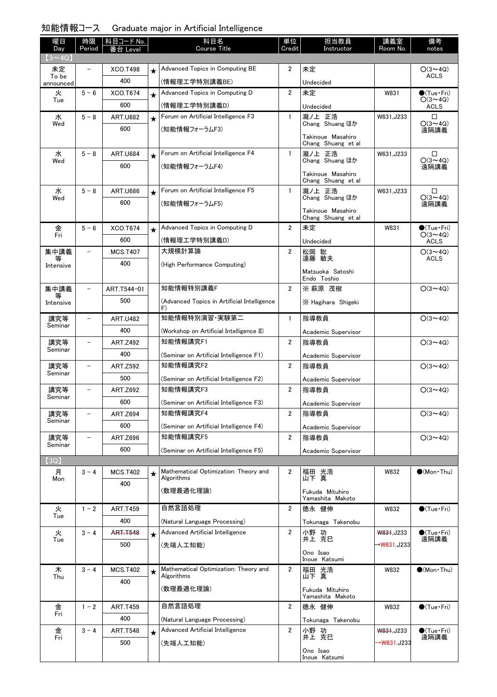| 知能情報コース | Graduate major in Artificial Intelligence |
|---------|-------------------------------------------|
|---------|-------------------------------------------|

| 曜日<br>Day          | 時限<br>Period             | 科目コード No.<br>台 Leve |         | 科目名<br><b>Course Title</b>                          | 単位<br>Credit            | 担当教員<br>Instructor                      | 講義室<br>Room No. | 備考<br>notes                   |
|--------------------|--------------------------|---------------------|---------|-----------------------------------------------------|-------------------------|-----------------------------------------|-----------------|-------------------------------|
| $(3 \sim 4Q)$      |                          |                     |         |                                                     |                         |                                         |                 |                               |
| 未定                 |                          | <b>XCO.T498</b>     | $\star$ | Advanced Topics in Computing BE                     | 2                       | 未定                                      |                 | $O(3 \sim 4Q)$                |
| To be<br>announced |                          | 400                 |         | (情報理工学特別講義BE)                                       |                         | Undecided                               |                 | <b>ACLS</b>                   |
| 火                  | $5 - 6$                  | XCO.T674            | $\star$ | Advanced Topics in Computing D                      | $\overline{2}$          | 未定                                      | W831            | $\bullet$ (Tue•Fri)           |
| Tue                |                          | 600                 |         | (情報理工学特別講義D)                                        |                         | Undecided                               |                 | $O(3 \sim 4Q)$<br><b>ACLS</b> |
| 水                  | $5 - 8$                  | <b>ART.U682</b>     | $\star$ | Forum on Artificial Intelligence F3                 | $\mathbf{1}$            | 瀧ノ上 正浩                                  | W631.J233       | $\Box$                        |
| Wed                |                          | 600                 |         | (知能情報フォーラムF3)                                       |                         | Chang Shuang ほか                         |                 | $O(3 \sim 4Q)$<br>遠隔講義        |
|                    |                          |                     |         |                                                     |                         | Takinoue Masahiro<br>Chang Shuang et al |                 |                               |
| 水                  | $5 - 8$                  | <b>ART.U684</b>     | $\star$ | Forum on Artificial Intelligence F4                 | $\mathbf{1}$            | 瀧ノ上 正浩                                  | W631,J233       | □                             |
| Wed                |                          | 600                 |         | (知能情報フォーラムF4)                                       |                         | Chang Shuang ほか                         |                 | $O(3 \sim 4Q)$<br>遠隔講義        |
|                    |                          |                     |         |                                                     |                         | Takinoue Masahiro<br>Chang Shuang et al |                 |                               |
| 水                  | $5 - 8$                  | <b>ART.U686</b>     | $\star$ | Forum on Artificial Intelligence F5                 | $\mathbf{1}$            | 瀧ノ上 正浩                                  | W631, J233      | □                             |
| Wed                |                          | 600                 |         | (知能情報フォーラムF5)                                       |                         | Chang Shuang ほか                         |                 | $O(3 \sim 4Q)$<br>遠隔講義        |
|                    |                          |                     |         |                                                     |                         | Takinoue Masahiro                       |                 |                               |
| 金                  | $5 - 6$                  | XCO.T674            |         | Advanced Topics in Computing D                      | $\overline{2}$          | Chang Shuang et al<br>未定                | W831            | $\bullet$ (Tue · Fri)         |
| Fri                |                          | 600                 |         | (情報理工学特別講義D)                                        |                         | Undecided                               |                 | $O(3 \sim 4Q)$<br><b>ACLS</b> |
| 集中講義               | $\overline{\phantom{0}}$ | <b>MCS.T407</b>     |         | 大規模計算論                                              | $\overline{2}$          | 松岡 聡                                    |                 | $O(3 \sim 4Q)$                |
|                    |                          | 400                 |         | (High Performance Computing)                        |                         | 遠藤 敏夫                                   |                 | <b>ACLS</b>                   |
| Intensive          |                          |                     |         |                                                     |                         | Matsuoka Satoshi                        |                 |                               |
|                    | $\overline{\phantom{0}}$ | ART.T544-01         |         | 知能情報特別講義F                                           | $\overline{2}$          | Endo Toshio<br>※ 萩原 茂樹                  |                 | $O(3 \sim 4Q)$                |
| 集中講義<br>等          |                          | 500                 |         |                                                     |                         |                                         |                 |                               |
| Intensive          |                          |                     |         | (Advanced Topics in Artificial Intelligence<br>F)   |                         | X Hagihara Shigeki                      |                 |                               |
| 講究等                | $\overline{\phantom{0}}$ | <b>ART.U482</b>     |         | 知能情報特別演習 実験第二                                       | $\mathbf{1}$            | 指導教員                                    |                 | $O(3 \sim 4Q)$                |
| Seminar            |                          | 400                 |         | (Workshop on Artificial Intelligence II)            |                         | Academic Supervisor                     |                 |                               |
| 講究等                |                          | <b>ART.Z492</b>     |         | 知能情報講究F1                                            | 2                       | 指導教員                                    |                 | $O(3 \sim 4Q)$                |
| Seminar            |                          | 400                 |         | (Seminar on Artificial Intelligence F1)             |                         | Academic Supervisor                     |                 |                               |
| 講究等                | $\overline{\phantom{0}}$ | <b>ART.Z592</b>     |         | 知能情報講究F2                                            | $\overline{2}$          | 指導教員                                    |                 | $O(3 \sim 4Q)$                |
| Seminar            |                          | 500                 |         | (Seminar on Artificial Intelligence F2)             |                         | Academic Supervisor                     |                 |                               |
| 講究等                |                          | <b>ART.Z692</b>     |         | 知能情報講究F3                                            | $\overline{2}$          | 指導教員                                    |                 | $O(3 \sim 40)$                |
| Seminar            |                          | 600                 |         | (Seminar on Artificial Intelligence F3)             |                         | Academic Supervisor                     |                 |                               |
| 講究等                | $\qquad \qquad -$        | <b>ART.Z694</b>     |         | 知能情報講究F4                                            | $\overline{2}$          | 指導教員                                    |                 | $O(3 \sim 4Q)$                |
| Seminar            |                          | 600                 |         | (Seminar on Artificial Intelligence F4)             |                         | Academic Supervisor                     |                 |                               |
| 講究等<br>Seminar     | $\overline{\phantom{0}}$ | ART.Z696            |         | 知能情報講究F5                                            | $\overline{2}$          | 指導教員                                    |                 | $O(3 \sim 4Q)$                |
|                    |                          | 600                 |         | (Seminar on Artificial Intelligence F5)             |                         | Academic Supervisor                     |                 |                               |
| (3Q)               |                          |                     |         |                                                     |                         |                                         |                 |                               |
| 月<br>Mon           | $3 - 4$                  | <b>MCS.T402</b>     | ★       | Mathematical Optimization: Theory and<br>Algorithms | $\overline{2}$          | 福田 光浩<br>山下真                            | W832            | $\bullet$ (Mon Thu)           |
|                    |                          | 400                 |         | (数理最適化理論)                                           |                         | Fukuda Mituhiro                         |                 |                               |
|                    |                          |                     |         |                                                     |                         | Yamashita Makoto                        |                 |                               |
| 火<br>Tue           | $1 - 2$                  | <b>ART.T459</b>     |         | 自然言語処理                                              | $\overline{2}$          | 德永 健伸                                   | W832            | $\bigcirc$ (Tue·Fri)          |
|                    |                          | 400                 |         | (Natural Language Processing)                       |                         | Tokunaga Takenobu                       |                 |                               |
| 火<br>Tue           | $3 - 4$                  | <b>ART.T548</b>     | $\star$ | Advanced Artificial Intelligence                    | $\overline{\mathbf{2}}$ | 小野 功<br>井上 克巳                           | W831, J233      | $\bullet$ (Tue · Fri)<br>遠隔講義 |
|                    |                          | 500                 |         | (先端人工知能)                                            |                         | Ono Isao                                | →W631,J233      |                               |
|                    |                          |                     |         |                                                     |                         | Inoue Katsumi                           |                 |                               |
| 木<br>Thu           | $3 - 4$                  | <b>MCS.T402</b>     | $\star$ | Mathematical Optimization: Theory and<br>Algorithms | $\overline{2}$          | 福田 光浩<br>山下 真                           | W832            | $\bullet$ (Mon Thu)           |
|                    |                          | 400                 |         | (数理最適化理論)                                           |                         | Fukuda Mituhiro                         |                 |                               |
|                    |                          |                     |         |                                                     |                         | Yamashita Makoto                        |                 |                               |
| 金<br>Fri           | $1 - 2$                  | <b>ART.T459</b>     |         | 自然言語処理                                              | 2                       | 德永 健伸                                   | W832            | $\bullet$ (Tue•Fri)           |
|                    |                          | 400                 |         | (Natural Language Processing)                       |                         | Tokunaga Takenobu                       |                 |                               |
| 金<br>Fri           | $3 - 4$                  | <b>ART.T548</b>     | $\star$ | Advanced Artificial Intelligence                    | $\overline{2}$          | 小野 功<br>井上 克巳                           | W831, J233      | ●(Tue Fri)<br>遠隔講義            |
|                    |                          | 500                 |         | (先端人工知能)                                            |                         |                                         | →W631,J233      |                               |
|                    |                          |                     |         |                                                     |                         | Ono Isao<br>Inoue Katsumi               |                 |                               |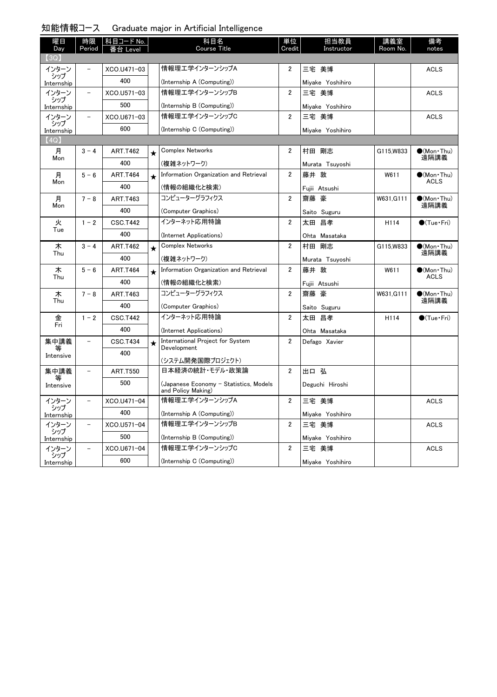| 知能情報コース            |                          |                       |         | Graduate major in Artificial Intelligence                    |                |                    |                 |                               |
|--------------------|--------------------------|-----------------------|---------|--------------------------------------------------------------|----------------|--------------------|-----------------|-------------------------------|
| 曜日<br>Day          | 時限<br>Period             | 科目コード No.<br>番台 Level |         | 科目名<br><b>Course Title</b>                                   | 単位<br>Credit   | 担当教員<br>Instructor | 講義室<br>Room No. | 備考<br>notes                   |
| $\left( 3Q\right)$ |                          |                       |         |                                                              |                |                    |                 |                               |
| インターン<br>シップ       | $\overline{\phantom{0}}$ | XCO.U471-03           |         | 情報理エ学インターンシップA                                               | 2              | 三宅 美博              |                 | <b>ACLS</b>                   |
| Internship         |                          | 400                   |         | (Internship A (Computing))                                   |                | Miyake Yoshihiro   |                 |                               |
| インターン<br>シップ       | $\overline{\phantom{a}}$ | XCO.U571-03           |         | 情報理工学インターンシップB                                               | $\overline{2}$ | 三宅 美博              |                 | <b>ACLS</b>                   |
| Internship         |                          | 500                   |         | (Internship B (Computing))                                   |                | Miyake Yoshihiro   |                 |                               |
| インターン              | $\overline{\phantom{a}}$ | XCO.U671-03           |         | 情報理エ学インターンシップC                                               | 2              | 三宅 美博              |                 | <b>ACLS</b>                   |
| シップ<br>Internship  |                          | 600                   |         | (Internship C (Computing))                                   |                | Miyake Yoshihiro   |                 |                               |
| (4Q)               |                          |                       |         |                                                              |                |                    |                 |                               |
| 月                  | $3 - 4$                  | <b>ART.T462</b>       | $\star$ | <b>Complex Networks</b>                                      | 2              | 村田 剛志              | G115, W833      | $\bullet$ (Mon · Thu)<br>遠隔講義 |
| Mon                |                          | 400                   |         | (複雑ネットワーク)                                                   |                | Murata Tsuyoshi    |                 |                               |
| 月                  | $5 - 6$                  | <b>ART.T464</b>       | $\star$ | Information Organization and Retrieval                       | $\overline{2}$ | 藤井 敦               | W611            | $\bigcirc$ (Mon·Thu)          |
| Mon                |                          | 400                   |         | (情報の組織化と検索)                                                  |                | Fujii Atsushi      |                 | ACLS                          |
| 月                  | $7 - 8$                  | <b>ART.T463</b>       |         | コンピューターグラフィクス                                                | $\overline{2}$ | 齋藤 豪               | W631, G111      | $\bullet$ (Mon · Thu)         |
| Mon                |                          | 400                   |         | (Computer Graphics)                                          |                | Saito Suguru       |                 | 遠隔講義                          |
| 火                  | $1 - 2$                  | <b>CSC.T442</b>       |         | インターネット応用特論                                                  | $\overline{2}$ | 太田 昌孝              | H114            | $\bigcirc$ (Tue · Fri)        |
| Tue                |                          | 400                   |         | (Internet Applications)                                      |                | Ohta Masataka      |                 |                               |
| 木                  | $3 - 4$                  | <b>ART.T462</b>       | $\star$ | <b>Complex Networks</b>                                      | $\overline{2}$ | 村田 剛志              | G115, W833      | $\bullet$ (Mon · Thu)         |
| Thu                |                          | 400                   |         | (複雑ネットワーク)                                                   |                | Murata Tsuyoshi    |                 | 遠隔講義                          |
| 木                  | $5 - 6$                  | <b>ART.T464</b>       | $\star$ | Information Organization and Retrieval                       | 2              | 藤井 敦               | W611            | $\bullet$ (Mon Thu)           |
| Thu                |                          | 400                   |         | (情報の組織化と検索)                                                  |                | Fujii Atsushi      |                 | <b>ACLS</b>                   |
| 木                  | $7 - 8$                  | ART.T463              |         | コンピューターグラフィクス                                                | $\overline{2}$ | 齋藤 豪               | W631, G111      | $(Mon\cdot Thu)$              |
| Thu                |                          | 400                   |         | (Computer Graphics)                                          |                | Saito Suguru       |                 | 遠隔講義                          |
| 金                  | $1 - 2$                  | <b>CSC.T442</b>       |         | インターネット応用特論                                                  | $\overline{2}$ | 太田 昌孝              | H114            | $\bigcirc$ (Tue · Fri)        |
| Fri                |                          | 400                   |         | (Internet Applications)                                      |                | Ohta Masataka      |                 |                               |
| 集中講義               | $\overline{\phantom{0}}$ | <b>CSC.T434</b>       | $\star$ | International Project for System                             | $\overline{2}$ | Defago Xavier      |                 |                               |
| 等<br>Intensive     |                          | 400                   |         | Development                                                  |                |                    |                 |                               |
|                    |                          |                       |         | (システム開発国際プロジェクト)<br>日本経済の統計・モデル・政策論                          |                | 出口 弘               |                 |                               |
| 集中講義<br>等          | $\qquad \qquad -$        | <b>ART.T550</b>       |         |                                                              | 2              |                    |                 |                               |
| Intensive          |                          | 500                   |         | (Japanese Economy - Statistics, Models<br>and Policy Making) |                | Deguchi Hiroshi    |                 |                               |
| インターン              | $\overline{\phantom{m}}$ | XCO.U471-04           |         | 情報理エ学インターンシップA                                               | 2              | 三宅 美博              |                 | <b>ACLS</b>                   |
| シップ<br>Internship  |                          | 400                   |         | (Internship A (Computing))                                   |                | Miyake Yoshihiro   |                 |                               |
| インターン              | $\overline{\phantom{a}}$ | XCO.U571-04           |         | 情報理工学インターンシップB                                               | 2              | 三宅 美博              |                 | <b>ACLS</b>                   |
| シップ<br>Internship  |                          | 500                   |         | (Internship B (Computing))                                   |                | Miyake Yoshihiro   |                 |                               |
| インターン              | $\qquad \qquad -$        | XCO.U671-04           |         | 情報理エ学インターンシップC                                               | 2              | 三宅 美博              |                 | <b>ACLS</b>                   |
| シップ<br>Internship  |                          | 600                   |         | (Internship C (Computing))                                   |                | Miyake Yoshihiro   |                 |                               |

#### 知能情報コース Graduate major in Artificial Intelligence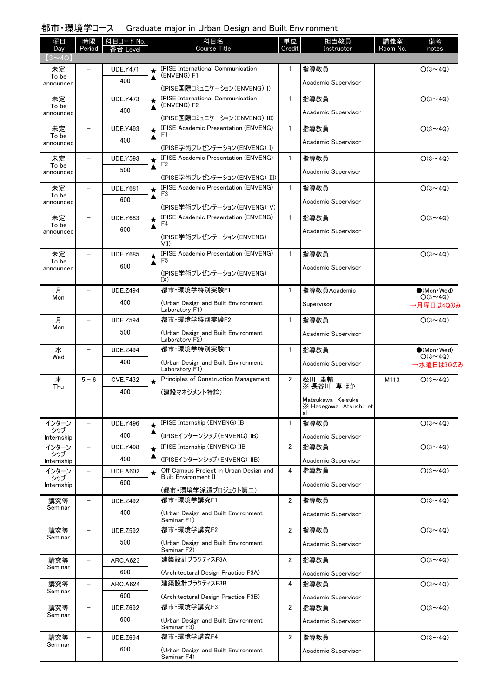### 都市・環境学コース Graduate major in Urban Design and Built Environment

| $(3 \sim 4Q)$<br>IPISE International Communication<br>$\mathbf{1}$<br>指導教員<br>未定<br><b>UDE.Y471</b><br>$O(3 \sim 4Q)$<br>★<br>(ENVENG) F1<br>To be<br>▲<br>400<br>Academic Supervisor<br>announced<br>(IPISE国際コミュニケーション(ENVENG) I)<br><b>IPISE International Communication</b><br>$\mathbf{1}$<br>指導教員<br>$O(3 \sim 4Q)$<br>未定<br><b>UDE.Y473</b><br>★<br>(ENVENG) F2<br>To be<br>▲<br>400<br>Academic Supervisor<br>announced<br>(IPISE国際コミュニケーション(ENVENG) III)<br><b>IPISE Academic Presentation (ENVENG)</b><br>$\mathbf{1}$<br>指導教員<br>$O(3 \sim 4Q)$<br>未定<br><b>UDE.Y493</b><br>$\star$<br>F1<br>To be<br>▲<br>400<br>Academic Supervisor<br>announced<br>(IPISE学術プレゼンテーション(ENVENG) I)<br><b>IPISE Academic Presentation (ENVENG)</b><br>$\mathbf{1}$<br>指導教員<br>$O(3 \sim 4Q)$<br>未定<br><b>UDE.Y593</b><br>★<br>F2<br>To be<br>▲<br>500<br>Academic Supervisor<br>announced<br>(IPISE学術プレゼンテーション(ENVENG) III)<br><b>IPISE Academic Presentation (ENVENG)</b><br>$\mathbf{1}$<br>指導教員<br>$O(3 \sim 4Q)$<br>未定<br><b>UDE.Y681</b><br>$\star$<br>F3<br>To be<br>▲<br>600<br>Academic Supervisor<br>announced<br>(IPISE学術プレゼンテーション(ENVENG) V)<br><b>IPISE Academic Presentation (ENVENG)</b><br>$\mathbf{1}$<br><b>UDE.Y683</b><br>指導教員<br>$O(3 \sim 4Q)$<br>未定<br>★<br>F4<br>To be<br>▲<br>600<br>Academic Supervisor<br>announced<br>(IPISE学術プレゼンテーション(ENVENG)<br>VII)<br><b>IPISE Academic Presentation (ENVENG)</b><br>$\mathbf{1}$<br>未定<br><b>UDE.Y685</b><br>指導教員<br>$O(3 \sim 40)$<br>★<br>F5<br>To be<br>▲<br>600<br>Academic Supervisor<br>announced<br>(IPISE学術プレゼンテーション(ENVENG)<br>IX)<br>都市·環境学特別実験F1<br>指導教員Academic<br>月<br>$\mathbf{1}$<br>$\bullet$ (Mon $\cdot$ Wed)<br><b>UDE.Z494</b><br>$O(3 \sim 4Q)$<br>Mon<br>400<br>(Urban Design and Built Environment<br>Supervisor<br>→月曜日は4Qのみ<br>Laboratory F1)<br>都市·環境学特別実験F2<br>$\mathbf{1}$<br>指導教員<br>$O(3 \sim 4Q)$<br>月<br><b>UDE.Z594</b><br>Mon<br>500<br>(Urban Design and Built Environment<br>Academic Supervisor<br>Laboratory F2)<br>都市·環境学特別実験F1<br>水<br><b>UDE.Z494</b><br>$\mathbf{1}$<br>指導教員<br>$\bullet$ (Mon $\cdot$ Wed)<br>$O(3 \sim 4Q)$<br>Wed<br>400<br>(Urban Design and Built Environment<br>Academic Supervisor<br>→水曜日は3Qのみ<br>Laboratory F1)<br>Principles of Construction Management<br>$\overline{2}$<br>木<br>$5 - 6$<br><b>CVE.F432</b><br>$O(3 \sim 4Q)$<br>松川 圭輔<br>M113<br>$\star$<br>※長谷川 専ほか<br>Thu<br>400<br>(建設マネジメント特論)<br>Matsukawa Keisuke<br>X Hasegawa Atsushi et<br>al<br>IPISE Internship (ENVENG) IB<br>$\mathbf{1}$<br>指導教員<br>$O(3 \sim 4Q)$<br>インターン<br><b>UDE.Y496</b><br>$\star$<br>シップ<br>400<br>(IPISEインターンシップ(ENVENG)IB)<br>Academic Supervisor<br>Internship<br>IPISE Internship (ENVENG) IIB<br>$\overline{2}$<br>指導教員<br>$O(3 \sim 4Q)$<br>インターン<br><b>UDE.Y498</b><br>$\qquad \qquad -$<br>$\star$<br>シップ<br>▲<br>400<br>(IPISEインターンシップ (ENVENG) IIB)<br>Academic Supervisor<br>Internship<br>Off Campus Project in Urban Design and<br>インターン<br>4<br>指導教員<br>$O(3 \sim 4Q)$<br><b>UDE.A602</b><br>★<br><b>Built Environment II</b><br>シップ<br>600<br>Academic Supervisor<br>Internship<br>(都市・環境学派遣プロジェクト第二)<br>都市·環境学講究F1<br>$\overline{2}$<br>指導教員<br>$O(3 \sim 4Q)$<br>講究等<br><b>UDE.Z492</b><br>Seminar<br>400<br>(Urban Design and Built Environment<br>Academic Supervisor<br>Seminar F1)<br>都市·環境学講究F2<br>$\overline{2}$<br>指導教員<br>$O(3 \sim 4Q)$<br>講究等<br><b>UDE.Z592</b><br>Seminar<br>500<br>(Urban Design and Built Environment<br>Academic Supervisor<br>Seminar F2)<br>建築設計プラクティスF3A<br>$\overline{2}$<br>指導教員<br>$O(3 \sim 4Q)$<br>講究等<br><b>ARC.A623</b><br>Seminar<br>600<br>(Architectural Design Practice F3A)<br>Academic Supervisor<br>建築設計プラクティスF3B<br>講究等<br>4<br>$O(3 \sim 4Q)$<br><b>ARC.A624</b><br>指導教員<br>$\qquad \qquad -$<br>Seminar<br>600<br>(Architectural Design Practice F3B)<br>Academic Supervisor<br>都市·環境学講究F3<br>$\overline{2}$<br>講究等<br>指導教員<br>$O(3 \sim 4Q)$<br><b>UDE.Z692</b><br>$\overline{\phantom{m}}$<br>Seminar<br>600<br>(Urban Design and Built Environment<br>Academic Supervisor<br>Seminar F3)<br>都市·環境学講究F4<br>$\overline{2}$<br>$O(3 \sim 4Q)$<br>講究等<br>指導教員<br><b>UDE.Z694</b><br>Seminar<br>600<br>(Urban Design and Built Environment<br>Academic Supervisor | 曜日  | 時限     | 科目コード No. | 科目名<br>Course Title | 単位<br>Credit | 担当教員<br>Instructor | 講義室<br>Room No. | 備考    |
|-----------------------------------------------------------------------------------------------------------------------------------------------------------------------------------------------------------------------------------------------------------------------------------------------------------------------------------------------------------------------------------------------------------------------------------------------------------------------------------------------------------------------------------------------------------------------------------------------------------------------------------------------------------------------------------------------------------------------------------------------------------------------------------------------------------------------------------------------------------------------------------------------------------------------------------------------------------------------------------------------------------------------------------------------------------------------------------------------------------------------------------------------------------------------------------------------------------------------------------------------------------------------------------------------------------------------------------------------------------------------------------------------------------------------------------------------------------------------------------------------------------------------------------------------------------------------------------------------------------------------------------------------------------------------------------------------------------------------------------------------------------------------------------------------------------------------------------------------------------------------------------------------------------------------------------------------------------------------------------------------------------------------------------------------------------------------------------------------------------------------------------------------------------------------------------------------------------------------------------------------------------------------------------------------------------------------------------------------------------------------------------------------------------------------------------------------------------------------------------------------------------------------------------------------------------------------------------------------------------------------------------------------------------------------------------------------------------------------------------------------------------------------------------------------------------------------------------------------------------------------------------------------------------------------------------------------------------------------------------------------------------------------------------------------------------------------------------------------------------------------------------------------------------------------------------------------------------------------------------------------------------------------------------------------------------------------------------------------------------------------------------------------------------------------------------------------------------------------------------------------------------------------------------------------------------------------------------------------------------------------------------------------------------------------------------------------------------------------------------------------------------------------------------------------------------------------------------------------------------------------------------------------------------------------------------------------------------------------------------------------------------------------------------------------------------------------------------------------------------------------------------------------------------------------------------------------------------------------------------------------------------|-----|--------|-----------|---------------------|--------------|--------------------|-----------------|-------|
|                                                                                                                                                                                                                                                                                                                                                                                                                                                                                                                                                                                                                                                                                                                                                                                                                                                                                                                                                                                                                                                                                                                                                                                                                                                                                                                                                                                                                                                                                                                                                                                                                                                                                                                                                                                                                                                                                                                                                                                                                                                                                                                                                                                                                                                                                                                                                                                                                                                                                                                                                                                                                                                                                                                                                                                                                                                                                                                                                                                                                                                                                                                                                                                                                                                                                                                                                                                                                                                                                                                                                                                                                                                                                                                                                                                                                                                                                                                                                                                                                                                                                                                                                                                                                                                           | Day | Period | Level     |                     |              |                    |                 | notes |
|                                                                                                                                                                                                                                                                                                                                                                                                                                                                                                                                                                                                                                                                                                                                                                                                                                                                                                                                                                                                                                                                                                                                                                                                                                                                                                                                                                                                                                                                                                                                                                                                                                                                                                                                                                                                                                                                                                                                                                                                                                                                                                                                                                                                                                                                                                                                                                                                                                                                                                                                                                                                                                                                                                                                                                                                                                                                                                                                                                                                                                                                                                                                                                                                                                                                                                                                                                                                                                                                                                                                                                                                                                                                                                                                                                                                                                                                                                                                                                                                                                                                                                                                                                                                                                                           |     |        |           |                     |              |                    |                 |       |
|                                                                                                                                                                                                                                                                                                                                                                                                                                                                                                                                                                                                                                                                                                                                                                                                                                                                                                                                                                                                                                                                                                                                                                                                                                                                                                                                                                                                                                                                                                                                                                                                                                                                                                                                                                                                                                                                                                                                                                                                                                                                                                                                                                                                                                                                                                                                                                                                                                                                                                                                                                                                                                                                                                                                                                                                                                                                                                                                                                                                                                                                                                                                                                                                                                                                                                                                                                                                                                                                                                                                                                                                                                                                                                                                                                                                                                                                                                                                                                                                                                                                                                                                                                                                                                                           |     |        |           |                     |              |                    |                 |       |
|                                                                                                                                                                                                                                                                                                                                                                                                                                                                                                                                                                                                                                                                                                                                                                                                                                                                                                                                                                                                                                                                                                                                                                                                                                                                                                                                                                                                                                                                                                                                                                                                                                                                                                                                                                                                                                                                                                                                                                                                                                                                                                                                                                                                                                                                                                                                                                                                                                                                                                                                                                                                                                                                                                                                                                                                                                                                                                                                                                                                                                                                                                                                                                                                                                                                                                                                                                                                                                                                                                                                                                                                                                                                                                                                                                                                                                                                                                                                                                                                                                                                                                                                                                                                                                                           |     |        |           |                     |              |                    |                 |       |
|                                                                                                                                                                                                                                                                                                                                                                                                                                                                                                                                                                                                                                                                                                                                                                                                                                                                                                                                                                                                                                                                                                                                                                                                                                                                                                                                                                                                                                                                                                                                                                                                                                                                                                                                                                                                                                                                                                                                                                                                                                                                                                                                                                                                                                                                                                                                                                                                                                                                                                                                                                                                                                                                                                                                                                                                                                                                                                                                                                                                                                                                                                                                                                                                                                                                                                                                                                                                                                                                                                                                                                                                                                                                                                                                                                                                                                                                                                                                                                                                                                                                                                                                                                                                                                                           |     |        |           |                     |              |                    |                 |       |
|                                                                                                                                                                                                                                                                                                                                                                                                                                                                                                                                                                                                                                                                                                                                                                                                                                                                                                                                                                                                                                                                                                                                                                                                                                                                                                                                                                                                                                                                                                                                                                                                                                                                                                                                                                                                                                                                                                                                                                                                                                                                                                                                                                                                                                                                                                                                                                                                                                                                                                                                                                                                                                                                                                                                                                                                                                                                                                                                                                                                                                                                                                                                                                                                                                                                                                                                                                                                                                                                                                                                                                                                                                                                                                                                                                                                                                                                                                                                                                                                                                                                                                                                                                                                                                                           |     |        |           |                     |              |                    |                 |       |
|                                                                                                                                                                                                                                                                                                                                                                                                                                                                                                                                                                                                                                                                                                                                                                                                                                                                                                                                                                                                                                                                                                                                                                                                                                                                                                                                                                                                                                                                                                                                                                                                                                                                                                                                                                                                                                                                                                                                                                                                                                                                                                                                                                                                                                                                                                                                                                                                                                                                                                                                                                                                                                                                                                                                                                                                                                                                                                                                                                                                                                                                                                                                                                                                                                                                                                                                                                                                                                                                                                                                                                                                                                                                                                                                                                                                                                                                                                                                                                                                                                                                                                                                                                                                                                                           |     |        |           |                     |              |                    |                 |       |
|                                                                                                                                                                                                                                                                                                                                                                                                                                                                                                                                                                                                                                                                                                                                                                                                                                                                                                                                                                                                                                                                                                                                                                                                                                                                                                                                                                                                                                                                                                                                                                                                                                                                                                                                                                                                                                                                                                                                                                                                                                                                                                                                                                                                                                                                                                                                                                                                                                                                                                                                                                                                                                                                                                                                                                                                                                                                                                                                                                                                                                                                                                                                                                                                                                                                                                                                                                                                                                                                                                                                                                                                                                                                                                                                                                                                                                                                                                                                                                                                                                                                                                                                                                                                                                                           |     |        |           |                     |              |                    |                 |       |
|                                                                                                                                                                                                                                                                                                                                                                                                                                                                                                                                                                                                                                                                                                                                                                                                                                                                                                                                                                                                                                                                                                                                                                                                                                                                                                                                                                                                                                                                                                                                                                                                                                                                                                                                                                                                                                                                                                                                                                                                                                                                                                                                                                                                                                                                                                                                                                                                                                                                                                                                                                                                                                                                                                                                                                                                                                                                                                                                                                                                                                                                                                                                                                                                                                                                                                                                                                                                                                                                                                                                                                                                                                                                                                                                                                                                                                                                                                                                                                                                                                                                                                                                                                                                                                                           |     |        |           |                     |              |                    |                 |       |
|                                                                                                                                                                                                                                                                                                                                                                                                                                                                                                                                                                                                                                                                                                                                                                                                                                                                                                                                                                                                                                                                                                                                                                                                                                                                                                                                                                                                                                                                                                                                                                                                                                                                                                                                                                                                                                                                                                                                                                                                                                                                                                                                                                                                                                                                                                                                                                                                                                                                                                                                                                                                                                                                                                                                                                                                                                                                                                                                                                                                                                                                                                                                                                                                                                                                                                                                                                                                                                                                                                                                                                                                                                                                                                                                                                                                                                                                                                                                                                                                                                                                                                                                                                                                                                                           |     |        |           |                     |              |                    |                 |       |
|                                                                                                                                                                                                                                                                                                                                                                                                                                                                                                                                                                                                                                                                                                                                                                                                                                                                                                                                                                                                                                                                                                                                                                                                                                                                                                                                                                                                                                                                                                                                                                                                                                                                                                                                                                                                                                                                                                                                                                                                                                                                                                                                                                                                                                                                                                                                                                                                                                                                                                                                                                                                                                                                                                                                                                                                                                                                                                                                                                                                                                                                                                                                                                                                                                                                                                                                                                                                                                                                                                                                                                                                                                                                                                                                                                                                                                                                                                                                                                                                                                                                                                                                                                                                                                                           |     |        |           |                     |              |                    |                 |       |
|                                                                                                                                                                                                                                                                                                                                                                                                                                                                                                                                                                                                                                                                                                                                                                                                                                                                                                                                                                                                                                                                                                                                                                                                                                                                                                                                                                                                                                                                                                                                                                                                                                                                                                                                                                                                                                                                                                                                                                                                                                                                                                                                                                                                                                                                                                                                                                                                                                                                                                                                                                                                                                                                                                                                                                                                                                                                                                                                                                                                                                                                                                                                                                                                                                                                                                                                                                                                                                                                                                                                                                                                                                                                                                                                                                                                                                                                                                                                                                                                                                                                                                                                                                                                                                                           |     |        |           |                     |              |                    |                 |       |
|                                                                                                                                                                                                                                                                                                                                                                                                                                                                                                                                                                                                                                                                                                                                                                                                                                                                                                                                                                                                                                                                                                                                                                                                                                                                                                                                                                                                                                                                                                                                                                                                                                                                                                                                                                                                                                                                                                                                                                                                                                                                                                                                                                                                                                                                                                                                                                                                                                                                                                                                                                                                                                                                                                                                                                                                                                                                                                                                                                                                                                                                                                                                                                                                                                                                                                                                                                                                                                                                                                                                                                                                                                                                                                                                                                                                                                                                                                                                                                                                                                                                                                                                                                                                                                                           |     |        |           |                     |              |                    |                 |       |
|                                                                                                                                                                                                                                                                                                                                                                                                                                                                                                                                                                                                                                                                                                                                                                                                                                                                                                                                                                                                                                                                                                                                                                                                                                                                                                                                                                                                                                                                                                                                                                                                                                                                                                                                                                                                                                                                                                                                                                                                                                                                                                                                                                                                                                                                                                                                                                                                                                                                                                                                                                                                                                                                                                                                                                                                                                                                                                                                                                                                                                                                                                                                                                                                                                                                                                                                                                                                                                                                                                                                                                                                                                                                                                                                                                                                                                                                                                                                                                                                                                                                                                                                                                                                                                                           |     |        |           |                     |              |                    |                 |       |
|                                                                                                                                                                                                                                                                                                                                                                                                                                                                                                                                                                                                                                                                                                                                                                                                                                                                                                                                                                                                                                                                                                                                                                                                                                                                                                                                                                                                                                                                                                                                                                                                                                                                                                                                                                                                                                                                                                                                                                                                                                                                                                                                                                                                                                                                                                                                                                                                                                                                                                                                                                                                                                                                                                                                                                                                                                                                                                                                                                                                                                                                                                                                                                                                                                                                                                                                                                                                                                                                                                                                                                                                                                                                                                                                                                                                                                                                                                                                                                                                                                                                                                                                                                                                                                                           |     |        |           |                     |              |                    |                 |       |
|                                                                                                                                                                                                                                                                                                                                                                                                                                                                                                                                                                                                                                                                                                                                                                                                                                                                                                                                                                                                                                                                                                                                                                                                                                                                                                                                                                                                                                                                                                                                                                                                                                                                                                                                                                                                                                                                                                                                                                                                                                                                                                                                                                                                                                                                                                                                                                                                                                                                                                                                                                                                                                                                                                                                                                                                                                                                                                                                                                                                                                                                                                                                                                                                                                                                                                                                                                                                                                                                                                                                                                                                                                                                                                                                                                                                                                                                                                                                                                                                                                                                                                                                                                                                                                                           |     |        |           |                     |              |                    |                 |       |
|                                                                                                                                                                                                                                                                                                                                                                                                                                                                                                                                                                                                                                                                                                                                                                                                                                                                                                                                                                                                                                                                                                                                                                                                                                                                                                                                                                                                                                                                                                                                                                                                                                                                                                                                                                                                                                                                                                                                                                                                                                                                                                                                                                                                                                                                                                                                                                                                                                                                                                                                                                                                                                                                                                                                                                                                                                                                                                                                                                                                                                                                                                                                                                                                                                                                                                                                                                                                                                                                                                                                                                                                                                                                                                                                                                                                                                                                                                                                                                                                                                                                                                                                                                                                                                                           |     |        |           |                     |              |                    |                 |       |
|                                                                                                                                                                                                                                                                                                                                                                                                                                                                                                                                                                                                                                                                                                                                                                                                                                                                                                                                                                                                                                                                                                                                                                                                                                                                                                                                                                                                                                                                                                                                                                                                                                                                                                                                                                                                                                                                                                                                                                                                                                                                                                                                                                                                                                                                                                                                                                                                                                                                                                                                                                                                                                                                                                                                                                                                                                                                                                                                                                                                                                                                                                                                                                                                                                                                                                                                                                                                                                                                                                                                                                                                                                                                                                                                                                                                                                                                                                                                                                                                                                                                                                                                                                                                                                                           |     |        |           |                     |              |                    |                 |       |
|                                                                                                                                                                                                                                                                                                                                                                                                                                                                                                                                                                                                                                                                                                                                                                                                                                                                                                                                                                                                                                                                                                                                                                                                                                                                                                                                                                                                                                                                                                                                                                                                                                                                                                                                                                                                                                                                                                                                                                                                                                                                                                                                                                                                                                                                                                                                                                                                                                                                                                                                                                                                                                                                                                                                                                                                                                                                                                                                                                                                                                                                                                                                                                                                                                                                                                                                                                                                                                                                                                                                                                                                                                                                                                                                                                                                                                                                                                                                                                                                                                                                                                                                                                                                                                                           |     |        |           |                     |              |                    |                 |       |
|                                                                                                                                                                                                                                                                                                                                                                                                                                                                                                                                                                                                                                                                                                                                                                                                                                                                                                                                                                                                                                                                                                                                                                                                                                                                                                                                                                                                                                                                                                                                                                                                                                                                                                                                                                                                                                                                                                                                                                                                                                                                                                                                                                                                                                                                                                                                                                                                                                                                                                                                                                                                                                                                                                                                                                                                                                                                                                                                                                                                                                                                                                                                                                                                                                                                                                                                                                                                                                                                                                                                                                                                                                                                                                                                                                                                                                                                                                                                                                                                                                                                                                                                                                                                                                                           |     |        |           |                     |              |                    |                 |       |
|                                                                                                                                                                                                                                                                                                                                                                                                                                                                                                                                                                                                                                                                                                                                                                                                                                                                                                                                                                                                                                                                                                                                                                                                                                                                                                                                                                                                                                                                                                                                                                                                                                                                                                                                                                                                                                                                                                                                                                                                                                                                                                                                                                                                                                                                                                                                                                                                                                                                                                                                                                                                                                                                                                                                                                                                                                                                                                                                                                                                                                                                                                                                                                                                                                                                                                                                                                                                                                                                                                                                                                                                                                                                                                                                                                                                                                                                                                                                                                                                                                                                                                                                                                                                                                                           |     |        |           |                     |              |                    |                 |       |
|                                                                                                                                                                                                                                                                                                                                                                                                                                                                                                                                                                                                                                                                                                                                                                                                                                                                                                                                                                                                                                                                                                                                                                                                                                                                                                                                                                                                                                                                                                                                                                                                                                                                                                                                                                                                                                                                                                                                                                                                                                                                                                                                                                                                                                                                                                                                                                                                                                                                                                                                                                                                                                                                                                                                                                                                                                                                                                                                                                                                                                                                                                                                                                                                                                                                                                                                                                                                                                                                                                                                                                                                                                                                                                                                                                                                                                                                                                                                                                                                                                                                                                                                                                                                                                                           |     |        |           |                     |              |                    |                 |       |
|                                                                                                                                                                                                                                                                                                                                                                                                                                                                                                                                                                                                                                                                                                                                                                                                                                                                                                                                                                                                                                                                                                                                                                                                                                                                                                                                                                                                                                                                                                                                                                                                                                                                                                                                                                                                                                                                                                                                                                                                                                                                                                                                                                                                                                                                                                                                                                                                                                                                                                                                                                                                                                                                                                                                                                                                                                                                                                                                                                                                                                                                                                                                                                                                                                                                                                                                                                                                                                                                                                                                                                                                                                                                                                                                                                                                                                                                                                                                                                                                                                                                                                                                                                                                                                                           |     |        |           |                     |              |                    |                 |       |
|                                                                                                                                                                                                                                                                                                                                                                                                                                                                                                                                                                                                                                                                                                                                                                                                                                                                                                                                                                                                                                                                                                                                                                                                                                                                                                                                                                                                                                                                                                                                                                                                                                                                                                                                                                                                                                                                                                                                                                                                                                                                                                                                                                                                                                                                                                                                                                                                                                                                                                                                                                                                                                                                                                                                                                                                                                                                                                                                                                                                                                                                                                                                                                                                                                                                                                                                                                                                                                                                                                                                                                                                                                                                                                                                                                                                                                                                                                                                                                                                                                                                                                                                                                                                                                                           |     |        |           |                     |              |                    |                 |       |
|                                                                                                                                                                                                                                                                                                                                                                                                                                                                                                                                                                                                                                                                                                                                                                                                                                                                                                                                                                                                                                                                                                                                                                                                                                                                                                                                                                                                                                                                                                                                                                                                                                                                                                                                                                                                                                                                                                                                                                                                                                                                                                                                                                                                                                                                                                                                                                                                                                                                                                                                                                                                                                                                                                                                                                                                                                                                                                                                                                                                                                                                                                                                                                                                                                                                                                                                                                                                                                                                                                                                                                                                                                                                                                                                                                                                                                                                                                                                                                                                                                                                                                                                                                                                                                                           |     |        |           |                     |              |                    |                 |       |
|                                                                                                                                                                                                                                                                                                                                                                                                                                                                                                                                                                                                                                                                                                                                                                                                                                                                                                                                                                                                                                                                                                                                                                                                                                                                                                                                                                                                                                                                                                                                                                                                                                                                                                                                                                                                                                                                                                                                                                                                                                                                                                                                                                                                                                                                                                                                                                                                                                                                                                                                                                                                                                                                                                                                                                                                                                                                                                                                                                                                                                                                                                                                                                                                                                                                                                                                                                                                                                                                                                                                                                                                                                                                                                                                                                                                                                                                                                                                                                                                                                                                                                                                                                                                                                                           |     |        |           |                     |              |                    |                 |       |
|                                                                                                                                                                                                                                                                                                                                                                                                                                                                                                                                                                                                                                                                                                                                                                                                                                                                                                                                                                                                                                                                                                                                                                                                                                                                                                                                                                                                                                                                                                                                                                                                                                                                                                                                                                                                                                                                                                                                                                                                                                                                                                                                                                                                                                                                                                                                                                                                                                                                                                                                                                                                                                                                                                                                                                                                                                                                                                                                                                                                                                                                                                                                                                                                                                                                                                                                                                                                                                                                                                                                                                                                                                                                                                                                                                                                                                                                                                                                                                                                                                                                                                                                                                                                                                                           |     |        |           |                     |              |                    |                 |       |
|                                                                                                                                                                                                                                                                                                                                                                                                                                                                                                                                                                                                                                                                                                                                                                                                                                                                                                                                                                                                                                                                                                                                                                                                                                                                                                                                                                                                                                                                                                                                                                                                                                                                                                                                                                                                                                                                                                                                                                                                                                                                                                                                                                                                                                                                                                                                                                                                                                                                                                                                                                                                                                                                                                                                                                                                                                                                                                                                                                                                                                                                                                                                                                                                                                                                                                                                                                                                                                                                                                                                                                                                                                                                                                                                                                                                                                                                                                                                                                                                                                                                                                                                                                                                                                                           |     |        |           |                     |              |                    |                 |       |
|                                                                                                                                                                                                                                                                                                                                                                                                                                                                                                                                                                                                                                                                                                                                                                                                                                                                                                                                                                                                                                                                                                                                                                                                                                                                                                                                                                                                                                                                                                                                                                                                                                                                                                                                                                                                                                                                                                                                                                                                                                                                                                                                                                                                                                                                                                                                                                                                                                                                                                                                                                                                                                                                                                                                                                                                                                                                                                                                                                                                                                                                                                                                                                                                                                                                                                                                                                                                                                                                                                                                                                                                                                                                                                                                                                                                                                                                                                                                                                                                                                                                                                                                                                                                                                                           |     |        |           |                     |              |                    |                 |       |
|                                                                                                                                                                                                                                                                                                                                                                                                                                                                                                                                                                                                                                                                                                                                                                                                                                                                                                                                                                                                                                                                                                                                                                                                                                                                                                                                                                                                                                                                                                                                                                                                                                                                                                                                                                                                                                                                                                                                                                                                                                                                                                                                                                                                                                                                                                                                                                                                                                                                                                                                                                                                                                                                                                                                                                                                                                                                                                                                                                                                                                                                                                                                                                                                                                                                                                                                                                                                                                                                                                                                                                                                                                                                                                                                                                                                                                                                                                                                                                                                                                                                                                                                                                                                                                                           |     |        |           |                     |              |                    |                 |       |
|                                                                                                                                                                                                                                                                                                                                                                                                                                                                                                                                                                                                                                                                                                                                                                                                                                                                                                                                                                                                                                                                                                                                                                                                                                                                                                                                                                                                                                                                                                                                                                                                                                                                                                                                                                                                                                                                                                                                                                                                                                                                                                                                                                                                                                                                                                                                                                                                                                                                                                                                                                                                                                                                                                                                                                                                                                                                                                                                                                                                                                                                                                                                                                                                                                                                                                                                                                                                                                                                                                                                                                                                                                                                                                                                                                                                                                                                                                                                                                                                                                                                                                                                                                                                                                                           |     |        |           |                     |              |                    |                 |       |
|                                                                                                                                                                                                                                                                                                                                                                                                                                                                                                                                                                                                                                                                                                                                                                                                                                                                                                                                                                                                                                                                                                                                                                                                                                                                                                                                                                                                                                                                                                                                                                                                                                                                                                                                                                                                                                                                                                                                                                                                                                                                                                                                                                                                                                                                                                                                                                                                                                                                                                                                                                                                                                                                                                                                                                                                                                                                                                                                                                                                                                                                                                                                                                                                                                                                                                                                                                                                                                                                                                                                                                                                                                                                                                                                                                                                                                                                                                                                                                                                                                                                                                                                                                                                                                                           |     |        |           |                     |              |                    |                 |       |
|                                                                                                                                                                                                                                                                                                                                                                                                                                                                                                                                                                                                                                                                                                                                                                                                                                                                                                                                                                                                                                                                                                                                                                                                                                                                                                                                                                                                                                                                                                                                                                                                                                                                                                                                                                                                                                                                                                                                                                                                                                                                                                                                                                                                                                                                                                                                                                                                                                                                                                                                                                                                                                                                                                                                                                                                                                                                                                                                                                                                                                                                                                                                                                                                                                                                                                                                                                                                                                                                                                                                                                                                                                                                                                                                                                                                                                                                                                                                                                                                                                                                                                                                                                                                                                                           |     |        |           |                     |              |                    |                 |       |
|                                                                                                                                                                                                                                                                                                                                                                                                                                                                                                                                                                                                                                                                                                                                                                                                                                                                                                                                                                                                                                                                                                                                                                                                                                                                                                                                                                                                                                                                                                                                                                                                                                                                                                                                                                                                                                                                                                                                                                                                                                                                                                                                                                                                                                                                                                                                                                                                                                                                                                                                                                                                                                                                                                                                                                                                                                                                                                                                                                                                                                                                                                                                                                                                                                                                                                                                                                                                                                                                                                                                                                                                                                                                                                                                                                                                                                                                                                                                                                                                                                                                                                                                                                                                                                                           |     |        |           |                     |              |                    |                 |       |
|                                                                                                                                                                                                                                                                                                                                                                                                                                                                                                                                                                                                                                                                                                                                                                                                                                                                                                                                                                                                                                                                                                                                                                                                                                                                                                                                                                                                                                                                                                                                                                                                                                                                                                                                                                                                                                                                                                                                                                                                                                                                                                                                                                                                                                                                                                                                                                                                                                                                                                                                                                                                                                                                                                                                                                                                                                                                                                                                                                                                                                                                                                                                                                                                                                                                                                                                                                                                                                                                                                                                                                                                                                                                                                                                                                                                                                                                                                                                                                                                                                                                                                                                                                                                                                                           |     |        |           |                     |              |                    |                 |       |
|                                                                                                                                                                                                                                                                                                                                                                                                                                                                                                                                                                                                                                                                                                                                                                                                                                                                                                                                                                                                                                                                                                                                                                                                                                                                                                                                                                                                                                                                                                                                                                                                                                                                                                                                                                                                                                                                                                                                                                                                                                                                                                                                                                                                                                                                                                                                                                                                                                                                                                                                                                                                                                                                                                                                                                                                                                                                                                                                                                                                                                                                                                                                                                                                                                                                                                                                                                                                                                                                                                                                                                                                                                                                                                                                                                                                                                                                                                                                                                                                                                                                                                                                                                                                                                                           |     |        |           |                     |              |                    |                 |       |
|                                                                                                                                                                                                                                                                                                                                                                                                                                                                                                                                                                                                                                                                                                                                                                                                                                                                                                                                                                                                                                                                                                                                                                                                                                                                                                                                                                                                                                                                                                                                                                                                                                                                                                                                                                                                                                                                                                                                                                                                                                                                                                                                                                                                                                                                                                                                                                                                                                                                                                                                                                                                                                                                                                                                                                                                                                                                                                                                                                                                                                                                                                                                                                                                                                                                                                                                                                                                                                                                                                                                                                                                                                                                                                                                                                                                                                                                                                                                                                                                                                                                                                                                                                                                                                                           |     |        |           |                     |              |                    |                 |       |
|                                                                                                                                                                                                                                                                                                                                                                                                                                                                                                                                                                                                                                                                                                                                                                                                                                                                                                                                                                                                                                                                                                                                                                                                                                                                                                                                                                                                                                                                                                                                                                                                                                                                                                                                                                                                                                                                                                                                                                                                                                                                                                                                                                                                                                                                                                                                                                                                                                                                                                                                                                                                                                                                                                                                                                                                                                                                                                                                                                                                                                                                                                                                                                                                                                                                                                                                                                                                                                                                                                                                                                                                                                                                                                                                                                                                                                                                                                                                                                                                                                                                                                                                                                                                                                                           |     |        |           |                     |              |                    |                 |       |
|                                                                                                                                                                                                                                                                                                                                                                                                                                                                                                                                                                                                                                                                                                                                                                                                                                                                                                                                                                                                                                                                                                                                                                                                                                                                                                                                                                                                                                                                                                                                                                                                                                                                                                                                                                                                                                                                                                                                                                                                                                                                                                                                                                                                                                                                                                                                                                                                                                                                                                                                                                                                                                                                                                                                                                                                                                                                                                                                                                                                                                                                                                                                                                                                                                                                                                                                                                                                                                                                                                                                                                                                                                                                                                                                                                                                                                                                                                                                                                                                                                                                                                                                                                                                                                                           |     |        |           |                     |              |                    |                 |       |
|                                                                                                                                                                                                                                                                                                                                                                                                                                                                                                                                                                                                                                                                                                                                                                                                                                                                                                                                                                                                                                                                                                                                                                                                                                                                                                                                                                                                                                                                                                                                                                                                                                                                                                                                                                                                                                                                                                                                                                                                                                                                                                                                                                                                                                                                                                                                                                                                                                                                                                                                                                                                                                                                                                                                                                                                                                                                                                                                                                                                                                                                                                                                                                                                                                                                                                                                                                                                                                                                                                                                                                                                                                                                                                                                                                                                                                                                                                                                                                                                                                                                                                                                                                                                                                                           |     |        |           |                     |              |                    |                 |       |
|                                                                                                                                                                                                                                                                                                                                                                                                                                                                                                                                                                                                                                                                                                                                                                                                                                                                                                                                                                                                                                                                                                                                                                                                                                                                                                                                                                                                                                                                                                                                                                                                                                                                                                                                                                                                                                                                                                                                                                                                                                                                                                                                                                                                                                                                                                                                                                                                                                                                                                                                                                                                                                                                                                                                                                                                                                                                                                                                                                                                                                                                                                                                                                                                                                                                                                                                                                                                                                                                                                                                                                                                                                                                                                                                                                                                                                                                                                                                                                                                                                                                                                                                                                                                                                                           |     |        |           |                     |              |                    |                 |       |
| Seminar F4)                                                                                                                                                                                                                                                                                                                                                                                                                                                                                                                                                                                                                                                                                                                                                                                                                                                                                                                                                                                                                                                                                                                                                                                                                                                                                                                                                                                                                                                                                                                                                                                                                                                                                                                                                                                                                                                                                                                                                                                                                                                                                                                                                                                                                                                                                                                                                                                                                                                                                                                                                                                                                                                                                                                                                                                                                                                                                                                                                                                                                                                                                                                                                                                                                                                                                                                                                                                                                                                                                                                                                                                                                                                                                                                                                                                                                                                                                                                                                                                                                                                                                                                                                                                                                                               |     |        |           |                     |              |                    |                 |       |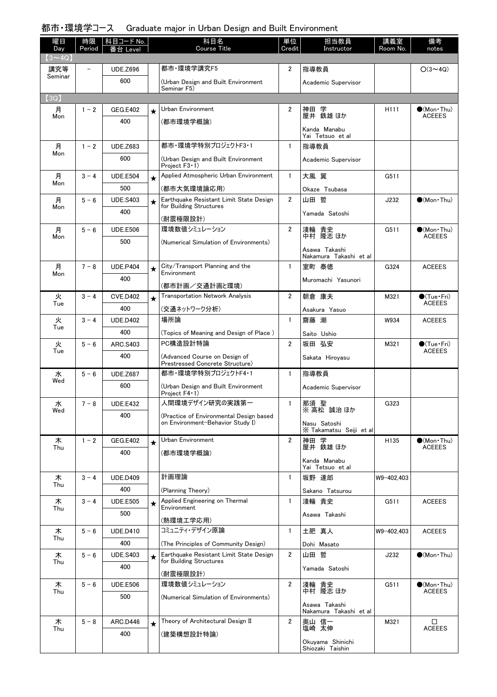### 都市・環境学コース Graduate major in Urban Design and Built Environment

| 曜日<br>Day            | 時限<br>Period | 科目コード No.<br>Level |         | 科目名<br><b>Course Title</b>                                                  | 単位<br>Credit   | 担当教員<br>Instructor                      | 講義室<br>Room No. | 備考<br>notes                            |
|----------------------|--------------|--------------------|---------|-----------------------------------------------------------------------------|----------------|-----------------------------------------|-----------------|----------------------------------------|
| $(3 \sim 4Q)$<br>講究等 |              | <b>UDE.Z696</b>    |         | 都市·環境学講究F5                                                                  | 2              | 指導教員                                    |                 | $O(3 \sim 4Q)$                         |
| Seminar              |              | 600                |         | (Urban Design and Built Environment                                         |                | Academic Supervisor                     |                 |                                        |
|                      |              |                    |         | Seminar F5)                                                                 |                |                                         |                 |                                        |
| (3Q)                 |              |                    |         |                                                                             |                |                                         |                 |                                        |
| 月<br>Mon             | $1 - 2$      | GEG.E402<br>400    | $\star$ | Urban Environment                                                           | 2              | 学<br>神田<br>屋井 鉄雄 ほか                     | H111            | $\bullet$ (Mon · Thu)<br><b>ACEEES</b> |
|                      |              |                    |         | (都市環境学概論)                                                                   |                | Kanda Manabu<br>Yai Tetsuo et al        |                 |                                        |
| 月                    | $1 - 2$      | <b>UDE.Z683</b>    |         | 都市·環境学特別プロジェクトF3・1                                                          | $\mathbf{1}$   | 指導教員                                    |                 |                                        |
| Mon                  |              | 600                |         | (Urban Design and Built Environment<br>Project $F3 \cdot 1$ )               |                | Academic Supervisor                     |                 |                                        |
| 月                    | $3 - 4$      | <b>UDE.E504</b>    | $\star$ | Applied Atmospheric Urban Environment                                       | $\mathbf{1}$   | 大風 翼                                    | G511            |                                        |
| Mon                  |              | 500                |         | (都市大気環境論応用)                                                                 |                | Okaze Tsubasa                           |                 |                                        |
| 月<br>Mon             | $5 - 6$      | <b>UDE.S403</b>    | $\star$ | Earthquake Resistant Limit State Design<br>for Building Structures          | 2              | 山田 哲                                    | J232            | $(Mon\cdot Thu)$                       |
|                      |              | 400                |         | (耐震極限設計)                                                                    |                | Yamada Satoshi                          |                 |                                        |
| 月                    | $5 - 6$      | <b>UDE.E506</b>    |         | 環境数値シミュレーション                                                                | 2              | 貴史<br>淺輪                                | G511            | $\bigcirc$ (Mon Thu)                   |
| Mon                  |              | 500                |         | (Numerical Simulation of Environments)                                      |                | 中村 隆志 ほか                                |                 | <b>ACEEES</b>                          |
|                      |              |                    |         |                                                                             |                | Asawa Takashi<br>Nakamura Takashi et al |                 |                                        |
| 月                    | $7 - 8$      | <b>UDE.P404</b>    | $\star$ | City/Transport Planning and the                                             | $\mathbf{1}$   | 室町 泰徳                                   | G324            | <b>ACEEES</b>                          |
| Mon                  |              | 400                |         | Environment<br>(都市計画/交通計画と環境)                                               |                | Muromachi Yasunori                      |                 |                                        |
| 火                    | $3 - 4$      | <b>CVE.D402</b>    | $\star$ | <b>Transportation Network Analysis</b>                                      | 2              | 朝倉 康夫                                   | M321            | $\bullet$ (Tue · Fri)                  |
| Tue                  |              | 400                |         | (交通ネットワーク分析)                                                                |                | Asakura Yasuo                           |                 | <b>ACEEES</b>                          |
| 火                    | $3 - 4$      | <b>UDE.D402</b>    |         | 場所論                                                                         | $\mathbf{1}$   | 齋藤 潮                                    | W934            | <b>ACEEES</b>                          |
| Tue                  |              | 400                |         | (Topics of Meaning and Design of Place)                                     |                | Saito Ushio                             |                 |                                        |
| 火                    | $5 - 6$      | ARC.S403           |         | PC構造設計特論                                                                    | $\overline{2}$ | 坂田 弘安                                   | M321            | $\bullet$ (Tue•Fri)                    |
| Tue                  |              | 400                |         | (Advanced Course on Design of<br>Prestressed Concrete Structure)            |                | Sakata Hiroyasu                         |                 | <b>ACEEES</b>                          |
| 水                    | $5 - 6$      | <b>UDE.Z687</b>    |         | 都市・環境学特別プロジェクトF4・1                                                          | $\mathbf{1}$   | 指導教員                                    |                 |                                        |
| Wed                  |              | 600                |         | (Urban Design and Built Environment<br>Project $F4 \cdot 1$ )               |                | Academic Supervisor                     |                 |                                        |
| 水<br>Wed             | $7 - 8$      | <b>UDE.E432</b>    |         | 人間環境デザイン研究の実践第一                                                             | 1              | 那須 聖<br>※ 高松 誠治 ほか                      | G323            |                                        |
|                      |              | 400                |         | (Practice of Environmental Design based<br>on Environment-Behavior Study I) |                | Nasu Satoshi                            |                 |                                        |
|                      |              |                    |         |                                                                             |                | X Takamatsu Seiji et al                 |                 |                                        |
| 木<br>Thu             | $1 - 2$      | <b>GEG.E402</b>    | $\star$ | Urban Environment                                                           | $\overline{2}$ | 神田 学<br>屋井 鉄雄 ほか                        | H135            | $\bullet$ (Mon Thu)<br><b>ACEEES</b>   |
|                      |              | 400                |         | (都市環境学概論)                                                                   |                | Kanda Manabu<br>Yai Tetsuo et al        |                 |                                        |
| 木                    | $3 - 4$      | <b>UDE.D409</b>    |         | 計画理論                                                                        | $\mathbf{1}$   | 坂野 達郎                                   | W9-402.403      |                                        |
| Thu                  |              | 400                |         | (Planning Theory)                                                           |                | Sakano Tatsurou                         |                 |                                        |
| 木                    | $3 - 4$      | <b>UDE.E505</b>    | $\star$ | Applied Engineering on Thermal                                              | $\mathbf{1}$   | 淺輪 貴史                                   | G511            | <b>ACEEES</b>                          |
| Thu                  |              | 500                |         | Environment                                                                 |                | Asawa Takashi                           |                 |                                        |
| 木                    | $5 - 6$      | <b>UDE.D410</b>    |         | (熱環境工学応用)<br>コミュニティ・デザイン原論                                                  | 1              | 土肥 真人                                   | W9-402,403      | <b>ACEEES</b>                          |
| Thu                  |              | 400                |         | (The Principles of Community Design)                                        |                | Dohi Masato                             |                 |                                        |
| 木                    | $5 - 6$      | <b>UDE.S403</b>    | $\star$ | Earthquake Resistant Limit State Design                                     | $\overline{2}$ | 山田 哲                                    | J232            | $\bigcirc$ (Mon Thu)                   |
| Thu                  |              | 400                |         | for Building Structures                                                     |                | Yamada Satoshi                          |                 |                                        |
| 木                    | $5 - 6$      | <b>UDE.E506</b>    |         | (耐震極限設計)<br>環境数値シミュレーション                                                    | 2              |                                         | G511            | $\bullet$ (Mon Thu)                    |
| Thu                  |              | 500                |         | (Numerical Simulation of Environments)                                      |                | 淺輪 貴史<br>中村 隆志ほか                        |                 | <b>ACEEES</b>                          |
|                      |              |                    |         |                                                                             |                | Asawa Takashi<br>Nakamura Takashi et al |                 |                                        |
| 木                    | $5 - 8$      | ARC.D446           | $\star$ | Theory of Architectural Design II                                           | $\overline{2}$ | 奥山 信一                                   | M321            | □                                      |
| Thu                  |              | 400                |         | (建築構想設計特論)                                                                  |                | 塩崎 太伸                                   |                 | <b>ACEEES</b>                          |
|                      |              |                    |         |                                                                             |                | Okuyama Shinichi<br>Shiozaki Taishin    |                 |                                        |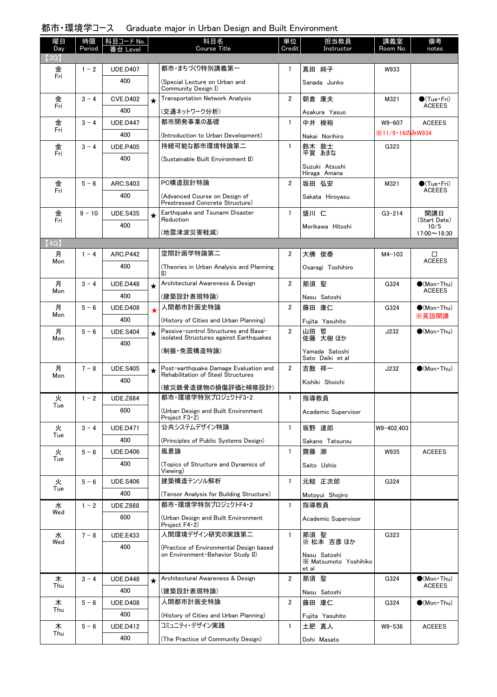### 都市・環境学コース Graduate major in Urban Design and Built Environment

| 曜日<br>Day | 時限<br>Period | │科目コード No.<br>番台 Level |         | 科目名<br>Course Title                                                             | 単位<br>Credit   | 担当教員<br>Instructor                             | 講義室<br>Room No. | 備考<br>notes                            |
|-----------|--------------|------------------------|---------|---------------------------------------------------------------------------------|----------------|------------------------------------------------|-----------------|----------------------------------------|
| (3Q)      |              |                        |         |                                                                                 |                |                                                |                 |                                        |
| 金<br>Fri  | $1 - 2$      | <b>UDE.D407</b><br>400 |         | 都市・まちづくり特別講義第一                                                                  | $\mathbf{1}$   | 真田 純子                                          | W933            |                                        |
|           |              |                        |         | (Special Lecture on Urban and<br>Community Design I)                            |                | Sanada Junko                                   |                 |                                        |
| 金<br>Fri  | $3 - 4$      | <b>CVE.D402</b>        | $\star$ | <b>Transportation Network Analysis</b>                                          | $\overline{2}$ | 朝倉 康夫                                          | M321            | $\bullet$ (Tue•Fri)<br><b>ACEEES</b>   |
|           |              | 400                    |         | (交通ネットワーク分析)                                                                    |                | Asakura Yasuo                                  |                 |                                        |
| 金<br>Fri  | $3 - 4$      | <b>UDE.D447</b>        |         | 都市開発事業の基礎                                                                       | $\mathbf{1}$   | 中井 検裕                                          | W9-607          | <b>ACEEES</b>                          |
|           |              | 400                    |         | (Introduction to Urban Development)                                             |                | Nakai Norihiro                                 | ※11/9·16のみW934  |                                        |
| 金<br>Fri  | $3 - 4$      | <b>UDE.P405</b>        |         | 持続可能な都市環境特論第二                                                                   | $\mathbf{1}$   | 鈴木 敦士<br>平賀 あまな                                | G323            |                                        |
|           |              | 400                    |         | (Sustainable Built Environment II)                                              |                |                                                |                 |                                        |
|           |              |                        |         |                                                                                 |                | Suzuki Atsushi<br>Hiraga Amana                 |                 |                                        |
| 金         | $5 - 6$      | ARC.S403               |         | PC構造設計特論                                                                        | $\overline{2}$ | 坂田 弘安                                          | M321            | $\bullet$ (Tue•Fri)                    |
| Fri       |              | 400                    |         | (Advanced Course on Design of<br>Prestressed Concrete Structure)                |                | Sakata Hiroyasu                                |                 | <b>ACEEES</b>                          |
| 金         | $9 - 10$     | <b>UDE.S435</b>        | $\star$ | Earthquake and Tsunami Disaster                                                 | $\mathbf{1}$   | 盛川 仁                                           | $G3 - 214$      | 開講日                                    |
| Fri       |              | 400                    |         | Reduction                                                                       |                | Morikawa Hitoshi                               |                 | (Start Date)<br>10/5                   |
|           |              |                        |         | (地震津波災害軽減)                                                                      |                |                                                |                 | $17:00 \sim 18:30$                     |
| (4Q)      |              |                        |         | 空間計画学特論第二                                                                       |                |                                                |                 |                                        |
| 月<br>Mon  | $1 - 4$      | <b>ARC.P442</b>        |         |                                                                                 | $\overline{2}$ | 大佛 俊泰                                          | $M4-103$        | □<br><b>ACEEES</b>                     |
|           |              | 400                    |         | (Theories in Urban Analysis and Planning<br>$\mathbf{I}(\mathbf{I})$            |                | Osaragi Toshihiro                              |                 |                                        |
| 月<br>Mon  | $3 - 4$      | <b>UDE.D448</b>        | $\star$ | Architectural Awareness & Design                                                | $\overline{2}$ | 那須 聖                                           | G324            | $\bullet$ (Mon · Thu)<br><b>ACEEES</b> |
|           |              | 400                    |         | (建築設計表現特論)                                                                      |                | Nasu Satoshi                                   |                 |                                        |
| 月<br>Mon  | $5 - 6$      | <b>UDE.D408</b>        |         | 人間都市計画史特論                                                                       | $\overline{2}$ | 藤田 康仁                                          | G324            | $\bullet$ (Mon•Thu)<br>※英語開講           |
|           |              | 400                    |         | (History of Cities and Urban Planning)                                          |                | Fujita Yasuhito                                |                 |                                        |
| 月<br>Mon  | $5 - 6$      | <b>UDE.S404</b>        | $\star$ | Passive-control Structures and Base-<br>isolated Structures against Earthquakes | $\overline{2}$ | 山田 哲<br>佐藤 大樹 ほか                               | J232            | $\bigcirc$ (Mon Thu)                   |
|           |              | 400                    |         | (制振・免震構造特論)                                                                     |                | Yamada Satoshi                                 |                 |                                        |
|           |              |                        |         |                                                                                 |                | Sato Daiki et al                               |                 |                                        |
| 月<br>Mon  | $7 - 8$      | <b>UDE.S405</b>        | $\star$ | Post-earthquake Damage Evaluation and<br>Rehabilitation of Steel Structures     | $\overline{2}$ | 吉敷 祥一                                          | J232            | $\bigcirc$ (Mon Thu)                   |
|           |              | 400                    |         | (被災鉄骨造建物の損傷評価と補修設計)                                                             |                | Kishiki Shoichi                                |                 |                                        |
| 火         | $1 - 2$      | <b>UDE.Z684</b>        |         | 都市・環境学特別プロジェクトF3・2                                                              | $\mathbf{1}$   | 指導教員                                           |                 |                                        |
| Tue       |              | 600                    |         | (Urban Design and Built Environment<br>Project $F3 \cdot 2$ )                   |                | Academic Supervisor                            |                 |                                        |
| 火         | $3 - 4$      | <b>UDE.D471</b>        |         | 公共システムデザイン特論                                                                    | 1              | 坂野 達郎                                          | W9-402,403      |                                        |
| Tue       |              | 400                    |         | (Principles of Public Systems Design)                                           |                | Sakano Tatsurou                                |                 |                                        |
| 火         | $5 - 6$      | <b>UDE.D406</b>        |         | 風景論                                                                             | $\mathbf{1}$   | 齋藤 潮                                           | W935            | <b>ACEEES</b>                          |
| Tue       |              | 400                    |         | (Topics of Structure and Dynamics of<br>Viewing)                                |                | Saito Ushio                                    |                 |                                        |
| 火         | $5 - 6$      | <b>UDE.S406</b>        |         | 建築構造テンソル解析                                                                      | 1              | 元結 正次郎                                         | G324            |                                        |
| Tue       |              | 400                    |         | (Tensor Analysis for Building Structure)                                        |                | Motoyui Shojiro                                |                 |                                        |
| 水         | $1 - 2$      | <b>UDE.Z688</b>        |         | 都市・環境学特別プロジェクトF4・2                                                              | $\mathbf{1}$   | 指導教員                                           |                 |                                        |
| Wed       |              | 600                    |         | (Urban Design and Built Environment<br>Project $F4 \cdot 2$                     |                | Academic Supervisor                            |                 |                                        |
| 水         | $7 - 8$      | <b>UDE.E433</b>        |         | 人間環境デザイン研究の実践第二                                                                 | $\mathbf{1}$   | 那須 聖                                           | G323            |                                        |
| Wed       |              | 400                    |         | (Practice of Environmental Design based                                         |                | ※ 松本 吉彦 ほか                                     |                 |                                        |
|           |              |                        |         | on Environment-Behavior Study II)                                               |                | Nasu Satoshi<br>X Matsumoto Yoshihiko<br>et al |                 |                                        |
| 木         | $3 - 4$      | <b>UDE.D448</b>        | $\star$ | Architectural Awareness & Design                                                | $\overline{2}$ | 那須 聖                                           | G324            | $\bullet$ (Mon Thu)                    |
| Thu       |              | 400                    |         | (建築設計表現特論)                                                                      |                | Nasu Satoshi                                   |                 | <b>ACEEES</b>                          |
| 木         | $5 - 6$      | <b>UDE.D408</b>        |         | 人間都市計画史特論                                                                       | $\overline{2}$ | 藤田 康仁                                          | G324            | $\bullet$ (Mon Thu)                    |
| Thu       |              | 400                    |         | (History of Cities and Urban Planning)                                          |                | Fujita Yasuhito                                |                 |                                        |
| 木         | $5 - 6$      | <b>UDE.D412</b>        |         | コミュニティ・デザイン実践                                                                   | 1              | 土肥 真人                                          | W9-536          | <b>ACEEES</b>                          |
| Thu       |              | 400                    |         | (The Practice of Community Design)                                              |                | Dohi Masato                                    |                 |                                        |